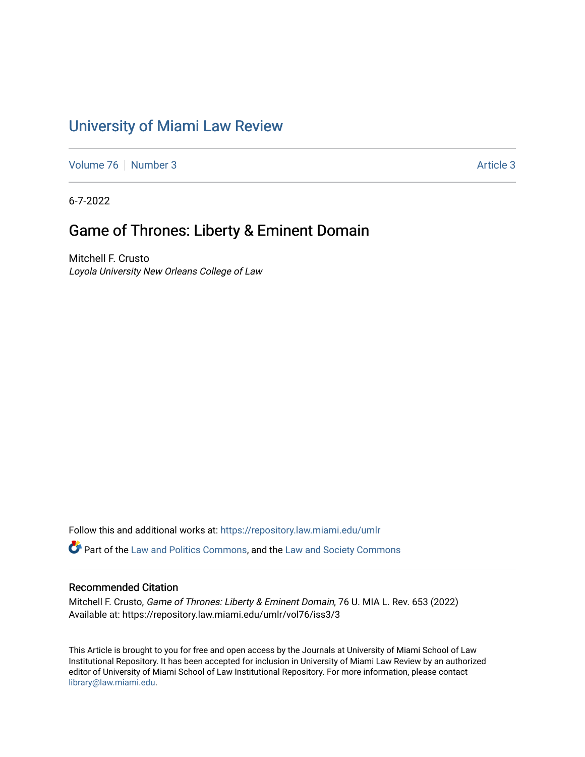# [University of Miami Law Review](https://repository.law.miami.edu/umlr)

[Volume 76](https://repository.law.miami.edu/umlr/vol76) [Number 3](https://repository.law.miami.edu/umlr/vol76/iss3) [Article 3](https://repository.law.miami.edu/umlr/vol76/iss3/3) Article 3

6-7-2022

# Game of Thrones: Liberty & Eminent Domain

Mitchell F. Crusto Loyola University New Orleans College of Law

Follow this and additional works at: [https://repository.law.miami.edu/umlr](https://repository.law.miami.edu/umlr?utm_source=repository.law.miami.edu%2Fumlr%2Fvol76%2Fiss3%2F3&utm_medium=PDF&utm_campaign=PDFCoverPages)

**P** Part of the [Law and Politics Commons,](https://network.bepress.com/hgg/discipline/867?utm_source=repository.law.miami.edu%2Fumlr%2Fvol76%2Fiss3%2F3&utm_medium=PDF&utm_campaign=PDFCoverPages) and the Law and Society Commons

# Recommended Citation

Mitchell F. Crusto, Game of Thrones: Liberty & Eminent Domain, 76 U. MIA L. Rev. 653 (2022) Available at: https://repository.law.miami.edu/umlr/vol76/iss3/3

This Article is brought to you for free and open access by the Journals at University of Miami School of Law Institutional Repository. It has been accepted for inclusion in University of Miami Law Review by an authorized editor of University of Miami School of Law Institutional Repository. For more information, please contact [library@law.miami.edu.](mailto:library@law.miami.edu)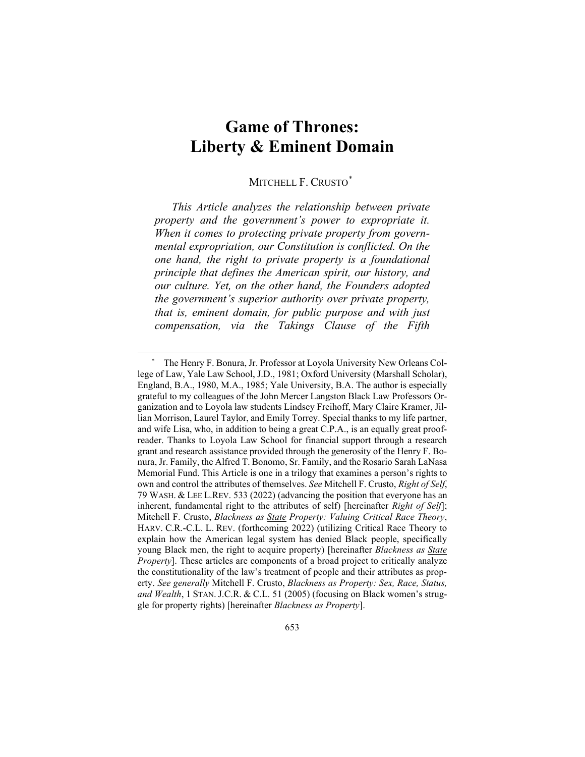# **Game of Thrones: Liberty & Eminent Domain**

# MITCHELL F. CRUSTO<sup>[\\*](#page-1-0)</sup>

*This Article analyzes the relationship between private property and the government's power to expropriate it. When it comes to protecting private property from governmental expropriation, our Constitution is conflicted. On the one hand, the right to private property is a foundational principle that defines the American spirit, our history, and our culture. Yet, on the other hand, the Founders adopted the government's superior authority over private property, that is, eminent domain, for public purpose and with just compensation, via the Takings Clause of the Fifth* 

<span id="page-1-0"></span>The Henry F. Bonura, Jr. Professor at Loyola University New Orleans College of Law, Yale Law School, J.D., 1981; Oxford University (Marshall Scholar), England, B.A., 1980, M.A., 1985; Yale University, B.A. The author is especially grateful to my colleagues of the John Mercer Langston Black Law Professors Organization and to Loyola law students Lindsey Freihoff, Mary Claire Kramer, Jillian Morrison, Laurel Taylor, and Emily Torrey. Special thanks to my life partner, and wife Lisa, who, in addition to being a great C.P.A., is an equally great proofreader. Thanks to Loyola Law School for financial support through a research grant and research assistance provided through the generosity of the Henry F. Bonura, Jr. Family, the Alfred T. Bonomo, Sr. Family, and the Rosario Sarah LaNasa Memorial Fund. This Article is one in a trilogy that examines a person's rights to own and control the attributes of themselves. *See* Mitchell F. Crusto, *Right of Self*, 79 WASH. & LEE L.REV. 533 (2022) (advancing the position that everyone has an inherent, fundamental right to the attributes of self) [hereinafter *Right of Self*]; Mitchell F. Crusto, *Blackness as State Property: Valuing Critical Race Theory*, HARV. C.R.-C.L. L. REV. (forthcoming 2022) (utilizing Critical Race Theory to explain how the American legal system has denied Black people, specifically young Black men, the right to acquire property) [hereinafter *Blackness as State Property*]. These articles are components of a broad project to critically analyze the constitutionality of the law's treatment of people and their attributes as property. *See generally* Mitchell F. Crusto, *Blackness as Property: Sex, Race, Status, and Wealth*, 1 STAN. J.C.R. & C.L. 51 (2005) (focusing on Black women's struggle for property rights) [hereinafter *Blackness as Property*].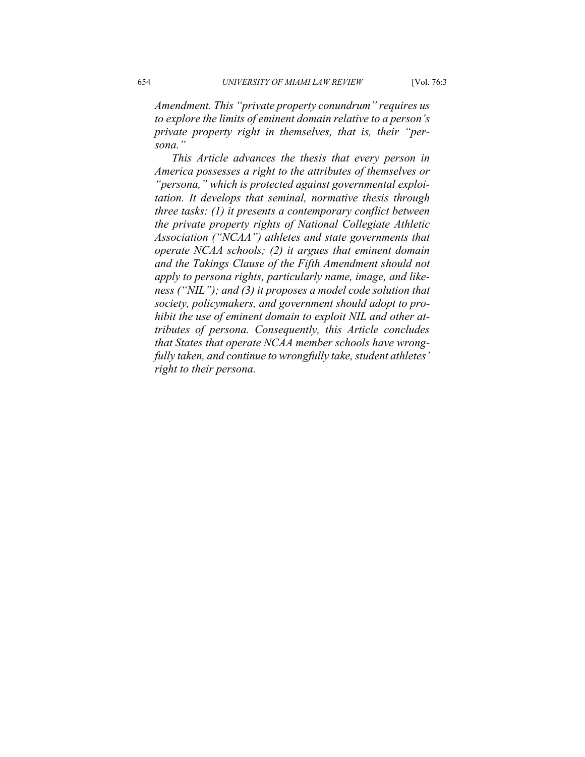*Amendment. This "private property conundrum" requires us to explore the limits of eminent domain relative to a person's private property right in themselves, that is, their "persona."*

*This Article advances the thesis that every person in America possesses a right to the attributes of themselves or "persona," which is protected against governmental exploitation. It develops that seminal, normative thesis through three tasks: (1) it presents a contemporary conflict between the private property rights of National Collegiate Athletic Association ("NCAA") athletes and state governments that operate NCAA schools; (2) it argues that eminent domain and the Takings Clause of the Fifth Amendment should not apply to persona rights, particularly name, image, and likeness ("NIL"); and (3) it proposes a model code solution that society, policymakers, and government should adopt to prohibit the use of eminent domain to exploit NIL and other attributes of persona. Consequently, this Article concludes that States that operate NCAA member schools have wrongfully taken, and continue to wrongfully take, student athletes' right to their persona.*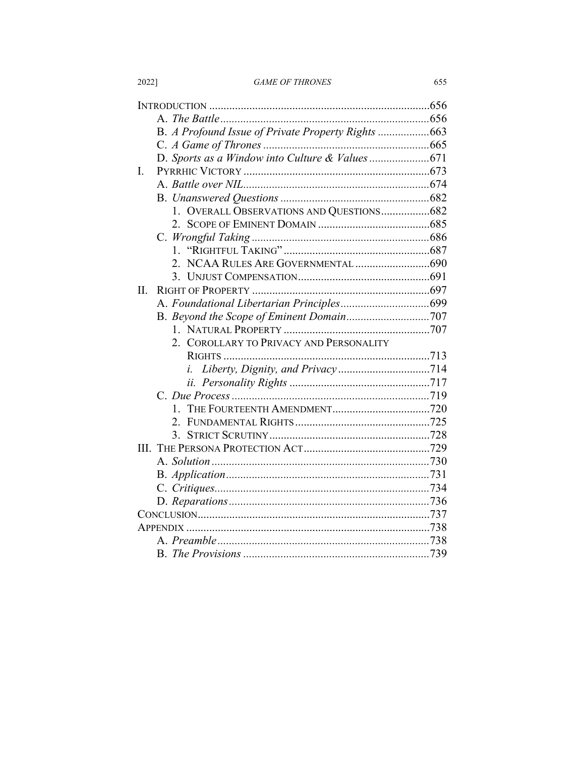|  | <i><b>GAME OF THRONES</b></i> |
|--|-------------------------------|
|  |                               |

655

|     | B. A Profound Issue of Private Property Rights 663 |  |
|-----|----------------------------------------------------|--|
|     |                                                    |  |
|     |                                                    |  |
| L   |                                                    |  |
|     |                                                    |  |
|     |                                                    |  |
|     |                                                    |  |
|     | 1. OVERALL OBSERVATIONS AND QUESTIONS682           |  |
|     |                                                    |  |
|     |                                                    |  |
|     | $\mathbf{1}$                                       |  |
|     |                                                    |  |
|     |                                                    |  |
| II. |                                                    |  |
|     |                                                    |  |
|     |                                                    |  |
|     |                                                    |  |
|     | 2. COROLLARY TO PRIVACY AND PERSONALITY            |  |
|     |                                                    |  |
|     |                                                    |  |
|     |                                                    |  |
|     |                                                    |  |
|     | $1_{-}$                                            |  |
|     | $\mathcal{P}$                                      |  |
|     | 3.                                                 |  |
|     |                                                    |  |
|     |                                                    |  |
|     |                                                    |  |
|     |                                                    |  |
|     |                                                    |  |
|     |                                                    |  |
|     |                                                    |  |
|     |                                                    |  |
|     |                                                    |  |

2022]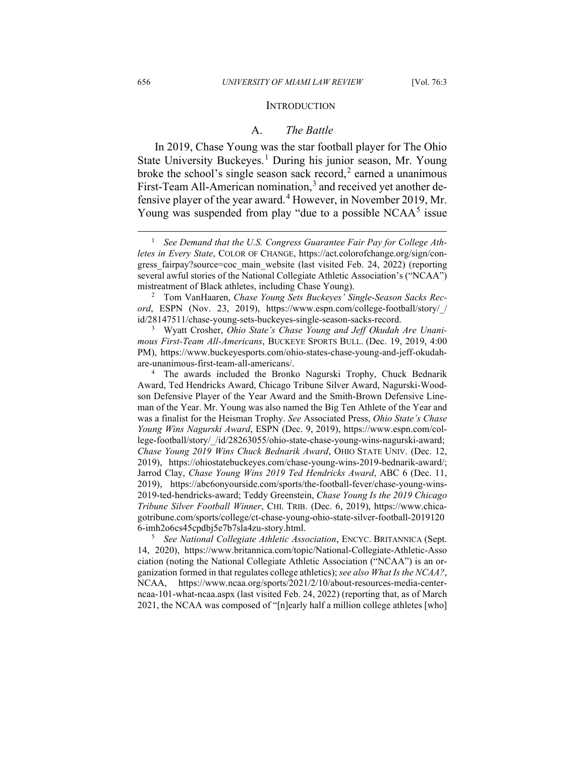#### **INTRODUCTION**

#### A. *The Battle*

In 2019, Chase Young was the star football player for The Ohio State University Buckeyes.<sup>[1](#page-4-0)</sup> During his junior season, Mr. Young broke the school's single season sack record, $2$  earned a unanimous First-Team All-American nomination,<sup>[3](#page-4-2)</sup> and received yet another de-fensive player of the year award.<sup>[4](#page-4-3)</sup> However, in November 2019, Mr. Young was suspended from play "due to a possible  $NCAA<sup>5</sup>$  $NCAA<sup>5</sup>$  $NCAA<sup>5</sup>$  issue

<span id="page-4-4"></span><sup>5</sup> *See National Collegiate Athletic Association*, ENCYC. BRITANNICA (Sept. 14, 2020), https://www.britannica.com/topic/National-Collegiate-Athletic-Asso ciation (noting the National Collegiate Athletic Association ("NCAA") is an organization formed in that regulates college athletics); *see also What Is the NCAA?*, NCAA, https://www.ncaa.org/sports/2021/2/10/about-resources-media-centerncaa-101-what-ncaa.aspx (last visited Feb. 24, 2022) (reporting that, as of March 2021, the NCAA was composed of "[n]early half a million college athletes [who]

<span id="page-4-0"></span><sup>&</sup>lt;sup>1</sup> See Demand that the U.S. Congress Guarantee Fair Pay for College Ath*letes in Every State*, COLOR OF CHANGE, https://act.colorofchange.org/sign/congress\_fairpay?source=coc\_main\_website (last visited Feb. 24, 2022) (reporting several awful stories of the National Collegiate Athletic Association's ("NCAA") mistreatment of Black athletes, including Chase Young).

<span id="page-4-1"></span><sup>2</sup> Tom VanHaaren, *Chase Young Sets Buckeyes' Single-Season Sacks Record*, ESPN (Nov. 23, 2019), https://www.espn.com/college-football/story/\_/ id/28147511/chase-young-sets-buckeyes-single-season-sacks-record.

<span id="page-4-2"></span><sup>3</sup> Wyatt Crosher, *Ohio State's Chase Young and Jeff Okudah Are Unanimous First-Team All-Americans*, BUCKEYE SPORTS BULL. (Dec. 19, 2019, 4:00 PM), https://www.buckeyesports.com/ohio-states-chase-young-and-jeff-okudahare-unanimous-first-team-all-americans/.

<span id="page-4-3"></span><sup>&</sup>lt;sup>4</sup> The awards included the Bronko Nagurski Trophy, Chuck Bednarik Award, Ted Hendricks Award, Chicago Tribune Silver Award, Nagurski-Woodson Defensive Player of the Year Award and the Smith-Brown Defensive Lineman of the Year. Mr. Young was also named the Big Ten Athlete of the Year and was a finalist for the Heisman Trophy. *See* Associated Press, *Ohio State's Chase Young Wins Nagurski Award*, ESPN (Dec. 9, 2019), https://www.espn.com/college-football/story/\_/id/28263055/ohio-state-chase-young-wins-nagurski-award; *Chase Young 2019 Wins Chuck Bednarik Award*, OHIO STATE UNIV. (Dec. 12, 2019), https://ohiostatebuckeyes.com/chase-young-wins-2019-bednarik-award/; Jarrod Clay, *Chase Young Wins 2019 Ted Hendricks Award*, ABC 6 (Dec. 11, 2019), https://abc6onyourside.com/sports/the-football-fever/chase-young-wins-2019-ted-hendricks-award; Teddy Greenstein, *Chase Young Is the 2019 Chicago Tribune Silver Football Winner*, CHI. TRIB. (Dec. 6, 2019), https://www.chicagotribune.com/sports/college/ct-chase-young-ohio-state-silver-football-2019120 6-imh2o6cs45cpdbj5e7b7sla4zu-story.html.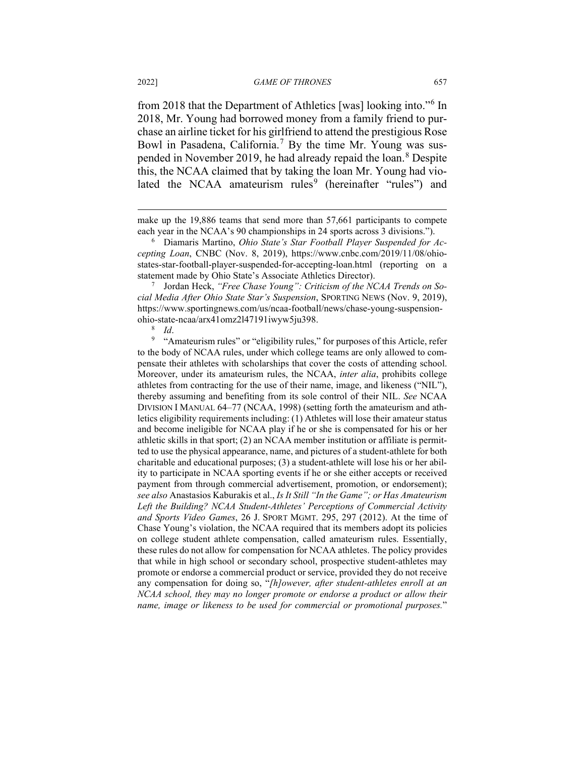from 2018 that the Department of Athletics [was] looking into."[6](#page-5-0) In 2018, Mr. Young had borrowed money from a family friend to purchase an airline ticket for his girlfriend to attend the prestigious Rose Bowl in Pasadena, California.<sup>[7](#page-5-1)</sup> By the time Mr. Young was sus-pended in November 2019, he had already repaid the loan.<sup>[8](#page-5-2)</sup> Despite this, the NCAA claimed that by taking the loan Mr. Young had vio-lated the NCAA amateurism rules<sup>[9](#page-5-3)</sup> (hereinafter "rules") and

<span id="page-5-1"></span><sup>7</sup> Jordan Heck, *"Free Chase Young": Criticism of the NCAA Trends on Social Media After Ohio State Star's Suspension*, SPORTING NEWS (Nov. 9, 2019), https://www.sportingnews.com/us/ncaa-football/news/chase-young-suspensionohio-state-ncaa/arx41omz2l47191iwyw5ju398.

<span id="page-5-3"></span><span id="page-5-2"></span><sup>9</sup> "Amateurism rules" or "eligibility rules," for purposes of this Article, refer to the body of NCAA rules, under which college teams are only allowed to compensate their athletes with scholarships that cover the costs of attending school. Moreover, under its amateurism rules, the NCAA, *inter alia*, prohibits college athletes from contracting for the use of their name, image, and likeness ("NIL"), thereby assuming and benefiting from its sole control of their NIL. *See* NCAA DIVISION I MANUAL 64–77 (NCAA, 1998) (setting forth the amateurism and athletics eligibility requirements including: (1) Athletes will lose their amateur status and become ineligible for NCAA play if he or she is compensated for his or her athletic skills in that sport; (2) an NCAA member institution or affiliate is permitted to use the physical appearance, name, and pictures of a student-athlete for both charitable and educational purposes; (3) a student-athlete will lose his or her ability to participate in NCAA sporting events if he or she either accepts or received payment from through commercial advertisement, promotion, or endorsement); *see also* Anastasios Kaburakis et al., *Is It Still "In the Game"; or Has Amateurism Left the Building? NCAA Student-Athletes' Perceptions of Commercial Activity and Sports Video Games*, 26 J. SPORT MGMT. 295, 297 (2012). At the time of Chase Young's violation, the NCAA required that its members adopt its policies on college student athlete compensation, called amateurism rules. Essentially, these rules do not allow for compensation for NCAA athletes. The policy provides that while in high school or secondary school, prospective student-athletes may promote or endorse a commercial product or service, provided they do not receive any compensation for doing so, "*[h]owever, after student-athletes enroll at an NCAA school, they may no longer promote or endorse a product or allow their name, image or likeness to be used for commercial or promotional purposes.*"

make up the 19,886 teams that send more than 57,661 participants to compete each year in the NCAA's 90 championships in 24 sports across 3 divisions.").

<span id="page-5-0"></span><sup>6</sup> Diamaris Martino, *Ohio State's Star Football Player Suspended for Accepting Loan*, CNBC (Nov. 8, 2019), https://www.cnbc.com/2019/11/08/ohiostates-star-football-player-suspended-for-accepting-loan.html (reporting on a statement made by Ohio State's Associate Athletics Director).

<sup>8</sup> *Id*.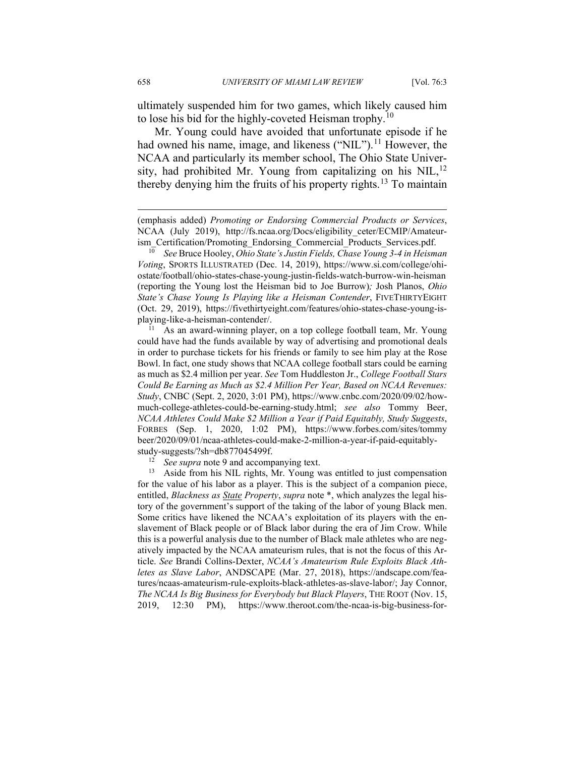ultimately suspended him for two games, which likely caused him to lose his bid for the highly-coveted Heisman trophy.<sup>[10](#page-6-0)</sup>

Mr. Young could have avoided that unfortunate episode if he had owned his name, image, and likeness ("NIL").<sup>[11](#page-6-1)</sup> However, the NCAA and particularly its member school, The Ohio State Univer-sity, had prohibited Mr. Young from capitalizing on his NIL,<sup>[12](#page-6-2)</sup> thereby denying him the fruits of his property rights.<sup>[13](#page-6-3)</sup> To maintain

<sup>(</sup>emphasis added) *Promoting or Endorsing Commercial Products or Services*, NCAA (July 2019), http://fs.ncaa.org/Docs/eligibility\_ceter/ECMIP/Amateurism\_Certification/Promoting\_Endorsing\_Commercial\_Products\_Services.pdf.

<span id="page-6-0"></span><sup>10</sup> *See* Bruce Hooley, *Ohio State's Justin Fields, Chase Young 3-4 in Heisman Voting*, SPORTS ILLUSTRATED (Dec. 14, 2019), https://www.si.com/college/ohiostate/football/ohio-states-chase-young-justin-fields-watch-burrow-win-heisman (reporting the Young lost the Heisman bid to Joe Burrow)*;* Josh Planos, *Ohio State's Chase Young Is Playing like a Heisman Contender*, FIVETHIRTYEIGHT (Oct. 29, 2019), https://fivethirtyeight.com/features/ohio-states-chase-young-isplaying-like-a-heisman-contender/.

<span id="page-6-1"></span> $11$  As an award-winning player, on a top college football team, Mr. Young could have had the funds available by way of advertising and promotional deals in order to purchase tickets for his friends or family to see him play at the Rose Bowl. In fact, one study shows that NCAA college football stars could be earning as much as \$2.4 million per year. *See* Tom Huddleston Jr., *College Football Stars Could Be Earning as Much as \$2.4 Million Per Year, Based on NCAA Revenues: Study*, CNBC (Sept. 2, 2020, 3:01 PM), https://www.cnbc.com/2020/09/02/howmuch-college-athletes-could-be-earning-study.html; *see also* Tommy Beer, *NCAA Athletes Could Make \$2 Million a Year if Paid Equitably, Study Suggests*, FORBES (Sep. 1, 2020, 1:02 PM), https://www.forbes.com/sites/tommy beer/2020/09/01/ncaa-athletes-could-make-2-million-a-year-if-paid-equitablystudy-suggests/?sh=db877045499f.

<sup>&</sup>lt;sup>12</sup> *See supra* note 9 and accompanying text.

<span id="page-6-3"></span><span id="page-6-2"></span><sup>&</sup>lt;sup>13</sup> Aside from his NIL rights, Mr. Young was entitled to just compensation for the value of his labor as a player. This is the subject of a companion piece, entitled, *Blackness as State Property*, *supra* note \*, which analyzes the legal history of the government's support of the taking of the labor of young Black men. Some critics have likened the NCAA's exploitation of its players with the enslavement of Black people or of Black labor during the era of Jim Crow. While this is a powerful analysis due to the number of Black male athletes who are negatively impacted by the NCAA amateurism rules, that is not the focus of this Article. *See* Brandi Collins-Dexter, *NCAA's Amateurism Rule Exploits Black Athletes as Slave Labor*, ANDSCAPE (Mar. 27, 2018), https://andscape.com/features/ncaas-amateurism-rule-exploits-black-athletes-as-slave-labor/; Jay Connor, *The NCAA Is Big Business for Everybody but Black Players*, THE ROOT (Nov. 15, 2019, 12:30 PM), https://www.theroot.com/the-ncaa-is-big-business-for-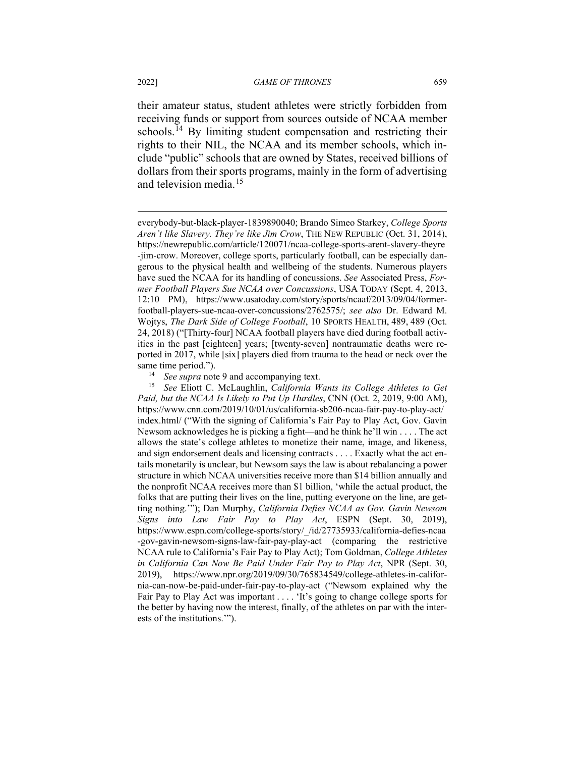their amateur status, student athletes were strictly forbidden from receiving funds or support from sources outside of NCAA member schools.<sup>[14](#page-7-0)</sup> By limiting student compensation and restricting their rights to their NIL, the NCAA and its member schools, which include "public" schools that are owned by States, received billions of dollars from their sports programs, mainly in the form of advertising and television media.<sup>[15](#page-7-1)</sup>

<span id="page-7-1"></span><span id="page-7-0"></span><sup>15</sup> *See* Eliott C. McLaughlin, *California Wants its College Athletes to Get Paid, but the NCAA Is Likely to Put Up Hurdles*, CNN (Oct. 2, 2019, 9:00 AM), https://www.cnn.com/2019/10/01/us/california-sb206-ncaa-fair-pay-to-play-act/ index.html/ ("With the signing of California's Fair Pay to Play Act, Gov. Gavin Newsom acknowledges he is picking a fight—and he think he'll win . . . . The act allows the state's college athletes to monetize their name, image, and likeness, and sign endorsement deals and licensing contracts . . . . Exactly what the act entails monetarily is unclear, but Newsom says the law is about rebalancing a power structure in which NCAA universities receive more than \$14 billion annually and the nonprofit NCAA receives more than \$1 billion, 'while the actual product, the folks that are putting their lives on the line, putting everyone on the line, are getting nothing.'"); Dan Murphy, *California Defies NCAA as Gov. Gavin Newsom Signs into Law Fair Pay to Play Act*, ESPN (Sept. 30, 2019), https://www.espn.com/college-sports/story/\_/id/27735933/california-defies-ncaa -gov-gavin-newsom-signs-law-fair-pay-play-act (comparing the restrictive NCAA rule to California's Fair Pay to Play Act); Tom Goldman, *College Athletes in California Can Now Be Paid Under Fair Pay to Play Act*, NPR (Sept. 30, 2019), https://www.npr.org/2019/09/30/765834549/college-athletes-in-california-can-now-be-paid-under-fair-pay-to-play-act ("Newsom explained why the Fair Pay to Play Act was important . . . . 'It's going to change college sports for the better by having now the interest, finally, of the athletes on par with the interests of the institutions.'").

everybody-but-black-player-1839890040; Brando Simeo Starkey, *College Sports Aren't like Slavery. They're like Jim Crow*, THE NEW REPUBLIC (Oct. 31, 2014), https://newrepublic.com/article/120071/ncaa-college-sports-arent-slavery-theyre -jim-crow. Moreover, college sports, particularly football, can be especially dangerous to the physical health and wellbeing of the students. Numerous players have sued the NCAA for its handling of concussions. *See* Associated Press, *Former Football Players Sue NCAA over Concussions*, USA TODAY (Sept. 4, 2013, 12:10 PM), https://www.usatoday.com/story/sports/ncaaf/2013/09/04/formerfootball-players-sue-ncaa-over-concussions/2762575/; *see also* Dr. Edward M. Wojtys, *The Dark Side of College Football*, 10 SPORTS HEALTH, 489, 489 (Oct. 24, 2018) ("[Thirty-four] NCAA football players have died during football activities in the past [eighteen] years; [twenty-seven] nontraumatic deaths were reported in 2017, while [six] players died from trauma to the head or neck over the same time period.").

<sup>&</sup>lt;sup>14</sup> *See supra* note 9 and accompanying text.<br><sup>15</sup> *See* Fliott C. McI aughlin *California W*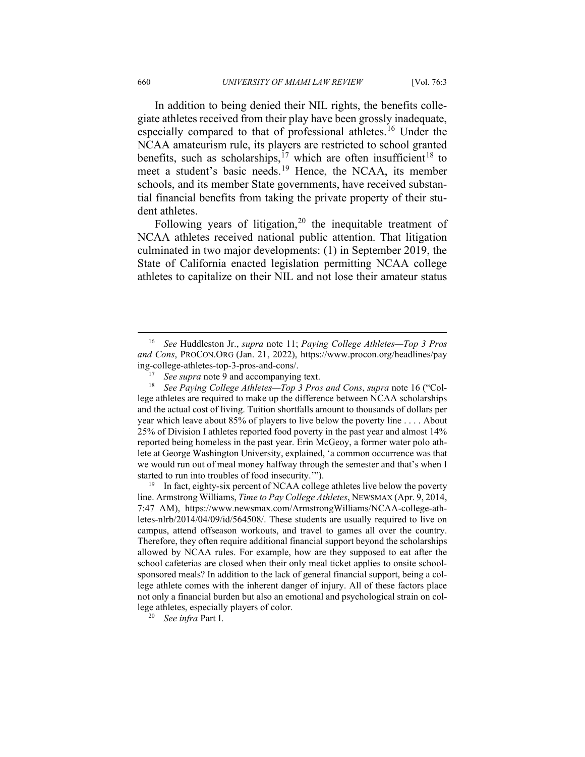In addition to being denied their NIL rights, the benefits collegiate athletes received from their play have been grossly inadequate, especially compared to that of professional athletes.<sup>[16](#page-8-0)</sup> Under the NCAA amateurism rule, its players are restricted to school granted benefits, such as scholarships,<sup>[17](#page-8-1)</sup> which are often insufficient<sup>[18](#page-8-2)</sup> to meet a student's basic needs.[19](#page-8-3) Hence, the NCAA, its member schools, and its member State governments, have received substantial financial benefits from taking the private property of their student athletes.

Following years of litigation,<sup>[20](#page-8-4)</sup> the inequitable treatment of NCAA athletes received national public attention. That litigation culminated in two major developments: (1) in September 2019, the State of California enacted legislation permitting NCAA college athletes to capitalize on their NIL and not lose their amateur status

<span id="page-8-0"></span><sup>16</sup> *See* Huddleston Jr., *supra* note 11; *Paying College Athletes—Top 3 Pros and Cons*, PROCON.ORG (Jan. 21, 2022), https://www.procon.org/headlines/pay ing-college-athletes-top-3-pros-and-cons/.

See supra note 9 and accompanying text.

<span id="page-8-2"></span><span id="page-8-1"></span><sup>18</sup> *See Paying College Athletes—Top 3 Pros and Cons*, *supra* note 16 ("College athletes are required to make up the difference between NCAA scholarships and the actual cost of living. Tuition shortfalls amount to thousands of dollars per year which leave about 85% of players to live below the poverty line . . . . About 25% of Division I athletes reported food poverty in the past year and almost 14% reported being homeless in the past year. Erin McGeoy, a former water polo athlete at George Washington University, explained, 'a common occurrence was that we would run out of meal money halfway through the semester and that's when I started to run into troubles of food insecurity.'").

<span id="page-8-3"></span> $19$  In fact, eighty-six percent of NCAA college athletes live below the poverty line. Armstrong Williams, *Time to Pay College Athletes*, NEWSMAX (Apr. 9, 2014, 7:47 AM), https://www.newsmax.com/ArmstrongWilliams/NCAA-college-athletes-nlrb/2014/04/09/id/564508/. These students are usually required to live on campus, attend offseason workouts, and travel to games all over the country. Therefore, they often require additional financial support beyond the scholarships allowed by NCAA rules. For example, how are they supposed to eat after the school cafeterias are closed when their only meal ticket applies to onsite schoolsponsored meals? In addition to the lack of general financial support, being a college athlete comes with the inherent danger of injury. All of these factors place not only a financial burden but also an emotional and psychological strain on college athletes, especially players of color.

<span id="page-8-4"></span><sup>20</sup> *See infra* Part I.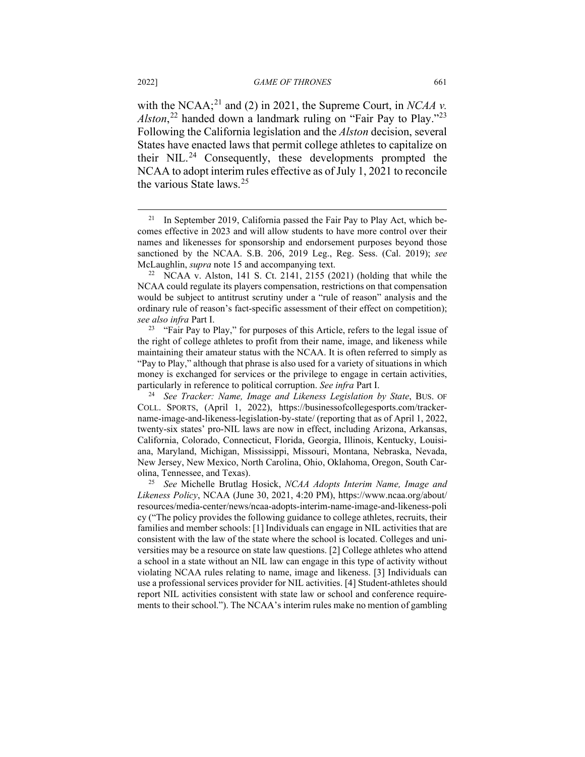with the NCAA;<sup>[21](#page-9-0)</sup> and (2) in 2021, the Supreme Court, in *NCAA v*. *Alston*, [22](#page-9-1) handed down a landmark ruling on "Fair Pay to Play."[23](#page-9-2) Following the California legislation and the *Alston* decision, several States have enacted laws that permit college athletes to capitalize on their  $NIL.^{24}$  $NIL.^{24}$  $NIL.^{24}$  Consequently, these developments prompted the NCAA to adopt interim rules effective as of July 1, 2021 to reconcile the various State laws.[25](#page-9-4)

<span id="page-9-0"></span><sup>&</sup>lt;sup>21</sup> In September 2019, California passed the Fair Pay to Play Act, which becomes effective in 2023 and will allow students to have more control over their names and likenesses for sponsorship and endorsement purposes beyond those sanctioned by the NCAA. S.B. 206, 2019 Leg., Reg. Sess. (Cal. 2019); *see*  McLaughlin, *supra* note 15 and accompanying text.

<span id="page-9-1"></span> $22$  NCAA v. Alston, 141 S. Ct. 2141, 2155 (2021) (holding that while the NCAA could regulate its players compensation, restrictions on that compensation would be subject to antitrust scrutiny under a "rule of reason" analysis and the ordinary rule of reason's fact-specific assessment of their effect on competition); *see also infra* Part I.

<span id="page-9-2"></span><sup>&</sup>lt;sup>23</sup> "Fair Pay to Play," for purposes of this Article, refers to the legal issue of the right of college athletes to profit from their name, image, and likeness while maintaining their amateur status with the NCAA. It is often referred to simply as "Pay to Play," although that phrase is also used for a variety of situations in which money is exchanged for services or the privilege to engage in certain activities, particularly in reference to political corruption. *See infra* Part I.

<span id="page-9-3"></span><sup>24</sup> *See Tracker: Name, Image and Likeness Legislation by State*, BUS. OF COLL. SPORTS, (April 1, 2022), https://businessofcollegesports.com/trackername-image-and-likeness-legislation-by-state/ (reporting that as of April 1, 2022, twenty-six states' pro-NIL laws are now in effect, including Arizona, Arkansas, California, Colorado, Connecticut, Florida, Georgia, Illinois, Kentucky, Louisiana, Maryland, Michigan, Mississippi, Missouri, Montana, Nebraska, Nevada, New Jersey, New Mexico, North Carolina, Ohio, Oklahoma, Oregon, South Carolina, Tennessee, and Texas).

<span id="page-9-4"></span><sup>25</sup> *See* Michelle Brutlag Hosick, *NCAA Adopts Interim Name, Image and Likeness Policy*, NCAA (June 30, 2021, 4:20 PM), https://www.ncaa.org/about/ resources/media-center/news/ncaa-adopts-interim-name-image-and-likeness-poli cy ("The policy provides the following guidance to college athletes, recruits, their families and member schools: [1] Individuals can engage in NIL activities that are consistent with the law of the state where the school is located. Colleges and universities may be a resource on state law questions. [2] College athletes who attend a school in a state without an NIL law can engage in this type of activity without violating NCAA rules relating to name, image and likeness. [3] Individuals can use a professional services provider for NIL activities. [4] Student-athletes should report NIL activities consistent with state law or school and conference requirements to their school."). The NCAA's interim rules make no mention of gambling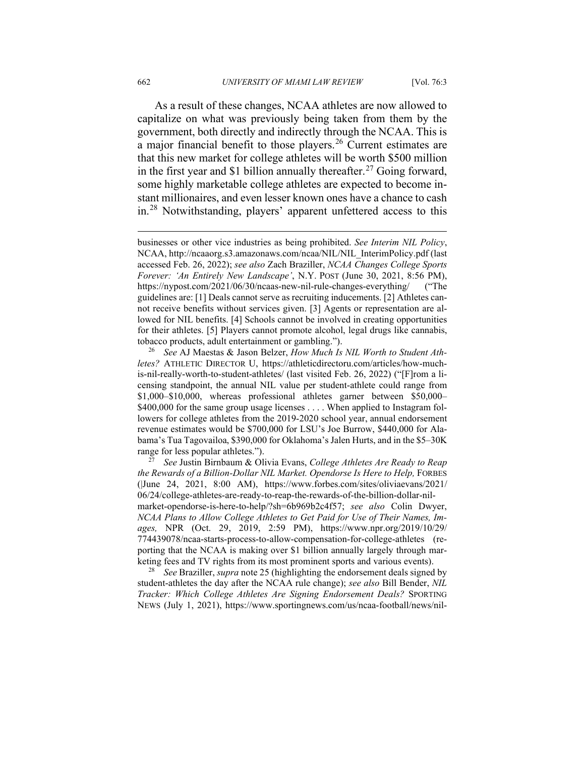As a result of these changes, NCAA athletes are now allowed to capitalize on what was previously being taken from them by the government, both directly and indirectly through the NCAA. This is a major financial benefit to those players.<sup>[26](#page-10-0)</sup> Current estimates are that this new market for college athletes will be worth \$500 million in the first year and \$1 billion annually thereafter.<sup>[27](#page-10-1)</sup> Going forward, some highly marketable college athletes are expected to become instant millionaires, and even lesser known ones have a chance to cash in.<sup>[28](#page-10-2)</sup> Notwithstanding, players' apparent unfettered access to this

<span id="page-10-2"></span><sup>28</sup> *See* Braziller, *supra* note 25 (highlighting the endorsement deals signed by student-athletes the day after the NCAA rule change); *see also* Bill Bender, *NIL Tracker: Which College Athletes Are Signing Endorsement Deals?* SPORTING NEWS (July 1, 2021), https://www.sportingnews.com/us/ncaa-football/news/nil-

businesses or other vice industries as being prohibited. *See Interim NIL Policy*, NCAA, http://ncaaorg.s3.amazonaws.com/ncaa/NIL/NIL\_InterimPolicy.pdf (last accessed Feb. 26, 2022); *see also* Zach Braziller, *NCAA Changes College Sports Forever: 'An Entirely New Landscape'*, N.Y. POST (June 30, 2021, 8:56 PM), https://nypost.com/2021/06/30/ncaas-new-nil-rule-changes-everything/ ("The guidelines are: [1] Deals cannot serve as recruiting inducements. [2] Athletes cannot receive benefits without services given. [3] Agents or representation are allowed for NIL benefits. [4] Schools cannot be involved in creating opportunities for their athletes. [5] Players cannot promote alcohol, legal drugs like cannabis, tobacco products, adult entertainment or gambling.").

<span id="page-10-0"></span><sup>26</sup> *See* AJ Maestas & Jason Belzer, *How Much Is NIL Worth to Student Athletes?* ATHLETIC DIRECTOR U, https://athleticdirectoru.com/articles/how-muchis-nil-really-worth-to-student-athletes/ (last visited Feb. 26, 2022) ("[F]rom a licensing standpoint, the annual NIL value per student-athlete could range from \$1,000–\$10,000, whereas professional athletes garner between \$50,000– \$400,000 for the same group usage licenses . . . . When applied to Instagram followers for college athletes from the 2019-2020 school year, annual endorsement revenue estimates would be \$700,000 for LSU's Joe Burrow, \$440,000 for Alabama's Tua Tagovailoa, \$390,000 for Oklahoma's Jalen Hurts, and in the \$5–30K range for less popular athletes.").

<span id="page-10-1"></span><sup>27</sup> *See* Justin Birnbaum & Olivia Evans, *College Athletes Are Ready to Reap the Rewards of a Billion-Dollar NIL Market. Opendorse Is Here to Help,* FORBES (|June 24, 2021, 8:00 AM), https://www.forbes.com/sites/oliviaevans/2021/ 06/24/college-athletes-are-ready-to-reap-the-rewards-of-the-billion-dollar-nilmarket-opendorse-is-here-to-help/?sh=6b969b2c4f57; *see also* Colin Dwyer, *NCAA Plans to Allow College Athletes to Get Paid for Use of Their Names, Images,* NPR (Oct. 29, 2019, 2:59 PM), https://www.npr.org/2019/10/29/ 774439078/ncaa-starts-process-to-allow-compensation-for-college-athletes (reporting that the NCAA is making over \$1 billion annually largely through marketing fees and TV rights from its most prominent sports and various events).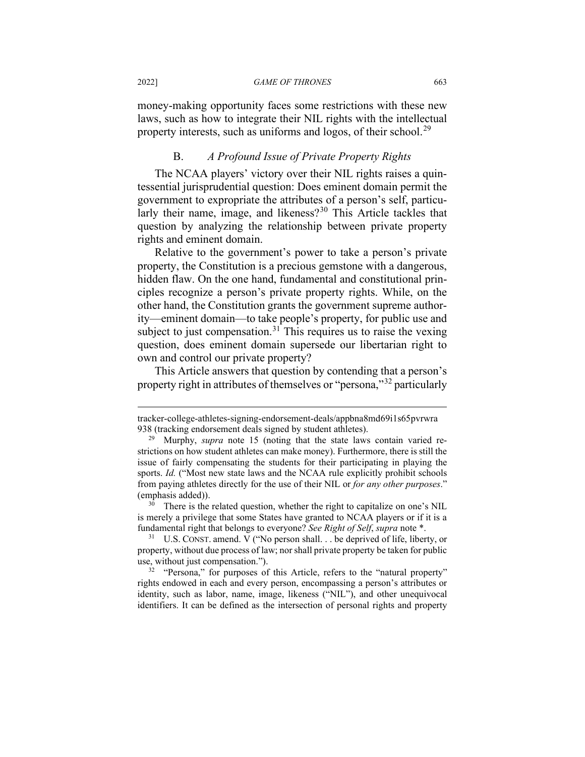money-making opportunity faces some restrictions with these new laws, such as how to integrate their NIL rights with the intellectual property interests, such as uniforms and logos, of their school.<sup>[29](#page-11-0)</sup>

### B. *A Profound Issue of Private Property Rights*

The NCAA players' victory over their NIL rights raises a quintessential jurisprudential question: Does eminent domain permit the government to expropriate the attributes of a person's self, particu-larly their name, image, and likeness?<sup>[30](#page-11-1)</sup> This Article tackles that question by analyzing the relationship between private property rights and eminent domain.

Relative to the government's power to take a person's private property, the Constitution is a precious gemstone with a dangerous, hidden flaw. On the one hand, fundamental and constitutional principles recognize a person's private property rights. While, on the other hand, the Constitution grants the government supreme authority—eminent domain—to take people's property, for public use and subject to just compensation.<sup>[31](#page-11-2)</sup> This requires us to raise the vexing question, does eminent domain supersede our libertarian right to own and control our private property?

This Article answers that question by contending that a person's property right in attributes of themselves or "persona,"[32](#page-11-3) particularly

tracker-college-athletes-signing-endorsement-deals/appbna8md69i1s65pvrwra 938 (tracking endorsement deals signed by student athletes).

<span id="page-11-0"></span><sup>29</sup> Murphy, *supra* note 15 (noting that the state laws contain varied restrictions on how student athletes can make money). Furthermore, there is still the issue of fairly compensating the students for their participating in playing the sports. *Id.* ("Most new state laws and the NCAA rule explicitly prohibit schools from paying athletes directly for the use of their NIL or *for any other purposes*." (emphasis added)).

<span id="page-11-1"></span><sup>&</sup>lt;sup>30</sup> There is the related question, whether the right to capitalize on one's NIL is merely a privilege that some States have granted to NCAA players or if it is a fundamental right that belongs to everyone? *See Right of Self*, *supra* note \*.

<span id="page-11-2"></span> $31$  U.S. CONST. amend. V ("No person shall... be deprived of life, liberty, or property, without due process of law; nor shall private property be taken for public use, without just compensation.").

<span id="page-11-3"></span><sup>&</sup>lt;sup>32</sup> "Persona," for purposes of this Article, refers to the "natural property" rights endowed in each and every person, encompassing a person's attributes or identity, such as labor, name, image, likeness ("NIL"), and other unequivocal identifiers. It can be defined as the intersection of personal rights and property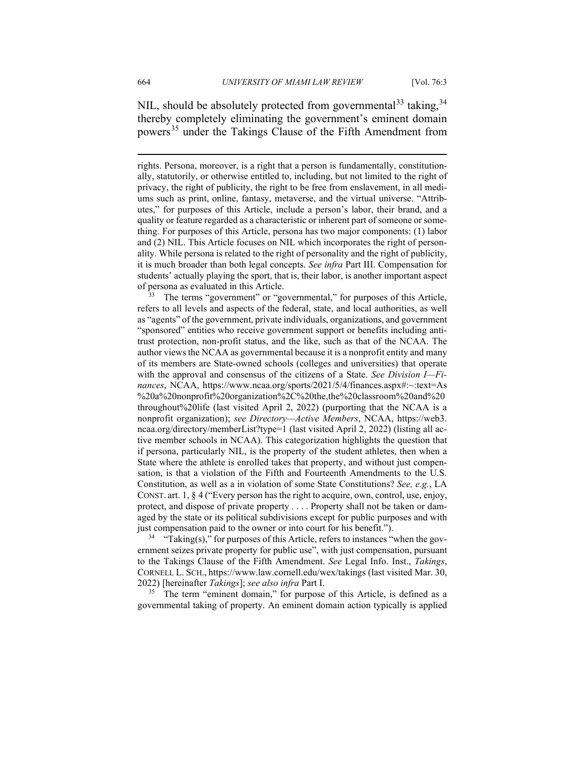NIL, should be absolutely protected from governmental<sup>[33](#page-12-0)</sup> taking,<sup>[34](#page-12-1)</sup> thereby completely eliminating the government's eminent domain powers<sup>[35](#page-12-2)</sup> under the Takings Clause of the Fifth Amendment from

<span id="page-12-0"></span><sup>33</sup> The terms "government" or "governmental," for purposes of this Article, refers to all levels and aspects of the federal, state, and local authorities, as well as "agents" of the government, private individuals, organizations, and government "sponsored" entities who receive government support or benefits including antitrust protection, non-profit status, and the like, such as that of the NCAA. The author views the NCAA as governmental because it is a nonprofit entity and many of its members are State-owned schools (colleges and universities) that operate with the approval and consensus of the citizens of a State. *See Division I—Finances*, NCAA, https://www.ncaa.org/sports/2021/5/4/finances.aspx#:~:text=As %20a%20nonprofit%20organization%2C%20the,the%20classroom%20and%20 throughout%20life (last visited April 2, 2022) (purporting that the NCAA is a nonprofit organization); *see Directory—Active Members*, NCAA, https://web3. ncaa.org/directory/memberList?type=1 (last visited April 2, 2022) (listing all active member schools in NCAA). This categorization highlights the question that if persona, particularly NIL, is the property of the student athletes, then when a State where the athlete is enrolled takes that property, and without just compensation, is that a violation of the Fifth and Fourteenth Amendments to the U.S. Constitution, as well as a in violation of some State Constitutions? *See, e.g.*, LA CONST. art. 1, § 4 ("Every person has the right to acquire, own, control, use, enjoy, protect, and dispose of private property . . . . Property shall not be taken or damaged by the state or its political subdivisions except for public purposes and with just compensation paid to the owner or into court for his benefit.").

<span id="page-12-1"></span> $34$  "Taking(s)," for purposes of this Article, refers to instances "when the government seizes private property for public use", with just compensation, pursuant to the Takings Clause of the Fifth Amendment. *See* Legal Info. Inst., *Takings*, CORNELL L. SCH., https://www.law.cornell.edu/wex/takings (last visited Mar. 30, 2022) [hereinafter *Takings*]; *see also infra* Part I.

<span id="page-12-2"></span><sup>35</sup> The term "eminent domain," for purpose of this Article, is defined as a governmental taking of property. An eminent domain action typically is applied

rights. Persona, moreover, is a right that a person is fundamentally, constitutionally, statutorily, or otherwise entitled to, including, but not limited to the right of privacy, the right of publicity, the right to be free from enslavement, in all mediums such as print, online, fantasy, metaverse, and the virtual universe. "Attributes," for purposes of this Article, include a person's labor, their brand, and a quality or feature regarded as a characteristic or inherent part of someone or something. For purposes of this Article, persona has two major components: (1) labor and (2) NIL. This Article focuses on NIL which incorporates the right of personality. While persona is related to the right of personality and the right of publicity, it is much broader than both legal concepts. *See infra* Part III. Compensation for students' actually playing the sport, that is, their labor, is another important aspect of persona as evaluated in this Article.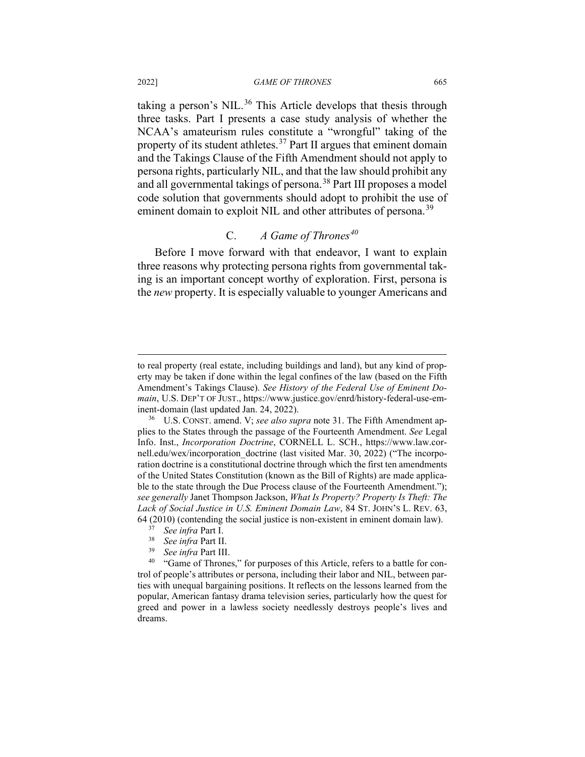taking a person's NIL.<sup>[36](#page-13-0)</sup> This Article develops that thesis through three tasks. Part I presents a case study analysis of whether the NCAA's amateurism rules constitute a "wrongful" taking of the property of its student athletes.<sup>[37](#page-13-1)</sup> Part II argues that eminent domain and the Takings Clause of the Fifth Amendment should not apply to persona rights, particularly NIL, and that the law should prohibit any and all governmental takings of persona.<sup>[38](#page-13-2)</sup> Part III proposes a model code solution that governments should adopt to prohibit the use of eminent domain to exploit NIL and other attributes of persona.<sup>[39](#page-13-3)</sup>

# C. *A Game of Thrones[40](#page-13-4)*

Before I move forward with that endeavor, I want to explain three reasons why protecting persona rights from governmental taking is an important concept worthy of exploration. First, persona is the *new* property. It is especially valuable to younger Americans and

to real property (real estate, including buildings and land), but any kind of property may be taken if done within the legal confines of the law (based on the Fifth Amendment's Takings Clause). *See History of the Federal Use of Eminent Domain*, U.S. DEP'T OF JUST., https://www.justice.gov/enrd/history-federal-use-eminent-domain (last updated Jan. 24, 2022).

<span id="page-13-0"></span>U.S. CONST. amend. V; see also supra note 31. The Fifth Amendment applies to the States through the passage of the Fourteenth Amendment. *See* Legal Info. Inst., *Incorporation Doctrine*, CORNELL L. SCH., https://www.law.cornell.edu/wex/incorporation doctrine (last visited Mar. 30, 2022) ("The incorporation doctrine is a constitutional doctrine through which the first ten amendments of the United States Constitution (known as the Bill of Rights) are made applicable to the state through the Due Process clause of the Fourteenth Amendment."); *see generally* Janet Thompson Jackson, *What Is Property? Property Is Theft: The Lack of Social Justice in U.S. Eminent Domain Law*, 84 ST. JOHN'S L. REV. 63, 64 (2010) (contending the social justice is non-existent in eminent domain law).

<sup>37</sup> *See infra* Part I.

<sup>38</sup> *See infra* Part II.

<sup>39</sup> *See infra* Part III.

<span id="page-13-4"></span><span id="page-13-3"></span><span id="page-13-2"></span><span id="page-13-1"></span><sup>&</sup>lt;sup>40</sup> "Game of Thrones," for purposes of this Article, refers to a battle for control of people's attributes or persona, including their labor and NIL, between parties with unequal bargaining positions. It reflects on the lessons learned from the popular, American fantasy drama television series, particularly how the quest for greed and power in a lawless society needlessly destroys people's lives and dreams.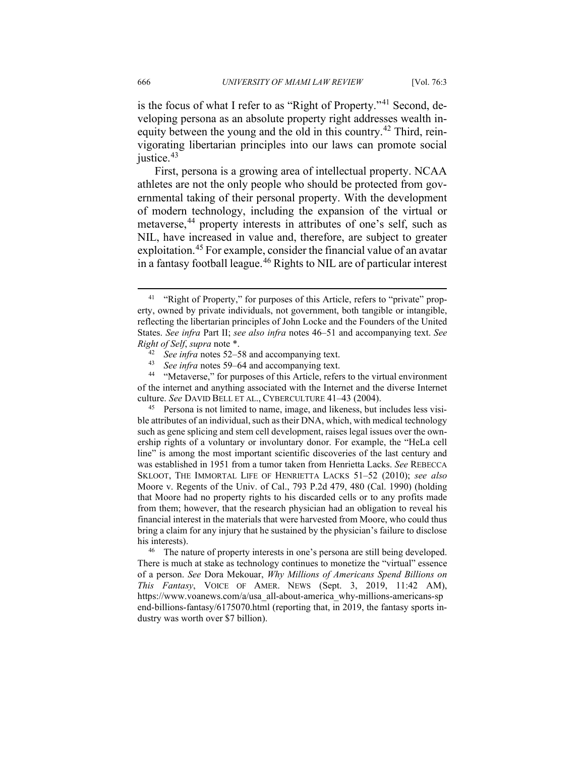is the focus of what I refer to as "Right of Property."<sup>[41](#page-14-0)</sup> Second, developing persona as an absolute property right addresses wealth in-equity between the young and the old in this country.<sup>[42](#page-14-1)</sup> Third, reinvigorating libertarian principles into our laws can promote social justice.<sup>[43](#page-14-2)</sup>

First, persona is a growing area of intellectual property. NCAA athletes are not the only people who should be protected from governmental taking of their personal property. With the development of modern technology, including the expansion of the virtual or metaverse,<sup>[44](#page-14-3)</sup> property interests in attributes of one's self, such as NIL, have increased in value and, therefore, are subject to greater exploitation.[45](#page-14-4) For example, consider the financial value of an avatar in a fantasy football league.[46](#page-14-5) Rights to NIL are of particular interest

<span id="page-14-4"></span>Persona is not limited to name, image, and likeness, but includes less visible attributes of an individual, such as their DNA, which, with medical technology such as gene splicing and stem cell development, raises legal issues over the ownership rights of a voluntary or involuntary donor. For example, the "HeLa cell line" is among the most important scientific discoveries of the last century and was established in 1951 from a tumor taken from Henrietta Lacks. *See* REBECCA SKLOOT, THE IMMORTAL LIFE OF HENRIETTA LACKS 51–52 (2010); *see also* Moore v. Regents of the Univ. of Cal., 793 P.2d 479, 480 (Cal. 1990) (holding that Moore had no property rights to his discarded cells or to any profits made from them; however, that the research physician had an obligation to reveal his financial interest in the materials that were harvested from Moore, who could thus bring a claim for any injury that he sustained by the physician's failure to disclose his interests).<br> $^{46}$  The na

<span id="page-14-5"></span>The nature of property interests in one's persona are still being developed. There is much at stake as technology continues to monetize the "virtual" essence of a person. *See* Dora Mekouar, *Why Millions of Americans Spend Billions on This Fantasy*, VOICE OF AMER. NEWS (Sept. 3, 2019, 11:42 AM), https://www.voanews.com/a/usa\_all-about-america\_why-millions-americans-sp end-billions-fantasy/6175070.html (reporting that, in 2019, the fantasy sports industry was worth over \$7 billion).

<span id="page-14-0"></span><sup>&</sup>lt;sup>41</sup> "Right of Property," for purposes of this Article, refers to "private" property, owned by private individuals, not government, both tangible or intangible, reflecting the libertarian principles of John Locke and the Founders of the United States. *See infra* Part II; *see also infra* notes 46–51 and accompanying text. *See Right of Self*, *supra* note \*.

<sup>&</sup>lt;sup>42</sup> *See infra* notes 52–58 and accompanying text.<br><sup>43</sup> *See infra* notes 59–64 and accompanying text

<sup>&</sup>lt;sup>43</sup> *See infra* notes 59–64 and accompanying text.<br><sup>44</sup> "Metaverse" for purposes of this Article refer

<span id="page-14-3"></span><span id="page-14-2"></span><span id="page-14-1"></span><sup>&</sup>quot;Metaverse," for purposes of this Article, refers to the virtual environment of the internet and anything associated with the Internet and the diverse Internet culture. *See* DAVID BELL ET AL., CYBERCULTURE 41–43 (2004).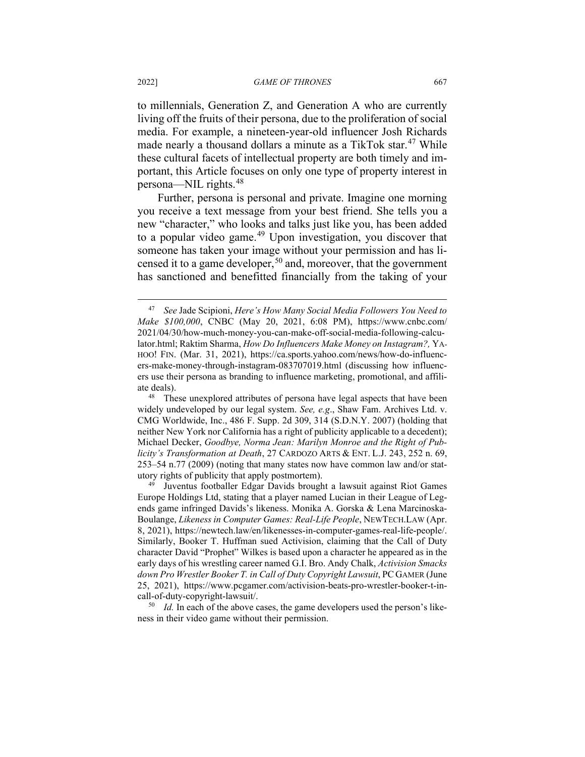to millennials, Generation Z, and Generation A who are currently living off the fruits of their persona, due to the proliferation of social media. For example, a nineteen-year-old influencer Josh Richards made nearly a thousand dollars a minute as a TikTok star.<sup>[47](#page-15-0)</sup> While these cultural facets of intellectual property are both timely and important, this Article focuses on only one type of property interest in persona—NIL rights.[48](#page-15-1)

Further, persona is personal and private. Imagine one morning you receive a text message from your best friend. She tells you a new "character," who looks and talks just like you, has been added to a popular video game.<sup>[49](#page-15-2)</sup> Upon investigation, you discover that someone has taken your image without your permission and has licensed it to a game developer,  $50$  and, moreover, that the government has sanctioned and benefitted financially from the taking of your

<span id="page-15-0"></span><sup>47</sup> *See* Jade Scipioni, *Here's How Many Social Media Followers You Need to Make \$100,000*, CNBC (May 20, 2021, 6:08 PM), https://www.cnbc.com/ 2021/04/30/how-much-money-you-can-make-off-social-media-following-calculator.html; Raktim Sharma, *How Do Influencers Make Money on Instagram?,* YA-HOO! FIN. (Mar. 31, 2021), https://ca.sports.yahoo.com/news/how-do-influencers-make-money-through-instagram-083707019.html (discussing how influencers use their persona as branding to influence marketing, promotional, and affiliate deals).

<span id="page-15-1"></span><sup>&</sup>lt;sup>48</sup> These unexplored attributes of persona have legal aspects that have been widely undeveloped by our legal system. *See, e.g*., Shaw Fam. Archives Ltd. v. CMG Worldwide, Inc., 486 F. Supp. 2d 309, 314 (S.D.N.Y. 2007) (holding that neither New York nor California has a right of publicity applicable to a decedent); Michael Decker, *Goodbye, Norma Jean: Marilyn Monroe and the Right of Publicity's Transformation at Death*, 27 CARDOZO ARTS & ENT. L.J. 243, 252 n. 69, 253–54 n.77 (2009) (noting that many states now have common law and/or statutory rights of publicity that apply postmortem).

<span id="page-15-2"></span><sup>49</sup> Juventus footballer Edgar Davids brought a lawsuit against Riot Games Europe Holdings Ltd, stating that a player named Lucian in their League of Legends game infringed Davids's likeness. Monika A. Gorska & Lena Marcinoska-Boulange, *Likeness in Computer Games: Real-Life People*, NEWTECH.LAW (Apr. 8, 2021), https://newtech.law/en/likenesses-in-computer-games-real-life-people/. Similarly, Booker T. Huffman sued Activision, claiming that the Call of Duty character David "Prophet" Wilkes is based upon a character he appeared as in the early days of his wrestling career named G.I. Bro. Andy Chalk, *Activision Smacks down Pro Wrestler Booker T. in Call of Duty Copyright Lawsuit*, PC GAMER (June 25, 2021), https://www.pcgamer.com/activision-beats-pro-wrestler-booker-t-incall-of-duty-copyright-lawsuit/.

<span id="page-15-3"></span><sup>50</sup> *Id.* In each of the above cases, the game developers used the person's likeness in their video game without their permission.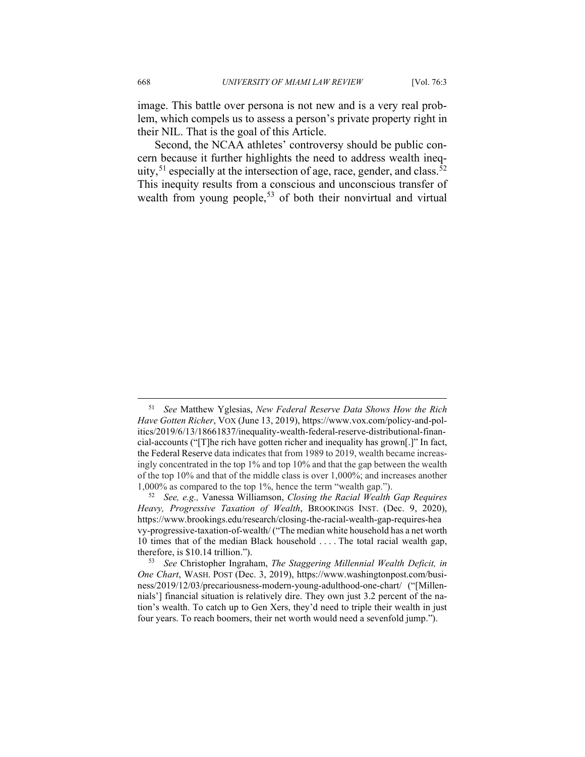image. This battle over persona is not new and is a very real problem, which compels us to assess a person's private property right in their NIL. That is the goal of this Article.

Second, the NCAA athletes' controversy should be public concern because it further highlights the need to address wealth ineq-uity,<sup>[51](#page-16-0)</sup> especially at the intersection of age, race, gender, and class.<sup>[52](#page-16-1)</sup> This inequity results from a conscious and unconscious transfer of wealth from young people,<sup>[53](#page-16-2)</sup> of both their nonvirtual and virtual

<span id="page-16-0"></span><sup>51</sup> *See* Matthew Yglesias, *New Federal Reserve Data Shows How the Rich Have Gotten Richer*, VOX (June 13, 2019), https://www.vox.com/policy-and-politics/2019/6/13/18661837/inequality-wealth-federal-reserve-distributional-financial-accounts ("[T]he rich have gotten richer and inequality has grown[.]" In fact, the Federal Reserve data indicates that from 1989 to 2019, wealth became increasingly concentrated in the top 1% and top 10% and that the gap between the wealth of the top 10% and that of the middle class is over 1,000%; and increases another 1,000% as compared to the top 1%, hence the term "wealth gap.").

<span id="page-16-1"></span><sup>52</sup> *See, e.g.,* Vanessa Williamson, *Closing the Racial Wealth Gap Requires Heavy, Progressive Taxation of Wealth*, BROOKINGS INST. (Dec. 9, 2020), https://www.brookings.edu/research/closing-the-racial-wealth-gap-requires-hea vy-progressive-taxation-of-wealth/ ("The median white household has a net worth 10 times that of the median Black household . . . . The total racial wealth gap, therefore, is \$10.14 trillion.").

<span id="page-16-2"></span><sup>53</sup> *See* Christopher Ingraham, *The Staggering Millennial Wealth Deficit, in One Chart*, WASH. POST (Dec. 3, 2019), https://www.washingtonpost.com/business/2019/12/03/precariousness-modern-young-adulthood-one-chart/ ("[Millennials'] financial situation is relatively dire. They own just 3.2 percent of the nation's wealth. To catch up to Gen Xers, they'd need to triple their wealth in just four years. To reach boomers, their net worth would need a sevenfold jump.").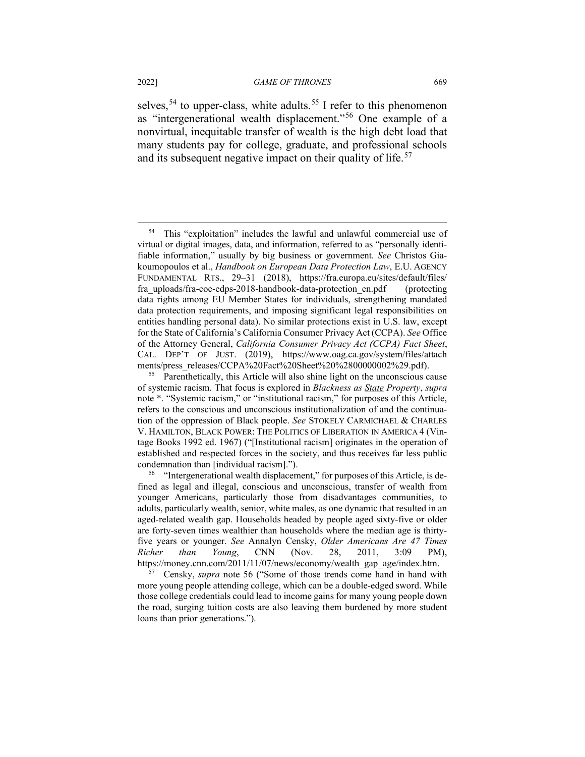selves,<sup>[54](#page-17-0)</sup> to upper-class, white adults.<sup>[55](#page-17-1)</sup> I refer to this phenomenon as "intergenerational wealth displacement."[56](#page-17-2) One example of a nonvirtual, inequitable transfer of wealth is the high debt load that many students pay for college, graduate, and professional schools and its subsequent negative impact on their quality of life.<sup>[57](#page-17-3)</sup>

<span id="page-17-3"></span><sup>57</sup> Censky, *supra* note 56 ("Some of those trends come hand in hand with more young people attending college, which can be a double-edged sword. While those college credentials could lead to income gains for many young people down the road, surging tuition costs are also leaving them burdened by more student loans than prior generations.").

<span id="page-17-0"></span><sup>54</sup> This "exploitation" includes the lawful and unlawful commercial use of virtual or digital images, data, and information, referred to as "personally identifiable information," usually by big business or government. *See* Christos Giakoumopoulos et al., *Handbook on European Data Protection Law*, E.U. AGENCY FUNDAMENTAL RTS., 29–31 (2018), https://fra.europa.eu/sites/default/files/ fra uploads/fra-coe-edps-2018-handbook-data-protection en.pdf (protecting data rights among EU Member States for individuals, strengthening mandated data protection requirements, and imposing significant legal responsibilities on entities handling personal data). No similar protections exist in U.S. law, except for the State of California's California Consumer Privacy Act (CCPA). *See* Office of the Attorney General, *California Consumer Privacy Act (CCPA) Fact Sheet*, CAL. DEP'T OF JUST. (2019), https://www.oag.ca.gov/system/files/attach ments/press\_releases/CCPA%20Fact%20Sheet%20%280000002%29.pdf).

<span id="page-17-1"></span><sup>&</sup>lt;sup>55</sup> Parenthetically, this Article will also shine light on the unconscious cause of systemic racism. That focus is explored in *Blackness as State Property*, *supra* note \*. "Systemic racism," or "institutional racism," for purposes of this Article, refers to the conscious and unconscious institutionalization of and the continuation of the oppression of Black people. *See* STOKELY CARMICHAEL & CHARLES V. HAMILTON, BLACK POWER: THE POLITICS OF LIBERATION IN AMERICA 4 (Vintage Books 1992 ed. 1967) ("[Institutional racism] originates in the operation of established and respected forces in the society, and thus receives far less public condemnation than [individual racism].").

<span id="page-17-2"></span><sup>&</sup>lt;sup>56</sup> "Intergenerational wealth displacement," for purposes of this Article, is defined as legal and illegal, conscious and unconscious, transfer of wealth from younger Americans, particularly those from disadvantages communities, to adults, particularly wealth, senior, white males, as one dynamic that resulted in an aged-related wealth gap. Households headed by people aged sixty-five or older are forty-seven times wealthier than households where the median age is thirtyfive years or younger. *See* Annalyn Censky, *Older Americans Are 47 Times Richer than Young*, CNN (Nov. 28, 2011, 3:09 PM), https://money.cnn.com/2011/11/07/news/economy/wealth\_gap\_age/index.htm.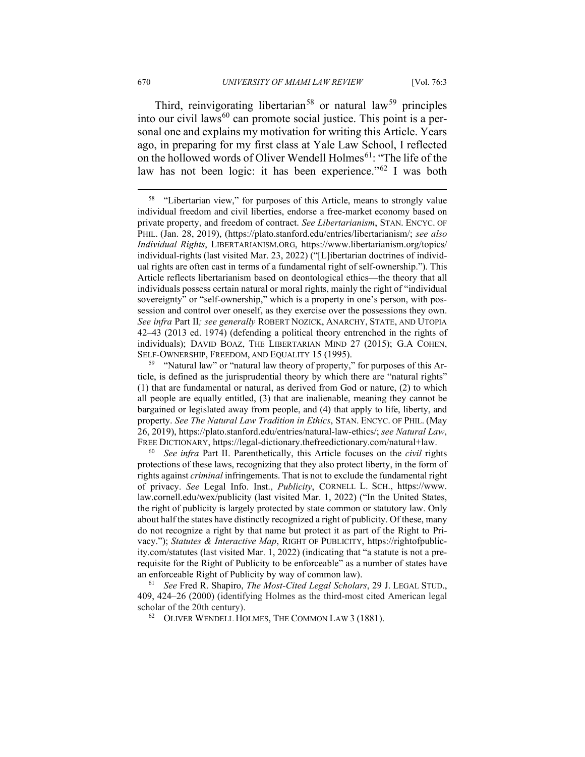Third, reinvigorating libertarian<sup>[58](#page-18-0)</sup> or natural law<sup>[59](#page-18-1)</sup> principles into our civil laws<sup>[60](#page-18-2)</sup> can promote social justice. This point is a personal one and explains my motivation for writing this Article. Years ago, in preparing for my first class at Yale Law School, I reflected on the hollowed words of Oliver Wendell Holmes<sup>[61](#page-18-3)</sup>: "The life of the law has not been logic: it has been experience."<sup>[62](#page-18-4)</sup> I was both

 $62$  OLIVER WENDELL HOLMES, THE COMMON LAW 3 (1881).

<span id="page-18-0"></span><sup>&</sup>lt;sup>58</sup> "Libertarian view," for purposes of this Article, means to strongly value individual freedom and civil liberties, endorse a free-market economy based on private property, and freedom of contract. *See Libertarianism*, STAN. ENCYC. OF PHIL. (Jan. 28, 2019), (https://plato.stanford.edu/entries/libertarianism/; *see also Individual Rights*, LIBERTARIANISM.ORG, https://www.libertarianism.org/topics/ individual-rights (last visited Mar. 23, 2022) ("[L]ibertarian doctrines of individual rights are often cast in terms of a fundamental right of self-ownership."). This Article reflects libertarianism based on deontological ethics—the theory that all individuals possess certain natural or moral rights, mainly the right of "individual sovereignty" or "self-ownership," which is a property in one's person, with possession and control over oneself, as they exercise over the possessions they own. *See infra* Part II*; see generally* ROBERT NOZICK, ANARCHY, STATE, AND UTOPIA 42–43 (2013 ed. 1974) (defending a political theory entrenched in the rights of individuals); DAVID BOAZ, THE LIBERTARIAN MIND 27 (2015); G.A COHEN, SELF-OWNERSHIP, FREEDOM, AND EQUALITY 15 (1995).

<span id="page-18-1"></span><sup>&</sup>lt;sup>59</sup> "Natural law" or "natural law theory of property," for purposes of this Article, is defined as the jurisprudential theory by which there are "natural rights" (1) that are fundamental or natural, as derived from God or nature, (2) to which all people are equally entitled, (3) that are inalienable, meaning they cannot be bargained or legislated away from people, and (4) that apply to life, liberty, and property. *See The Natural Law Tradition in Ethics*, STAN. ENCYC. OF PHIL. (May 26, 2019), https://plato.stanford.edu/entries/natural-law-ethics/; *see Natural Law*, FREE DICTIONARY, https://legal-dictionary.thefreedictionary.com/natural+law.

<span id="page-18-2"></span><sup>60</sup> *See infra* Part II. Parenthetically, this Article focuses on the *civil* rights protections of these laws, recognizing that they also protect liberty, in the form of rights against *criminal* infringements. That is not to exclude the fundamental right of privacy. *See* Legal Info. Inst., *Publicity*, CORNELL L. SCH., https://www. law.cornell.edu/wex/publicity (last visited Mar. 1, 2022) ("In the United States, the right of publicity is largely protected by state common or statutory law. Only about half the states have distinctly recognized a right of publicity. Of these, many do not recognize a right by that name but protect it as part of the Right to Privacy."); *Statutes & Interactive Map*, RIGHT OF PUBLICITY, https://rightofpublicity.com/statutes (last visited Mar. 1, 2022) (indicating that "a statute is not a prerequisite for the Right of Publicity to be enforceable" as a number of states have an enforceable Right of Publicity by way of common law).

<span id="page-18-4"></span><span id="page-18-3"></span><sup>61</sup> *See* Fred R. Shapiro, *The Most-Cited Legal Scholars*, 29 J. LEGAL STUD., 409, 424–26 (2000) (identifying Holmes as the third-most cited American legal scholar of the 20th century).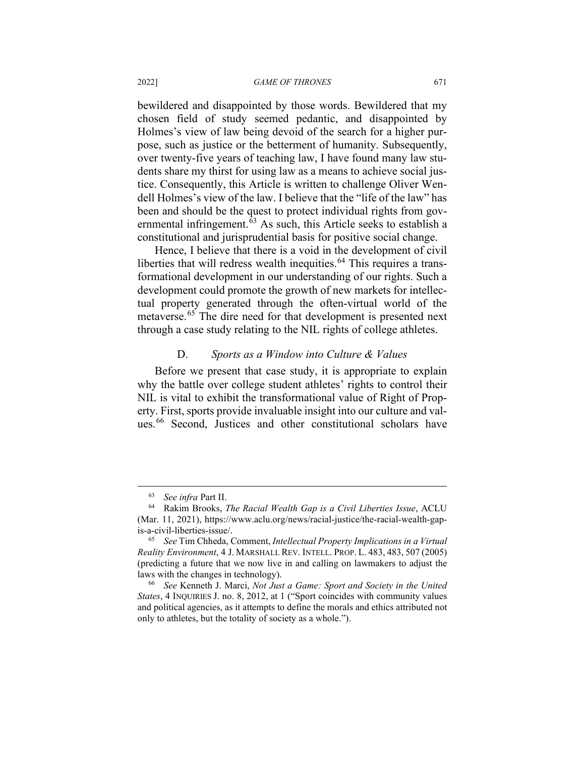bewildered and disappointed by those words. Bewildered that my chosen field of study seemed pedantic, and disappointed by Holmes's view of law being devoid of the search for a higher purpose, such as justice or the betterment of humanity. Subsequently, over twenty-five years of teaching law, I have found many law students share my thirst for using law as a means to achieve social justice. Consequently, this Article is written to challenge Oliver Wendell Holmes's view of the law. I believe that the "life of the law" has been and should be the quest to protect individual rights from gov-ernmental infringement.<sup>[63](#page-19-0)</sup> As such, this Article seeks to establish a constitutional and jurisprudential basis for positive social change.

Hence, I believe that there is a void in the development of civil liberties that will redress wealth inequities.<sup>[64](#page-19-1)</sup> This requires a transformational development in our understanding of our rights. Such a development could promote the growth of new markets for intellectual property generated through the often-virtual world of the metaverse. [65](#page-19-2) The dire need for that development is presented next through a case study relating to the NIL rights of college athletes.

## D. *Sports as a Window into Culture & Values*

Before we present that case study, it is appropriate to explain why the battle over college student athletes' rights to control their NIL is vital to exhibit the transformational value of Right of Property. First, sports provide invaluable insight into our culture and val-ues.<sup>[66](#page-19-3)</sup> Second, Justices and other constitutional scholars have

<sup>63</sup> *See infra* Part II.

<span id="page-19-1"></span><span id="page-19-0"></span><sup>64</sup> Rakim Brooks, *The Racial Wealth Gap is a Civil Liberties Issue*, ACLU (Mar. 11, 2021), https://www.aclu.org/news/racial-justice/the-racial-wealth-gapis-a-civil-liberties-issue/.

<span id="page-19-2"></span><sup>65</sup> *See* Tim Chheda, Comment, *Intellectual Property Implications in a Virtual Reality Environment*, 4 J. MARSHALL REV. INTELL. PROP. L. 483, 483, 507 (2005) (predicting a future that we now live in and calling on lawmakers to adjust the laws with the changes in technology).

<span id="page-19-3"></span><sup>66</sup> *See* Kenneth J. Marci, *Not Just a Game: Sport and Society in the United States*, 4 INQUIRIES J. no. 8, 2012, at 1 ("Sport coincides with community values and political agencies, as it attempts to define the morals and ethics attributed not only to athletes, but the totality of society as a whole.").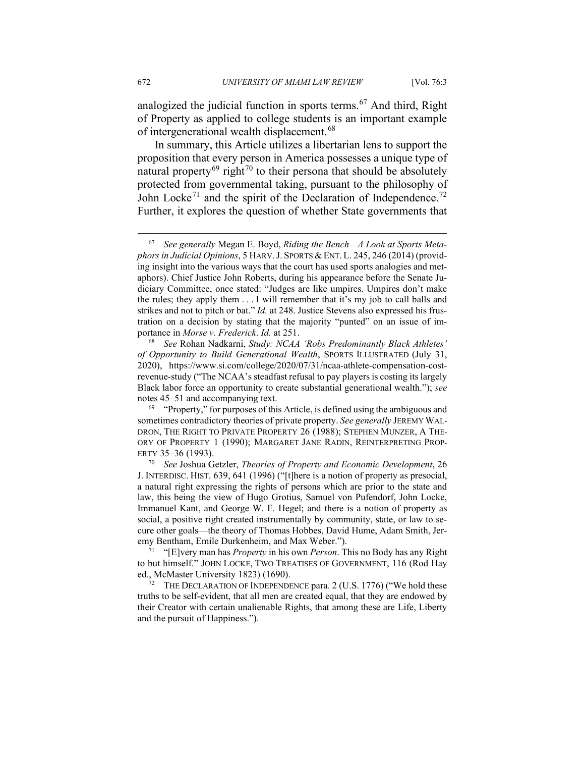analogized the judicial function in sports terms.<sup>[67](#page-20-0)</sup> And third, Right of Property as applied to college students is an important example of intergenerational wealth displacement.[68](#page-20-1)

In summary, this Article utilizes a libertarian lens to support the proposition that every person in America possesses a unique type of natural property<sup>[69](#page-20-2)</sup> right<sup>[70](#page-20-3)</sup> to their persona that should be absolutely protected from governmental taking, pursuant to the philosophy of John Locke<sup>[71](#page-20-4)</sup> and the spirit of the Declaration of Independence.<sup>[72](#page-20-5)</sup> Further, it explores the question of whether State governments that

<span id="page-20-1"></span><sup>68</sup> *See* Rohan Nadkarni, *Study: NCAA 'Robs Predominantly Black Athletes' of Opportunity to Build Generational Wealth*, SPORTS ILLUSTRATED (July 31, 2020), https://www.si.com/college/2020/07/31/ncaa-athlete-compensation-costrevenue-study ("The NCAA's steadfast refusal to pay players is costing its largely Black labor force an opportunity to create substantial generational wealth."); *see*  notes 45–51 and accompanying text.

<span id="page-20-2"></span> $69$  "Property," for purposes of this Article, is defined using the ambiguous and sometimes contradictory theories of private property. *See generally* JEREMY WAL-DRON, THE RIGHT TO PRIVATE PROPERTY 26 (1988); STEPHEN MUNZER, A THE-ORY OF PROPERTY 1 (1990); MARGARET JANE RADIN, REINTERPRETING PROP-ERTY 35–36 (1993).

<span id="page-20-4"></span><sup>71</sup> "[E]very man has *Property* in his own *Person*. This no Body has any Right to but himself." JOHN LOCKE, TWO TREATISES OF GOVERNMENT, 116 (Rod Hay ed., McMaster University 1823) (1690).

<span id="page-20-5"></span><sup>72</sup> THE DECLARATION OF INDEPENDENCE para. 2 (U.S. 1776) ("We hold these truths to be self-evident, that all men are created equal, that they are endowed by their Creator with certain unalienable Rights, that among these are Life, Liberty and the pursuit of Happiness.").

<span id="page-20-0"></span><sup>67</sup> *See generally* Megan E. Boyd, *Riding the Bench—A Look at Sports Metaphors in Judicial Opinions*, 5 HARV.J. SPORTS & ENT. L. 245, 246 (2014) (providing insight into the various ways that the court has used sports analogies and metaphors). Chief Justice John Roberts, during his appearance before the Senate Judiciary Committee, once stated: "Judges are like umpires. Umpires don't make the rules; they apply them . . . I will remember that it's my job to call balls and strikes and not to pitch or bat." *Id.* at 248. Justice Stevens also expressed his frustration on a decision by stating that the majority "punted" on an issue of importance in *Morse v. Frederick*. *Id.* at 251.

<span id="page-20-3"></span><sup>70</sup> *See* Joshua Getzler, *Theories of Property and Economic Development*, 26 J. INTERDISC. HIST. 639, 641 (1996) ("[t]here is a notion of property as presocial, a natural right expressing the rights of persons which are prior to the state and law, this being the view of Hugo Grotius, Samuel von Pufendorf, John Locke, Immanuel Kant, and George W. F. Hegel; and there is a notion of property as social, a positive right created instrumentally by community, state, or law to secure other goals—the theory of Thomas Hobbes, David Hume, Adam Smith, Jeremy Bentham, Emile Durkenheim, and Max Weber.").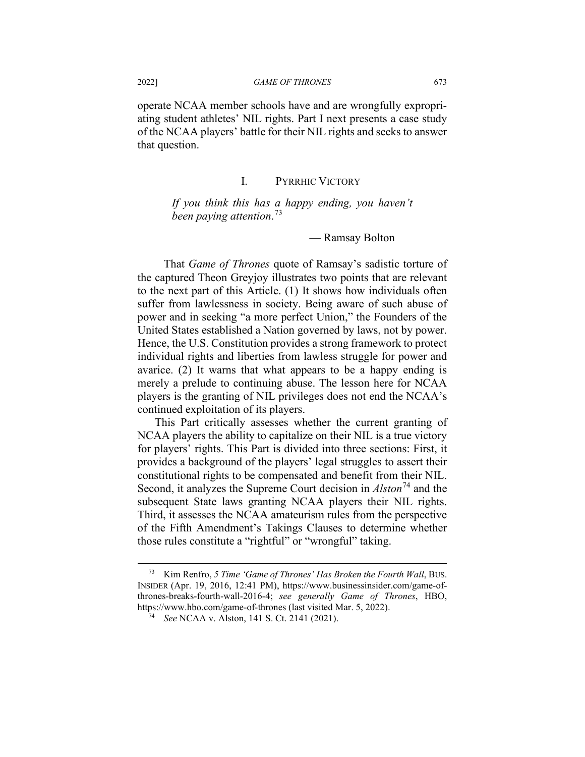operate NCAA member schools have and are wrongfully expropriating student athletes' NIL rights. Part I next presents a case study of the NCAA players' battle for their NIL rights and seeks to answer that question.

# I. PYRRHIC VICTORY

*If you think this has a happy ending, you haven't been paying attention*. [73](#page-21-0)

— Ramsay Bolton

That *Game of Thrones* quote of Ramsay's sadistic torture of the captured Theon Greyjoy illustrates two points that are relevant to the next part of this Article. (1) It shows how individuals often suffer from lawlessness in society. Being aware of such abuse of power and in seeking "a more perfect Union," the Founders of the United States established a Nation governed by laws, not by power. Hence, the U.S. Constitution provides a strong framework to protect individual rights and liberties from lawless struggle for power and avarice. (2) It warns that what appears to be a happy ending is merely a prelude to continuing abuse. The lesson here for NCAA players is the granting of NIL privileges does not end the NCAA's continued exploitation of its players.

This Part critically assesses whether the current granting of NCAA players the ability to capitalize on their NIL is a true victory for players' rights. This Part is divided into three sections: First, it provides a background of the players' legal struggles to assert their constitutional rights to be compensated and benefit from their NIL. Second, it analyzes the Supreme Court decision in *Alston*[74](#page-21-1) and the subsequent State laws granting NCAA players their NIL rights. Third, it assesses the NCAA amateurism rules from the perspective of the Fifth Amendment's Takings Clauses to determine whether those rules constitute a "rightful" or "wrongful" taking.

<span id="page-21-1"></span><span id="page-21-0"></span><sup>73</sup> Kim Renfro, *5 Time 'Game of Thrones' Has Broken the Fourth Wall*, BUS. INSIDER (Apr. 19, 2016, 12:41 PM), https://www.businessinsider.com/game-ofthrones-breaks-fourth-wall-2016-4; *see generally Game of Thrones*, HBO, https://www.hbo.com/game-of-thrones (last visited Mar. 5, 2022). 74 *See* NCAA v. Alston, 141 S. Ct. 2141 (2021).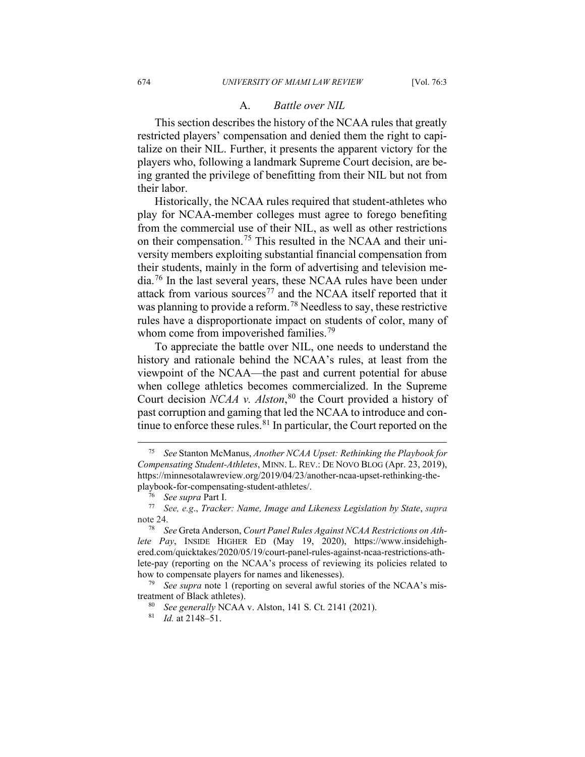#### A. *Battle over NIL*

This section describes the history of the NCAA rules that greatly restricted players' compensation and denied them the right to capitalize on their NIL. Further, it presents the apparent victory for the players who, following a landmark Supreme Court decision, are being granted the privilege of benefitting from their NIL but not from their labor.

Historically, the NCAA rules required that student-athletes who play for NCAA-member colleges must agree to forego benefiting from the commercial use of their NIL, as well as other restrictions on their compensation.<sup>[75](#page-22-0)</sup> This resulted in the NCAA and their university members exploiting substantial financial compensation from their students, mainly in the form of advertising and television me-dia.<sup>[76](#page-22-1)</sup> In the last several years, these NCAA rules have been under attack from various sources<sup>[77](#page-22-2)</sup> and the NCAA itself reported that it was planning to provide a reform.<sup>[78](#page-22-3)</sup> Needless to say, these restrictive rules have a disproportionate impact on students of color, many of whom come from impoverished families.<sup>[79](#page-22-4)</sup>

To appreciate the battle over NIL, one needs to understand the history and rationale behind the NCAA's rules, at least from the viewpoint of the NCAA—the past and current potential for abuse when college athletics becomes commercialized. In the Supreme Court decision *NCAA v. Alston*, [80](#page-22-5) the Court provided a history of past corruption and gaming that led the NCAA to introduce and continue to enforce these rules. $81$  In particular, the Court reported on the

<span id="page-22-0"></span><sup>75</sup> *See* Stanton McManus, *Another NCAA Upset: Rethinking the Playbook for Compensating Student-Athletes*, MINN. L. REV.: DE NOVO BLOG (Apr. 23, 2019), https://minnesotalawreview.org/2019/04/23/another-ncaa-upset-rethinking-theplaybook-for-compensating-student-athletes/.

<sup>76</sup> *See supra* Part I.

<span id="page-22-2"></span><span id="page-22-1"></span><sup>77</sup> *See, e.g*., *Tracker: Name, Image and Likeness Legislation by State*, *supra* note 24.

<span id="page-22-3"></span><sup>78</sup> *See* Greta Anderson, *Court Panel Rules Against NCAA Restrictions on Athlete Pay*, INSIDE HIGHER ED (May 19, 2020), https://www.insidehighered.com/quicktakes/2020/05/19/court-panel-rules-against-ncaa-restrictions-athlete-pay (reporting on the NCAA's process of reviewing its policies related to how to compensate players for names and likenesses).

<span id="page-22-6"></span><span id="page-22-5"></span><span id="page-22-4"></span><sup>79</sup> *See supra* note 1 (reporting on several awful stories of the NCAA's mistreatment of Black athletes).

<sup>80</sup> *See generally* NCAA v. Alston, 141 S. Ct. 2141 (2021).

<sup>81</sup> *Id.* at 2148–51.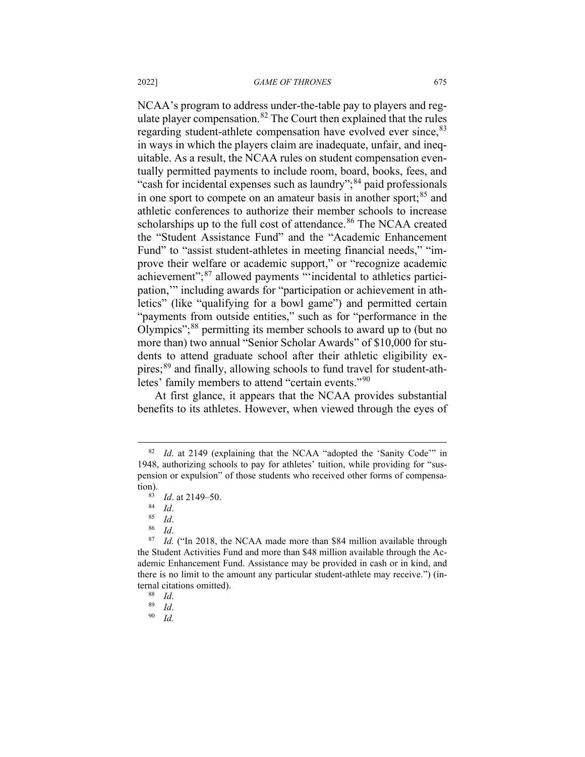NCAA's program to address under-the-table pay to players and regulate player compensation. $82$  The Court then explained that the rules regarding student-athlete compensation have evolved ever since, [83](#page-23-1) in ways in which the players claim are inadequate, unfair, and inequitable. As a result, the NCAA rules on student compensation eventually permitted payments to include room, board, books, fees, and "cash for incidental expenses such as laundry";<sup>[84](#page-23-2)</sup> paid professionals in one sport to compete on an amateur basis in another sport; $85$  and athletic conferences to authorize their member schools to increase scholarships up to the full cost of attendance.<sup>[86](#page-23-4)</sup> The NCAA created the "Student Assistance Fund" and the "Academic Enhancement Fund" to "assist student-athletes in meeting financial needs," "improve their welfare or academic support," or "recognize academic achievement";<sup>[87](#page-23-5)</sup> allowed payments "incidental to athletics participation,'" including awards for "participation or achievement in athletics" (like "qualifying for a bowl game") and permitted certain "payments from outside entities," such as for "performance in the Olympics";[88](#page-23-6) permitting its member schools to award up to (but no more than) two annual "Senior Scholar Awards" of \$10,000 for students to attend graduate school after their athletic eligibility expires;[89](#page-23-7) and finally, allowing schools to fund travel for student-ath-letes' family members to attend "certain events."<sup>[90](#page-23-8)</sup>

At first glance, it appears that the NCAA provides substantial benefits to its athletes. However, when viewed through the eyes of

 $rac{86}{87}$  *Id.* 

<span id="page-23-6"></span><span id="page-23-5"></span><span id="page-23-4"></span><span id="page-23-3"></span><span id="page-23-2"></span><span id="page-23-1"></span>Id. ("In 2018, the NCAA made more than \$84 million available through the Student Activities Fund and more than \$48 million available through the Academic Enhancement Fund. Assistance may be provided in cash or in kind, and there is no limit to the amount any particular student-athlete may receive.") (internal citations omitted).<br> $^{88}$  *Id* 

*Id.* 

<span id="page-23-0"></span><sup>82</sup> *Id*. at 2149 (explaining that the NCAA "adopted the 'Sanity Code'" in 1948, authorizing schools to pay for athletes' tuition, while providing for "suspension or expulsion" of those students who received other forms of compensation).

 $\frac{83}{84}$  *Id.* at 2149–50.

 $rac{84}{85}$  *Id*.

 $\frac{85}{86}$  *Id*.

 $rac{88}{89}$  *Id.* 

<span id="page-23-8"></span><span id="page-23-7"></span> $\frac{89}{90}$  *Id.*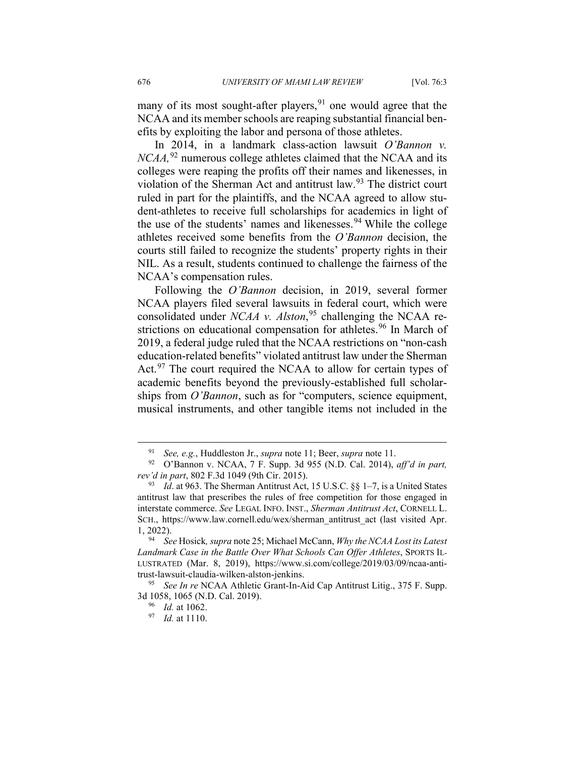many of its most sought-after players,  $91$  one would agree that the NCAA and its member schools are reaping substantial financial benefits by exploiting the labor and persona of those athletes.

In 2014, in a landmark class-action lawsuit *O'Bannon v. NCAA,*[92](#page-24-1) numerous college athletes claimed that the NCAA and its colleges were reaping the profits off their names and likenesses, in violation of the Sherman Act and antitrust law.<sup>[93](#page-24-2)</sup> The district court ruled in part for the plaintiffs, and the NCAA agreed to allow student-athletes to receive full scholarships for academics in light of the use of the students' names and likenesses.<sup>[94](#page-24-3)</sup> While the college athletes received some benefits from the *O'Bannon* decision, the courts still failed to recognize the students' property rights in their NIL. As a result, students continued to challenge the fairness of the NCAA's compensation rules.

Following the *O'Bannon* decision, in 2019, several former NCAA players filed several lawsuits in federal court, which were consolidated under *NCAA v. Alston*, [95](#page-24-4) challenging the NCAA re-strictions on educational compensation for athletes.<sup>[96](#page-24-5)</sup> In March of 2019, a federal judge ruled that the NCAA restrictions on "non-cash education-related benefits" violated antitrust law under the Sherman Act.<sup>[97](#page-24-6)</sup> The court required the NCAA to allow for certain types of academic benefits beyond the previously-established full scholarships from *O'Bannon*, such as for "computers, science equipment, musical instruments, and other tangible items not included in the

<sup>91</sup> *See, e.g.*, Huddleston Jr., *supra* note 11; Beer, *supra* note 11.

<span id="page-24-1"></span><span id="page-24-0"></span><sup>92</sup> O'Bannon v. NCAA, 7 F. Supp. 3d 955 (N.D. Cal. 2014), *aff'd in part, rev'd in part*, 802 F.3d 1049 (9th Cir. 2015).

<span id="page-24-2"></span><sup>&</sup>lt;sup>93</sup> *Id.* at 963. The Sherman Antitrust Act, 15 U.S.C.  $\S$ § 1–7, is a United States antitrust law that prescribes the rules of free competition for those engaged in interstate commerce. *See* LEGAL INFO. INST., *Sherman Antitrust Act*, CORNELL L. SCH., https://www.law.cornell.edu/wex/sherman\_antitrust\_act (last visited Apr. 1, 2022).

<span id="page-24-3"></span><sup>94</sup> *See* Hosick*, supra* note 25; Michael McCann, *Why the NCAA Lost its Latest Landmark Case in the Battle Over What Schools Can Offer Athletes*, SPORTS IL-LUSTRATED (Mar. 8, 2019), https://www.si.com/college/2019/03/09/ncaa-antitrust-lawsuit-claudia-wilken-alston-jenkins.

<span id="page-24-6"></span><span id="page-24-5"></span><span id="page-24-4"></span><sup>95</sup> *See In re* NCAA Athletic Grant-In-Aid Cap Antitrust Litig., 375 F. Supp. 3d 1058, 1065 (N.D. Cal. 2019).

<sup>96</sup> *Id.* at 1062.

<sup>97</sup> *Id.* at 1110.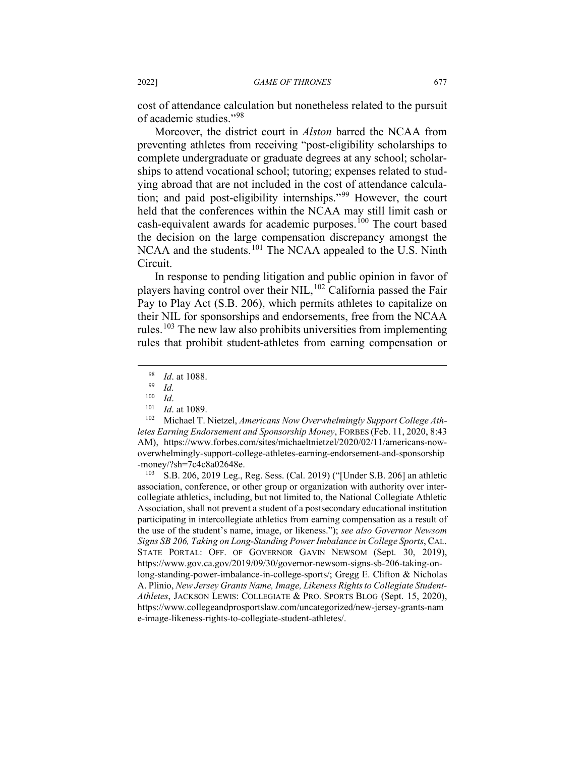cost of attendance calculation but nonetheless related to the pursuit of academic studies."[98](#page-25-0)

Moreover, the district court in *Alston* barred the NCAA from preventing athletes from receiving "post-eligibility scholarships to complete undergraduate or graduate degrees at any school; scholarships to attend vocational school; tutoring; expenses related to studying abroad that are not included in the cost of attendance calculation; and paid post-eligibility internships."[99](#page-25-1) However, the court held that the conferences within the NCAA may still limit cash or cash-equivalent awards for academic purposes.<sup>[100](#page-25-2)</sup> The court based the decision on the large compensation discrepancy amongst the NCAA and the students.<sup>[101](#page-25-3)</sup> The NCAA appealed to the U.S. Ninth Circuit.

In response to pending litigation and public opinion in favor of players having control over their NIL,  $^{102}$  $^{102}$  $^{102}$  California passed the Fair Pay to Play Act (S.B. 206), which permits athletes to capitalize on their NIL for sponsorships and endorsements, free from the NCAA rules.<sup>[103](#page-25-5)</sup> The new law also prohibits universities from implementing rules that prohibit student-athletes from earning compensation or

<span id="page-25-5"></span><sup>103</sup> S.B. 206, 2019 Leg., Reg. Sess. (Cal. 2019) ("[Under S.B. 206] an athletic association, conference, or other group or organization with authority over intercollegiate athletics, including, but not limited to, the National Collegiate Athletic Association, shall not prevent a student of a postsecondary educational institution participating in intercollegiate athletics from earning compensation as a result of the use of the student's name, image, or likeness."); *see also Governor Newsom Signs SB 206, Taking on Long-Standing Power Imbalance in College Sports*, CAL. STATE PORTAL: OFF. OF GOVERNOR GAVIN NEWSOM (Sept. 30, 2019), https://www.gov.ca.gov/2019/09/30/governor-newsom-signs-sb-206-taking-onlong-standing-power-imbalance-in-college-sports/; Gregg E. Clifton & Nicholas A. Plinio, *New Jersey Grants Name, Image, Likeness Rights to Collegiate Student-Athletes*, JACKSON LEWIS: COLLEGIATE & PRO. SPORTS BLOG (Sept. 15, 2020), https://www.collegeandprosportslaw.com/uncategorized/new-jersey-grants-nam e-image-likeness-rights-to-collegiate-student-athletes/.

 $\frac{98}{99}$  *Id.* at 1088.

 $\frac{99}{100}$  *Id.* 

 $\frac{100}{101}$  *Id.* 

 $\frac{101}{102}$  *Id.* at 1089.

<span id="page-25-4"></span><span id="page-25-3"></span><span id="page-25-2"></span><span id="page-25-1"></span><span id="page-25-0"></span>Michael T. Nietzel, *Americans Now Overwhelmingly Support College Athletes Earning Endorsement and Sponsorship Money*, FORBES (Feb. 11, 2020, 8:43 AM), https://www.forbes.com/sites/michaeltnietzel/2020/02/11/americans-nowoverwhelmingly-support-college-athletes-earning-endorsement-and-sponsorship -money/?sh=7c4c8a02648e.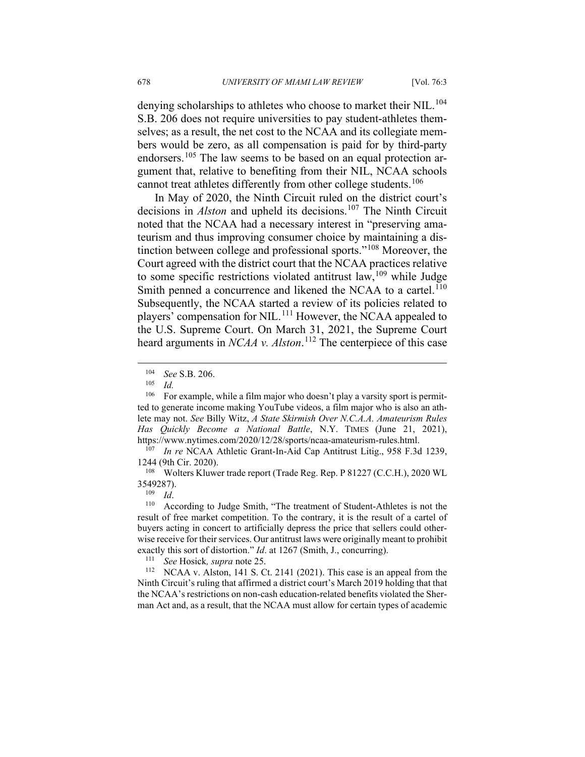denying scholarships to athletes who choose to market their NIL.<sup>[104](#page-26-0)</sup> S.B. 206 does not require universities to pay student-athletes themselves; as a result, the net cost to the NCAA and its collegiate members would be zero, as all compensation is paid for by third-party endorsers.<sup>[105](#page-26-1)</sup> The law seems to be based on an equal protection argument that, relative to benefiting from their NIL, NCAA schools cannot treat athletes differently from other college students.<sup>[106](#page-26-2)</sup>

In May of 2020, the Ninth Circuit ruled on the district court's decisions in *Alston* and upheld its decisions.<sup>[107](#page-26-3)</sup> The Ninth Circuit noted that the NCAA had a necessary interest in "preserving amateurism and thus improving consumer choice by maintaining a distinction between college and professional sports."[108](#page-26-4) Moreover, the Court agreed with the district court that the NCAA practices relative to some specific restrictions violated antitrust law,  $109$  while Judge Smith penned a concurrence and likened the NCAA to a cartel.<sup>[110](#page-26-6)</sup> Subsequently, the NCAA started a review of its policies related to players' compensation for NIL.<sup>[111](#page-26-7)</sup> However, the NCAA appealed to the U.S. Supreme Court. On March 31, 2021, the Supreme Court heard arguments in *NCAA v. Alston*. [112](#page-26-8) The centerpiece of this case

 $\frac{109}{110}$  *Id.* 

<sup>111</sup> *See* Hosick, *supra* note 25.<br><sup>112</sup> NCAA v Alston 141 S C

<span id="page-26-8"></span><span id="page-26-7"></span>NCAA v. Alston, 141 S. Ct. 2141 (2021). This case is an appeal from the Ninth Circuit's ruling that affirmed a district court's March 2019 holding that that the NCAA's restrictions on non-cash education-related benefits violated the Sherman Act and, as a result, that the NCAA must allow for certain types of academic

<sup>104</sup> *See* S.B. 206.

*Id.* 

<span id="page-26-2"></span><span id="page-26-1"></span><span id="page-26-0"></span><sup>&</sup>lt;sup>106</sup> For example, while a film major who doesn't play a varsity sport is permitted to generate income making YouTube videos, a film major who is also an athlete may not. *See* Billy Witz, *A State Skirmish Over N.C.A.A. Amateurism Rules Has Quickly Become a National Battle*, N.Y. TIMES (June 21, 2021), https://www.nytimes.com/2020/12/28/sports/ncaa-amateurism-rules.html.<br><sup>107</sup> In re NGAA Athletic Grant In Aid Can Antitrust Litic 058 E 3d

<span id="page-26-3"></span>In re NCAA Athletic Grant-In-Aid Cap Antitrust Litig., 958 F.3d 1239, 1244 (9th Cir. 2020).

<span id="page-26-4"></span><sup>108</sup> Wolters Kluwer trade report (Trade Reg. Rep. P 81227 (C.C.H.), 2020 WL 3549287).

<span id="page-26-6"></span><span id="page-26-5"></span>According to Judge Smith, "The treatment of Student-Athletes is not the result of free market competition. To the contrary, it is the result of a cartel of buyers acting in concert to artificially depress the price that sellers could otherwise receive for their services. Our antitrust laws were originally meant to prohibit exactly this sort of distortion." *Id*. at 1267 (Smith, J., concurring).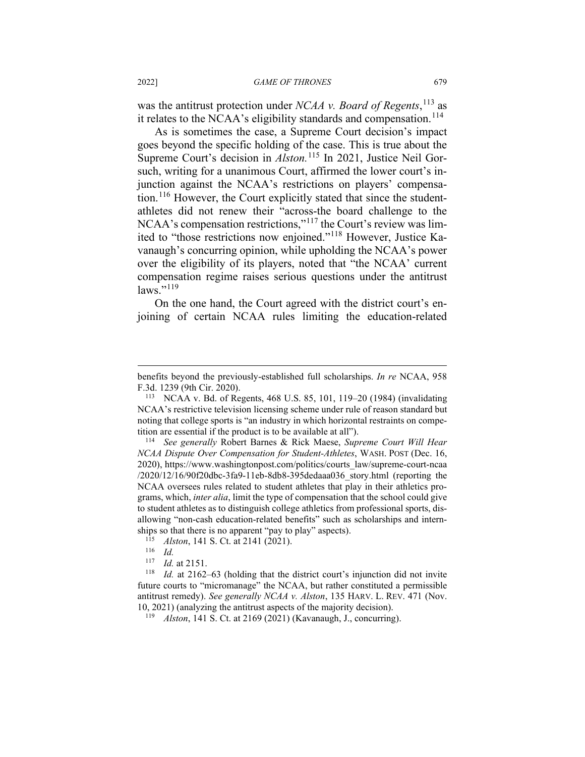was the antitrust protection under *NCAA v. Board of Regents*, [113](#page-27-0) as it relates to the NCAA's eligibility standards and compensation.<sup>[114](#page-27-1)</sup>

As is sometimes the case, a Supreme Court decision's impact goes beyond the specific holding of the case. This is true about the Supreme Court's decision in *Alston*.<sup>[115](#page-27-2)</sup> In 2021, Justice Neil Gorsuch, writing for a unanimous Court, affirmed the lower court's injunction against the NCAA's restrictions on players' compensa-tion.<sup>[116](#page-27-3)</sup> However, the Court explicitly stated that since the studentathletes did not renew their "across-the board challenge to the NCAA's compensation restrictions,"[117](#page-27-4) the Court's review was limited to "those restrictions now enjoined."[118](#page-27-5) However, Justice Kavanaugh's concurring opinion, while upholding the NCAA's power over the eligibility of its players, noted that "the NCAA' current compensation regime raises serious questions under the antitrust  $laws.$ "<sup>[119](#page-27-6)</sup>

On the one hand, the Court agreed with the district court's enjoining of certain NCAA rules limiting the education-related

<span id="page-27-6"></span><span id="page-27-5"></span><span id="page-27-4"></span><span id="page-27-3"></span><span id="page-27-2"></span>*Id.* at 2162–63 (holding that the district court's injunction did not invite future courts to "micromanage" the NCAA, but rather constituted a permissible antitrust remedy). *See generally NCAA v. Alston*, 135 HARV. L. REV. 471 (Nov. 10, 2021) (analyzing the antitrust aspects of the majority decision).

<sup>119</sup> *Alston*, 141 S. Ct. at 2169 (2021) (Kavanaugh, J., concurring).

benefits beyond the previously-established full scholarships. *In re* NCAA, 958 F.3d. 1239 (9th Cir. 2020).

<span id="page-27-0"></span><sup>113</sup> NCAA v. Bd. of Regents, 468 U.S. 85, 101, 119–20 (1984) (invalidating NCAA's restrictive television licensing scheme under rule of reason standard but noting that college sports is "an industry in which horizontal restraints on competition are essential if the product is to be available at all").

<span id="page-27-1"></span><sup>114</sup> *See generally* Robert Barnes & Rick Maese, *Supreme Court Will Hear NCAA Dispute Over Compensation for Student-Athletes*, WASH. POST (Dec. 16, 2020), https://www.washingtonpost.com/politics/courts\_law/supreme-court-ncaa  $/2020/12/16/90f20$ dbc-3fa9-11eb-8db8-395dedaaa $036$  story.html (reporting the NCAA oversees rules related to student athletes that play in their athletics programs, which, *inter alia*, limit the type of compensation that the school could give to student athletes as to distinguish college athletics from professional sports, disallowing "non-cash education-related benefits" such as scholarships and internships so that there is no apparent "pay to play" aspects).<br> $\frac{115}{115}$  Aleton 141 S. Ct. at 2141 (2021).

<sup>&</sup>lt;sup>115</sup> *Alston*, 141 S. Ct. at 2141 (2021).

 $\frac{116}{117}$  *Id.* 

 $\frac{117}{118}$  *Id.* at 2151.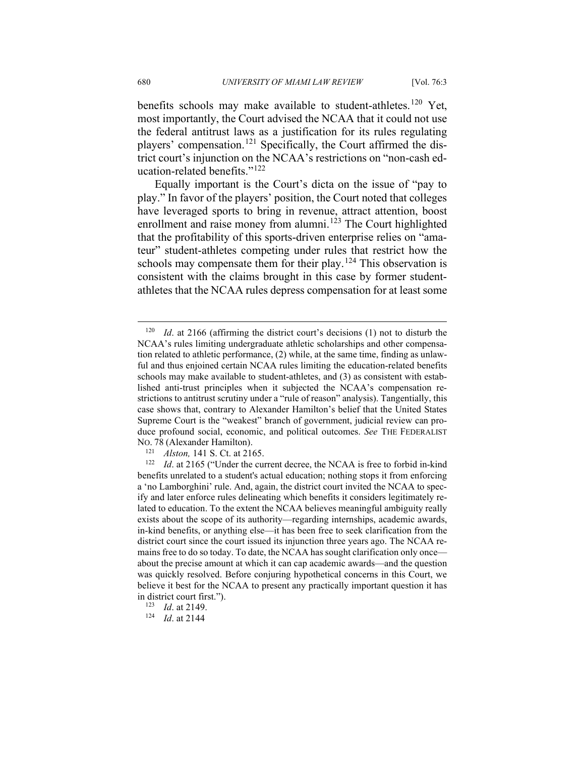benefits schools may make available to student-athletes.<sup>[120](#page-28-0)</sup> Yet, most importantly, the Court advised the NCAA that it could not use the federal antitrust laws as a justification for its rules regulating players' compensation.<sup>[121](#page-28-1)</sup> Specifically, the Court affirmed the district court's injunction on the NCAA's restrictions on "non-cash education-related benefits."[122](#page-28-2)

Equally important is the Court's dicta on the issue of "pay to play." In favor of the players' position, the Court noted that colleges have leveraged sports to bring in revenue, attract attention, boost enrollment and raise money from alumni.<sup>[123](#page-28-3)</sup> The Court highlighted that the profitability of this sports-driven enterprise relies on "amateur" student-athletes competing under rules that restrict how the schools may compensate them for their play.<sup>[124](#page-28-4)</sup> This observation is consistent with the claims brought in this case by former studentathletes that the NCAA rules depress compensation for at least some

<span id="page-28-0"></span><sup>&</sup>lt;sup>120</sup> *Id.* at 2166 (affirming the district court's decisions (1) not to disturb the NCAA's rules limiting undergraduate athletic scholarships and other compensation related to athletic performance, (2) while, at the same time, finding as unlawful and thus enjoined certain NCAA rules limiting the education-related benefits schools may make available to student-athletes, and (3) as consistent with established anti-trust principles when it subjected the NCAA's compensation restrictions to antitrust scrutiny under a "rule of reason" analysis). Tangentially, this case shows that, contrary to Alexander Hamilton's belief that the United States Supreme Court is the "weakest" branch of government, judicial review can produce profound social, economic, and political outcomes. *See* THE FEDERALIST NO. 78 (Alexander Hamilton).

<sup>&</sup>lt;sup>121</sup> *Alston*, 141 S. Ct. at 2165.<br><sup>122</sup> *Id.* at 2165 ("Under the cu

<span id="page-28-2"></span><span id="page-28-1"></span>*Id.* at 2165 ("Under the current decree, the NCAA is free to forbid in-kind benefits unrelated to a student's actual education; nothing stops it from enforcing a 'no Lamborghini' rule. And, again, the district court invited the NCAA to specify and later enforce rules delineating which benefits it considers legitimately related to education. To the extent the NCAA believes meaningful ambiguity really exists about the scope of its authority—regarding internships, academic awards, in-kind benefits, or anything else—it has been free to seek clarification from the district court since the court issued its injunction three years ago. The NCAA remains free to do so today. To date, the NCAA has sought clarification only once about the precise amount at which it can cap academic awards—and the question was quickly resolved. Before conjuring hypothetical concerns in this Court, we believe it best for the NCAA to present any practically important question it has in district court first.").<br> $\frac{123}{1d}$  at 2149

*Id.* at 2149.

<span id="page-28-4"></span><span id="page-28-3"></span><sup>124</sup> *Id*. at 2144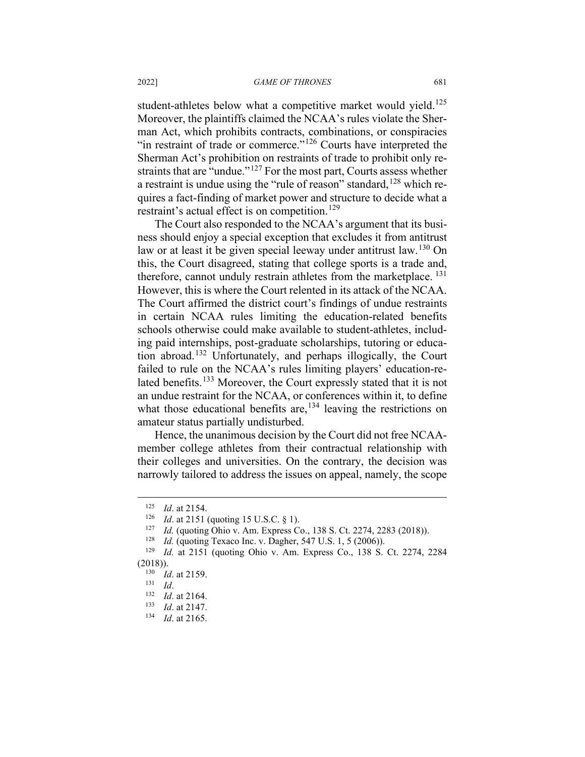student-athletes below what a competitive market would yield.<sup>[125](#page-29-0)</sup> Moreover, the plaintiffs claimed the NCAA's rules violate the Sherman Act, which prohibits contracts, combinations, or conspiracies "in restraint of trade or commerce."<sup>[126](#page-29-1)</sup> Courts have interpreted the Sherman Act's prohibition on restraints of trade to prohibit only re-straints that are "undue."<sup>[127](#page-29-2)</sup> For the most part, Courts assess whether a restraint is undue using the "rule of reason" standard,  $128$  which requires a fact-finding of market power and structure to decide what a restraint's actual effect is on competition.<sup>[129](#page-29-4)</sup>

The Court also responded to the NCAA's argument that its business should enjoy a special exception that excludes it from antitrust law or at least it be given special leeway under antitrust law.<sup>[130](#page-29-5)</sup> On this, the Court disagreed, stating that college sports is a trade and, therefore, cannot unduly restrain athletes from the marketplace. <sup>[131](#page-29-6)</sup> However, this is where the Court relented in its attack of the NCAA. The Court affirmed the district court's findings of undue restraints in certain NCAA rules limiting the education-related benefits schools otherwise could make available to student-athletes, including paid internships, post-graduate scholarships, tutoring or education abroad.[132](#page-29-7) Unfortunately, and perhaps illogically, the Court failed to rule on the NCAA's rules limiting players' education-re-lated benefits.<sup>[133](#page-29-8)</sup> Moreover, the Court expressly stated that it is not an undue restraint for the NCAA, or conferences within it, to define what those educational benefits are,  $134$  leaving the restrictions on amateur status partially undisturbed.

Hence, the unanimous decision by the Court did not free NCAAmember college athletes from their contractual relationship with their colleges and universities. On the contrary, the decision was narrowly tailored to address the issues on appeal, namely, the scope

<span id="page-29-0"></span> $\frac{125}{126}$  *Id.* at 2154.

<sup>126</sup> *Id.* at 2151 (quoting 15 U.S.C. § 1).

<sup>&</sup>lt;sup>127</sup> *Id.* (quoting Ohio v. Am. Express Co., 138 S. Ct. 2274, 2283 (2018)).<br><sup>128</sup> *Id.* (quoting Texaco Inc. y. Dagber, 547 U.S. 1, 5 (2006)).

<sup>&</sup>lt;sup>128</sup> *Id.* (quoting Texaco Inc. v. Dagher, 547 U.S. 1, 5 (2006)).<br><sup>129</sup> *Id.* at 2151 (quoting Objo v. Am. Express Co. 138 S.

<span id="page-29-7"></span><span id="page-29-6"></span><span id="page-29-5"></span><span id="page-29-4"></span><span id="page-29-3"></span><span id="page-29-2"></span><span id="page-29-1"></span>*Id.* at 2151 (quoting Ohio v. Am. Express Co., 138 S. Ct. 2274, 2284  $(2018))$ .<br> $130L$ 

 $\frac{130}{131}$  *Id.* at 2159.

 $\frac{131}{132}$  *Id.* 

 $\frac{132}{133}$  *Id.* at 2164.

<span id="page-29-9"></span><span id="page-29-8"></span> $\frac{133}{134}$  *Id.* at 2147.

*Id.* at 2165.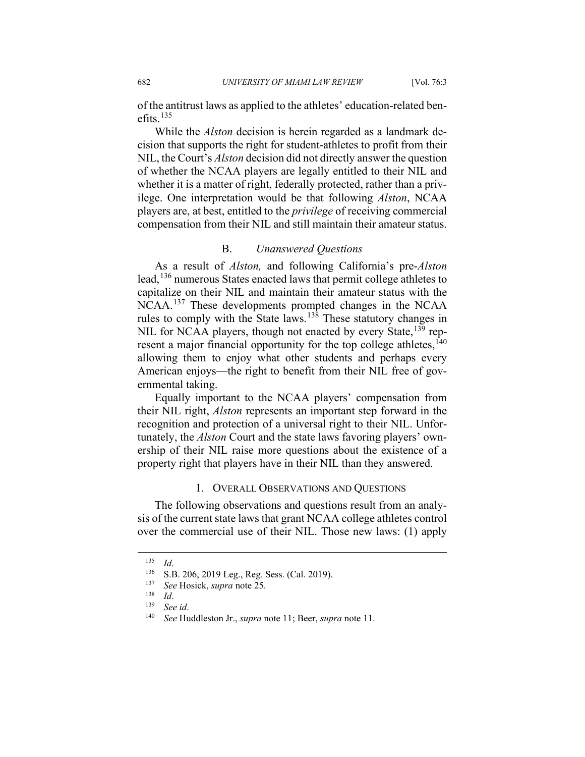of the antitrust laws as applied to the athletes' education-related benefits. [135](#page-30-0)

While the *Alston* decision is herein regarded as a landmark decision that supports the right for student-athletes to profit from their NIL, the Court's *Alston* decision did not directly answer the question of whether the NCAA players are legally entitled to their NIL and whether it is a matter of right, federally protected, rather than a privilege. One interpretation would be that following *Alston*, NCAA players are, at best, entitled to the *privilege* of receiving commercial compensation from their NIL and still maintain their amateur status.

# B. *Unanswered Questions*

As a result of *Alston,* and following California's pre-*Alston* lead, <sup>[136](#page-30-1)</sup> numerous States enacted laws that permit college athletes to capitalize on their NIL and maintain their amateur status with the NCAA. [137](#page-30-2) These developments prompted changes in the NCAA rules to comply with the State laws.[138](#page-30-3) These statutory changes in NIL for NCAA players, though not enacted by every State, <sup>[139](#page-30-4)</sup> represent a major financial opportunity for the top college athletes,  $140$ allowing them to enjoy what other students and perhaps every American enjoys—the right to benefit from their NIL free of governmental taking.

Equally important to the NCAA players' compensation from their NIL right, *Alston* represents an important step forward in the recognition and protection of a universal right to their NIL. Unfortunately, the *Alston* Court and the state laws favoring players' ownership of their NIL raise more questions about the existence of a property right that players have in their NIL than they answered.

## 1. OVERALL OBSERVATIONS AND QUESTIONS

The following observations and questions result from an analysis of the current state laws that grant NCAA college athletes control over the commercial use of their NIL. Those new laws: (1) apply

<span id="page-30-2"></span><span id="page-30-1"></span><span id="page-30-0"></span> $\frac{135}{136}$  *Id.* 

 $^{136}$  S.B. 206, 2019 Leg., Reg. Sess. (Cal. 2019).<br> $^{137}$  See Hosick sunra note 25

<sup>137</sup> *See* Hosick, *supra* note 25.

<span id="page-30-3"></span> $\frac{138}{139}$  *Id.* 

<span id="page-30-5"></span><span id="page-30-4"></span><sup>139</sup> *See id*.

<sup>140</sup> *See* Huddleston Jr., *supra* note 11; Beer, *supra* note 11.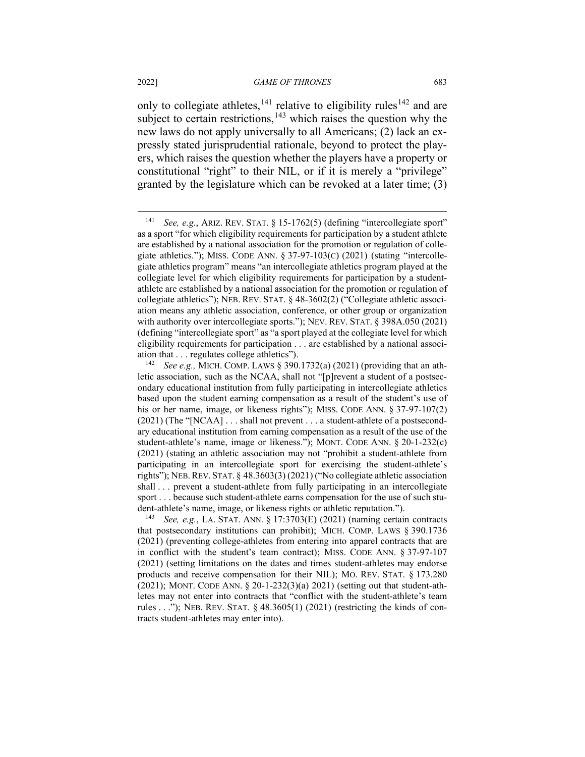only to collegiate athletes,  $141$  relative to eligibility rules  $142$  and are subject to certain restrictions, $143$  which raises the question why the new laws do not apply universally to all Americans; (2) lack an expressly stated jurisprudential rationale, beyond to protect the players, which raises the question whether the players have a property or constitutional "right" to their NIL, or if it is merely a "privilege" granted by the legislature which can be revoked at a later time; (3)

<span id="page-31-2"></span><sup>143</sup> *See, e.g.*, LA. STAT. ANN. § 17:3703(E) (2021) (naming certain contracts that postsecondary institutions can prohibit); MICH. COMP. LAWS § 390.1736 (2021) (preventing college-athletes from entering into apparel contracts that are in conflict with the student's team contract); MISS. CODE ANN. § 37-97-107 (2021) (setting limitations on the dates and times student-athletes may endorse products and receive compensation for their NIL); MO. REV. STAT. § 173.280 (2021); MONT. CODE ANN. § 20-1-232(3)(a) 2021) (setting out that student-athletes may not enter into contracts that "conflict with the student-athlete's team rules  $\dots$ "); NEB. REV. STAT. § 48.3605(1) (2021) (restricting the kinds of contracts student-athletes may enter into).

<span id="page-31-0"></span><sup>141</sup> *See, e.g.*, ARIZ. REV. STAT. § 15-1762(5) (defining "intercollegiate sport" as a sport "for which eligibility requirements for participation by a student athlete are established by a national association for the promotion or regulation of collegiate athletics."); MISS. CODE ANN. § 37-97-103(C) (2021) (stating "intercollegiate athletics program" means "an intercollegiate athletics program played at the collegiate level for which eligibility requirements for participation by a studentathlete are established by a national association for the promotion or regulation of collegiate athletics"); NEB. REV. STAT. § 48-3602(2) ("Collegiate athletic association means any athletic association, conference, or other group or organization with authority over intercollegiate sports."); NEV. REV. STAT. § 398A.050 (2021) (defining "intercollegiate sport" as "a sport played at the collegiate level for which eligibility requirements for participation . . . are established by a national association that . . . regulates college athletics").

<span id="page-31-1"></span><sup>142</sup> *See e.g.,* MICH. COMP. LAWS § 390.1732(a) (2021) (providing that an athletic association, such as the NCAA, shall not "[p]revent a student of a postsecondary educational institution from fully participating in intercollegiate athletics based upon the student earning compensation as a result of the student's use of his or her name, image, or likeness rights"); MISS. CODE ANN. § 37-97-107(2) (2021) (The "[NCAA] . . . shall not prevent . . . a student-athlete of a postsecondary educational institution from earning compensation as a result of the use of the student-athlete's name, image or likeness."); MONT. CODE ANN. § 20-1-232(c) (2021) (stating an athletic association may not "prohibit a student-athlete from participating in an intercollegiate sport for exercising the student-athlete's rights"); NEB.REV. STAT. § 48.3603(3) (2021) ("No collegiate athletic association shall . . . prevent a student-athlete from fully participating in an intercollegiate sport . . . because such student-athlete earns compensation for the use of such student-athlete's name, image, or likeness rights or athletic reputation.").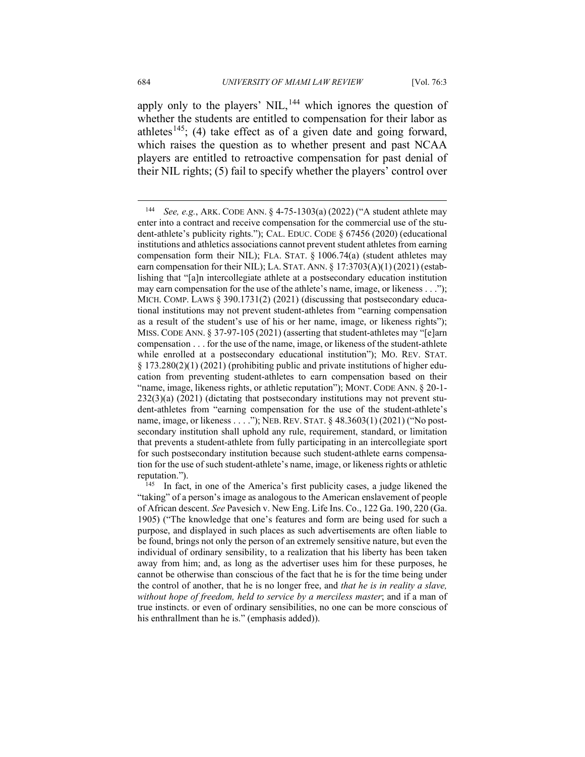apply only to the players' NIL,<sup>[144](#page-32-0)</sup> which ignores the question of whether the students are entitled to compensation for their labor as athletes<sup>[145](#page-32-1)</sup>; (4) take effect as of a given date and going forward, which raises the question as to whether present and past NCAA players are entitled to retroactive compensation for past denial of their NIL rights; (5) fail to specify whether the players' control over

<span id="page-32-0"></span><sup>144</sup> *See, e.g.*, ARK. CODE ANN. § 4-75-1303(a) (2022) ("A student athlete may enter into a contract and receive compensation for the commercial use of the student-athlete's publicity rights."); CAL. EDUC. CODE § 67456 (2020) (educational institutions and athletics associations cannot prevent student athletes from earning compensation form their NIL); FLA. STAT.  $\S$  1006.74(a) (student athletes may earn compensation for their NIL); LA. STAT. ANN. § 17:3703(A)(1) (2021) (establishing that "[a]n intercollegiate athlete at a postsecondary education institution may earn compensation for the use of the athlete's name, image, or likeness . . ."); MICH. COMP. LAWS  $\S 390.1731(2)$  (2021) (discussing that postsecondary educational institutions may not prevent student-athletes from "earning compensation as a result of the student's use of his or her name, image, or likeness rights"); MISS. CODE ANN. § 37-97-105 (2021) (asserting that student-athletes may "[e]arn compensation . . . for the use of the name, image, or likeness of the student-athlete while enrolled at a postsecondary educational institution"); MO. REV. STAT. § 173.280(2)(1) (2021) (prohibiting public and private institutions of higher education from preventing student-athletes to earn compensation based on their "name, image, likeness rights, or athletic reputation"); MONT. CODE ANN. § 20-1- 232(3)(a) (2021) (dictating that postsecondary institutions may not prevent student-athletes from "earning compensation for the use of the student-athlete's name, image, or likeness . . . ."); NEB. REV. STAT. § 48.3603(1) (2021) ("No postsecondary institution shall uphold any rule, requirement, standard, or limitation that prevents a student-athlete from fully participating in an intercollegiate sport for such postsecondary institution because such student-athlete earns compensation for the use of such student-athlete's name, image, or likeness rights or athletic reputation.").

<span id="page-32-1"></span> $145$  In fact, in one of the America's first publicity cases, a judge likened the "taking" of a person's image as analogous to the American enslavement of people of African descent. *See* Pavesich v. New Eng. Life Ins. Co., 122 Ga. 190, 220 (Ga. 1905) ("The knowledge that one's features and form are being used for such a purpose, and displayed in such places as such advertisements are often liable to be found, brings not only the person of an extremely sensitive nature, but even the individual of ordinary sensibility, to a realization that his liberty has been taken away from him; and, as long as the advertiser uses him for these purposes, he cannot be otherwise than conscious of the fact that he is for the time being under the control of another, that he is no longer free, and *that he is in reality a slave, without hope of freedom, held to service by a merciless master*; and if a man of true instincts. or even of ordinary sensibilities, no one can be more conscious of his enthrallment than he is." (emphasis added)).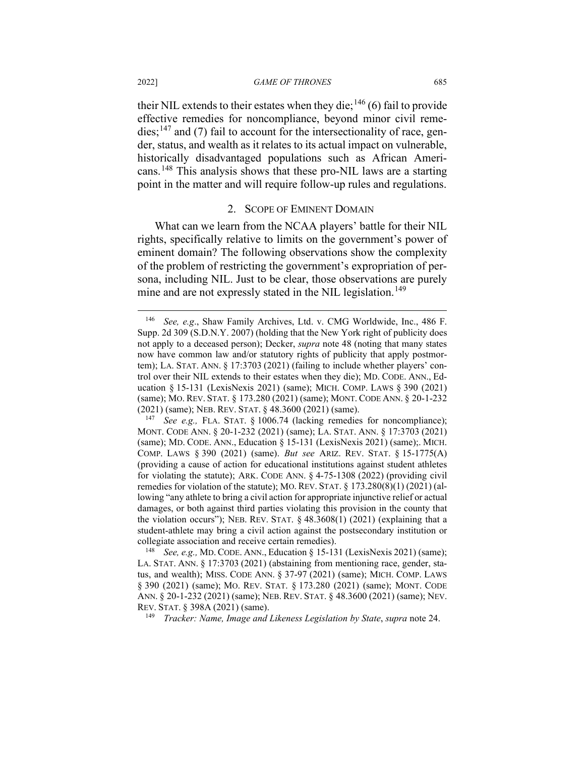### 2022] *GAME OF THRONES* 685

their NIL extends to their estates when they die;<sup>[146](#page-33-0)</sup> (6) fail to provide effective remedies for noncompliance, beyond minor civil reme $dies$ ;<sup>[147](#page-33-1)</sup> and (7) fail to account for the intersectionality of race, gender, status, and wealth as it relates to its actual impact on vulnerable, historically disadvantaged populations such as African Americans.[148](#page-33-2) This analysis shows that these pro-NIL laws are a starting point in the matter and will require follow-up rules and regulations.

### 2. SCOPE OF EMINENT DOMAIN

What can we learn from the NCAA players' battle for their NIL rights, specifically relative to limits on the government's power of eminent domain? The following observations show the complexity of the problem of restricting the government's expropriation of persona, including NIL. Just to be clear, those observations are purely mine and are not expressly stated in the NIL legislation.<sup>[149](#page-33-3)</sup>

<span id="page-33-3"></span><sup>149</sup> *Tracker: Name, Image and Likeness Legislation by State*, *supra* note 24.

<span id="page-33-0"></span><sup>146</sup> *See, e.g*., Shaw Family Archives, Ltd. v. CMG Worldwide, Inc., 486 F. Supp. 2d 309 (S.D.N.Y. 2007) (holding that the New York right of publicity does not apply to a deceased person); Decker, *supra* note 48 (noting that many states now have common law and/or statutory rights of publicity that apply postmortem); LA. STAT. ANN. § 17:3703 (2021) (failing to include whether players' control over their NIL extends to their estates when they die); MD. CODE. ANN., Education § 15-131 (LexisNexis 2021) (same); MICH. COMP. LAWS § 390 (2021) (same); MO. REV. STAT. § 173.280 (2021) (same); MONT. CODE ANN. § 20-1-232 (2021) (same); NEB. REV. STAT. § 48.3600 (2021) (same).

<span id="page-33-1"></span>See e.g., FLA. STAT. § 1006.74 (lacking remedies for noncompliance); MONT. CODE ANN. § 20-1-232 (2021) (same); LA. STAT. ANN. § 17:3703 (2021) (same); MD. CODE. ANN., Education § 15-131 (LexisNexis 2021) (same);. MICH. COMP. LAWS § 390 (2021) (same). *But see* ARIZ. REV. STAT. § 15-1775(A) (providing a cause of action for educational institutions against student athletes for violating the statute); ARK. CODE ANN. § 4-75-1308 (2022) (providing civil remedies for violation of the statute); MO. REV. STAT.  $\S$  173.280(8)(1) (2021) (allowing "any athlete to bring a civil action for appropriate injunctive relief or actual damages, or both against third parties violating this provision in the county that the violation occurs"); NEB. REV. STAT. § 48.3608(1) (2021) (explaining that a student-athlete may bring a civil action against the postsecondary institution or collegiate association and receive certain remedies).

<span id="page-33-2"></span><sup>148</sup> *See, e.g.,* MD. CODE. ANN., Education § 15-131 (LexisNexis 2021) (same); LA. STAT. ANN. § 17:3703 (2021) (abstaining from mentioning race, gender, status, and wealth); MISS. CODE ANN. § 37-97 (2021) (same); MICH. COMP. LAWS § 390 (2021) (same); MO. REV. STAT. § 173.280 (2021) (same); MONT. CODE ANN. § 20-1-232 (2021) (same); NEB. REV. STAT. § 48.3600 (2021) (same); NEV. REV. STAT. § 398A (2021) (same).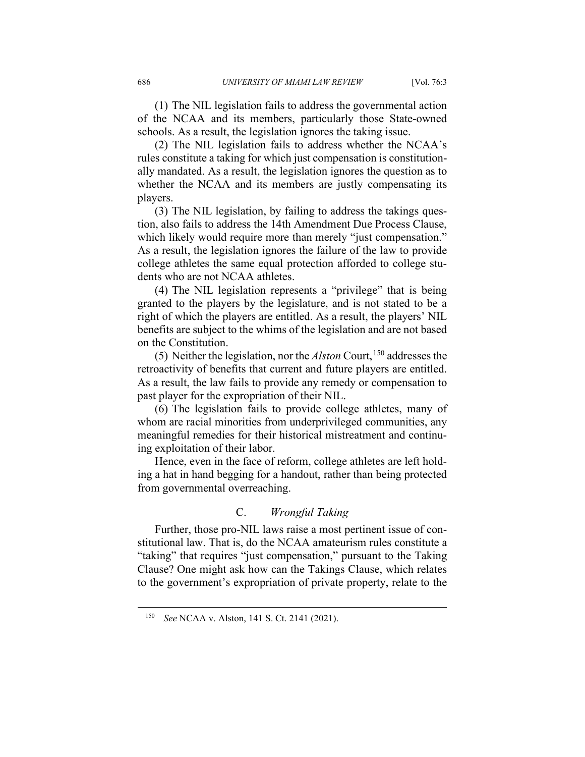(1) The NIL legislation fails to address the governmental action of the NCAA and its members, particularly those State-owned schools. As a result, the legislation ignores the taking issue.

(2) The NIL legislation fails to address whether the NCAA's rules constitute a taking for which just compensation is constitutionally mandated. As a result, the legislation ignores the question as to whether the NCAA and its members are justly compensating its players.

(3) The NIL legislation, by failing to address the takings question, also fails to address the 14th Amendment Due Process Clause, which likely would require more than merely "just compensation." As a result, the legislation ignores the failure of the law to provide college athletes the same equal protection afforded to college students who are not NCAA athletes.

(4) The NIL legislation represents a "privilege" that is being granted to the players by the legislature, and is not stated to be a right of which the players are entitled. As a result, the players' NIL benefits are subject to the whims of the legislation and are not based on the Constitution.

(5) Neither the legislation, nor the *Alston* Court, [150](#page-34-0) addresses the retroactivity of benefits that current and future players are entitled. As a result, the law fails to provide any remedy or compensation to past player for the expropriation of their NIL.

(6) The legislation fails to provide college athletes, many of whom are racial minorities from underprivileged communities, any meaningful remedies for their historical mistreatment and continuing exploitation of their labor.

Hence, even in the face of reform, college athletes are left holding a hat in hand begging for a handout, rather than being protected from governmental overreaching.

# C. *Wrongful Taking*

Further, those pro-NIL laws raise a most pertinent issue of constitutional law. That is, do the NCAA amateurism rules constitute a "taking" that requires "just compensation," pursuant to the Taking Clause? One might ask how can the Takings Clause, which relates to the government's expropriation of private property, relate to the

<span id="page-34-0"></span><sup>150</sup> *See* NCAA v. Alston, 141 S. Ct. 2141 (2021).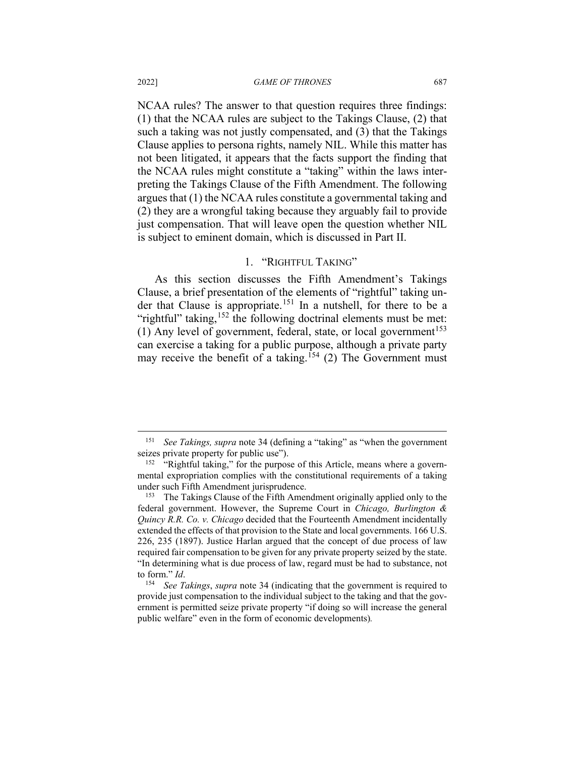NCAA rules? The answer to that question requires three findings: (1) that the NCAA rules are subject to the Takings Clause, (2) that such a taking was not justly compensated, and (3) that the Takings Clause applies to persona rights, namely NIL. While this matter has not been litigated, it appears that the facts support the finding that the NCAA rules might constitute a "taking" within the laws interpreting the Takings Clause of the Fifth Amendment. The following argues that (1) the NCAA rules constitute a governmental taking and (2) they are a wrongful taking because they arguably fail to provide just compensation. That will leave open the question whether NIL is subject to eminent domain, which is discussed in Part II.

## 1. "RIGHTFUL TAKING"

As this section discusses the Fifth Amendment's Takings Clause, a brief presentation of the elements of "rightful" taking under that Clause is appropriate.[151](#page-35-0) In a nutshell, for there to be a "rightful" taking,  $152$  the following doctrinal elements must be met: (1) Any level of government, federal, state, or local government<sup>[153](#page-35-2)</sup> can exercise a taking for a public purpose, although a private party may receive the benefit of a taking.<sup>[154](#page-35-3)</sup> (2) The Government must

<span id="page-35-0"></span><sup>151</sup> *See Takings, supra* note 34 (defining a "taking" as "when the government seizes private property for public use").

<span id="page-35-1"></span> $152$  "Rightful taking," for the purpose of this Article, means where a governmental expropriation complies with the constitutional requirements of a taking under such Fifth Amendment jurisprudence.

<span id="page-35-2"></span><sup>&</sup>lt;sup>153</sup> The Takings Clause of the Fifth Amendment originally applied only to the federal government. However, the Supreme Court in *Chicago, Burlington & Quincy R.R. Co. v. Chicago* decided that the Fourteenth Amendment incidentally extended the effects of that provision to the State and local governments. 166 U.S. 226, 235 (1897). Justice Harlan argued that the concept of due process of law required fair compensation to be given for any private property seized by the state. "In determining what is due process of law, regard must be had to substance, not to form." *Id*.

<span id="page-35-3"></span><sup>154</sup> *See Takings*, *supra* note 34 (indicating that the government is required to provide just compensation to the individual subject to the taking and that the government is permitted seize private property "if doing so will increase the general public welfare" even in the form of economic developments)*.*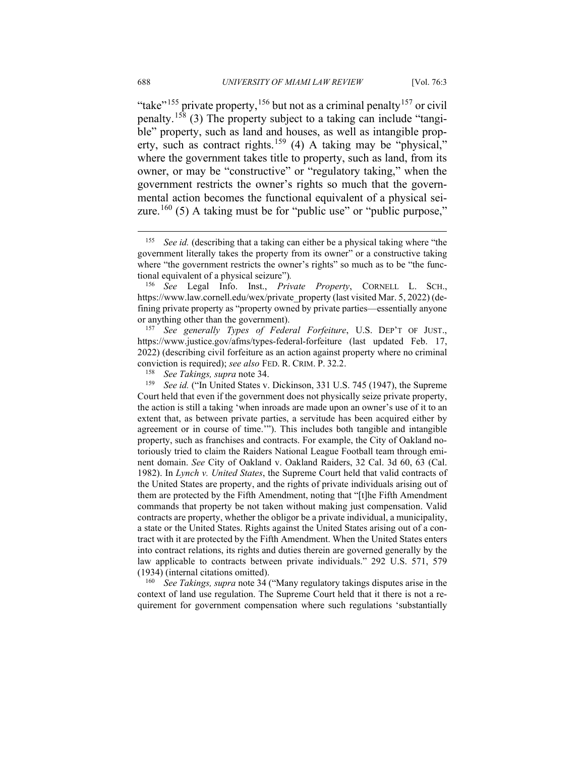"take"<sup>[155](#page-36-0)</sup> private property,<sup>[156](#page-36-1)</sup> but not as a criminal penalty<sup>[157](#page-36-2)</sup> or civil penalty.[158](#page-36-3) (3) The property subject to a taking can include "tangible" property, such as land and houses, as well as intangible prop-erty, such as contract rights.<sup>[159](#page-36-4)</sup> (4) A taking may be "physical," where the government takes title to property, such as land, from its owner, or may be "constructive" or "regulatory taking," when the government restricts the owner's rights so much that the governmental action becomes the functional equivalent of a physical sei-zure.<sup>[160](#page-36-5)</sup> (5) A taking must be for "public use" or "public purpose,"

<span id="page-36-2"></span><sup>157</sup> *See generally Types of Federal Forfeiture*, U.S. DEP'T OF JUST., https://www.justice.gov/afms/types-federal-forfeiture (last updated Feb. 17, 2022) (describing civil forfeiture as an action against property where no criminal conviction is required); *see also* FED. R. CRIM. P. 32.2.

<sup>158</sup> *See Takings, supra* note 34.

<span id="page-36-4"></span><span id="page-36-3"></span>See id. ("In United States v. Dickinson, 331 U.S. 745 (1947), the Supreme Court held that even if the government does not physically seize private property, the action is still a taking 'when inroads are made upon an owner's use of it to an extent that, as between private parties, a servitude has been acquired either by agreement or in course of time.'"). This includes both tangible and intangible property, such as franchises and contracts. For example, the City of Oakland notoriously tried to claim the Raiders National League Football team through eminent domain. *See* City of Oakland v. Oakland Raiders, 32 Cal. 3d 60, 63 (Cal. 1982). In *Lynch v. United States*, the Supreme Court held that valid contracts of the United States are property, and the rights of private individuals arising out of them are protected by the Fifth Amendment, noting that "[t]he Fifth Amendment commands that property be not taken without making just compensation. Valid contracts are property, whether the obligor be a private individual, a municipality, a state or the United States. Rights against the United States arising out of a contract with it are protected by the Fifth Amendment. When the United States enters into contract relations, its rights and duties therein are governed generally by the law applicable to contracts between private individuals." 292 U.S. 571, 579 (1934) (internal citations omitted).

<span id="page-36-5"></span><sup>160</sup> *See Takings, supra* note 34 ("Many regulatory takings disputes arise in the context of land use regulation. The Supreme Court held that it there is not a requirement for government compensation where such regulations 'substantially

<span id="page-36-0"></span><sup>155</sup> *See id.* (describing that a taking can either be a physical taking where "the government literally takes the property from its owner" or a constructive taking where "the government restricts the owner's rights" so much as to be "the functional equivalent of a physical seizure")*.*

<span id="page-36-1"></span><sup>156</sup> *See* Legal Info. Inst., *Private Property*, CORNELL L. SCH., https://www.law.cornell.edu/wex/private\_property (last visited Mar. 5, 2022) (defining private property as "property owned by private parties—essentially anyone or anything other than the government).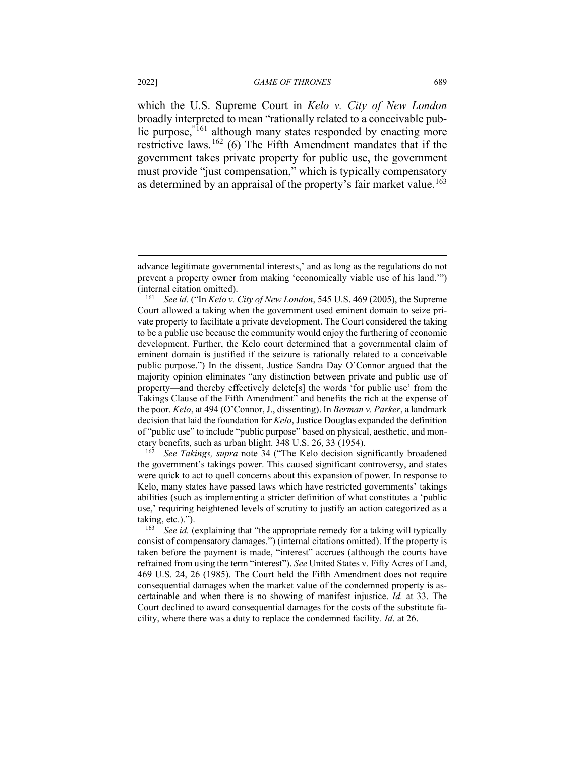which the U.S. Supreme Court in *Kelo v. City of New London* broadly interpreted to mean "rationally related to a conceivable pub-lic purpose,<sup>"[161](#page-37-0)</sup> although many states responded by enacting more restrictive laws.<sup>[162](#page-37-1)</sup> (6) The Fifth Amendment mandates that if the government takes private property for public use, the government must provide "just compensation," which is typically compensatory as determined by an appraisal of the property's fair market value.<sup>[163](#page-37-2)</sup>

<span id="page-37-1"></span><sup>162</sup> *See Takings, supra* note 34 ("The Kelo decision significantly broadened the government's takings power. This caused significant controversy, and states were quick to act to quell concerns about this expansion of power. In response to Kelo, many states have passed laws which have restricted governments' takings abilities (such as implementing a stricter definition of what constitutes a 'public use,' requiring heightened levels of scrutiny to justify an action categorized as a taking, etc.).").<br> $\frac{163}{2}$  See id (

advance legitimate governmental interests,' and as long as the regulations do not prevent a property owner from making 'economically viable use of his land.'") (internal citation omitted).

<span id="page-37-0"></span><sup>161</sup> *See id.* ("In *Kelo v. City of New London*, 545 U.S. 469 (2005), the Supreme Court allowed a taking when the government used eminent domain to seize private property to facilitate a private development. The Court considered the taking to be a public use because the community would enjoy the furthering of economic development. Further, the Kelo court determined that a governmental claim of eminent domain is justified if the seizure is rationally related to a conceivable public purpose.") In the dissent, Justice Sandra Day O'Connor argued that the majority opinion eliminates "any distinction between private and public use of property—and thereby effectively delete[s] the words 'for public use' from the Takings Clause of the Fifth Amendment" and benefits the rich at the expense of the poor. *Kelo*, at 494 (O'Connor, J., dissenting). In *Berman v. Parker*, a landmark decision that laid the foundation for *Kelo*, Justice Douglas expanded the definition of "public use" to include "public purpose" based on physical, aesthetic, and monetary benefits, such as urban blight. 348 U.S. 26, 33 (1954).

<span id="page-37-2"></span>See id. (explaining that "the appropriate remedy for a taking will typically consist of compensatory damages.") (internal citations omitted). If the property is taken before the payment is made, "interest" accrues (although the courts have refrained from using the term "interest"). *See* United States v. Fifty Acres of Land, 469 U.S. 24, 26 (1985). The Court held the Fifth Amendment does not require consequential damages when the market value of the condemned property is ascertainable and when there is no showing of manifest injustice. *Id.* at 33. The Court declined to award consequential damages for the costs of the substitute facility, where there was a duty to replace the condemned facility. *Id*. at 26.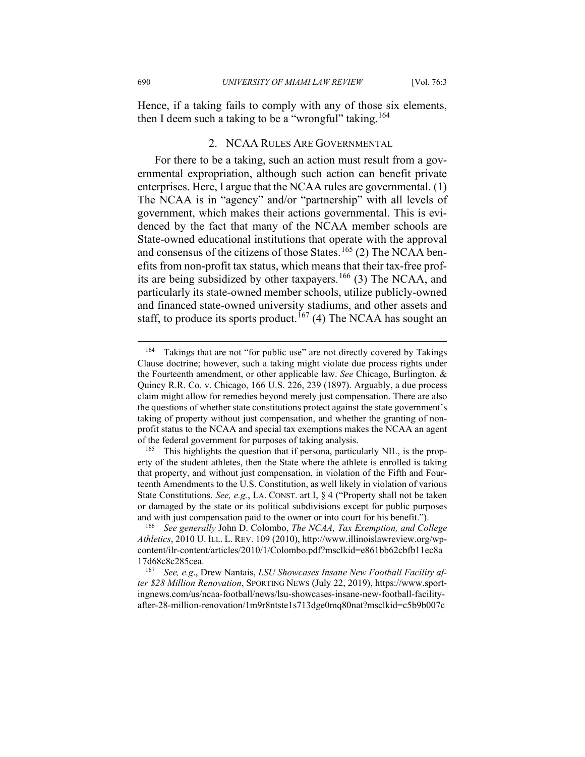Hence, if a taking fails to comply with any of those six elements, then I deem such a taking to be a "wrongful" taking.<sup>[164](#page-38-0)</sup>

## 2. NCAA RULES ARE GOVERNMENTAL

For there to be a taking, such an action must result from a governmental expropriation, although such action can benefit private enterprises. Here, I argue that the NCAA rules are governmental. (1) The NCAA is in "agency" and/or "partnership" with all levels of government, which makes their actions governmental. This is evidenced by the fact that many of the NCAA member schools are State-owned educational institutions that operate with the approval and consensus of the citizens of those States.<sup>[165](#page-38-1)</sup> (2) The NCAA benefits from non-profit tax status, which means that their tax-free prof-its are being subsidized by other taxpayers.<sup>[166](#page-38-2)</sup> (3) The NCAA, and particularly its state-owned member schools, utilize publicly-owned and financed state-owned university stadiums, and other assets and staff, to produce its sports product.<sup>[167](#page-38-3)</sup> (4) The NCAA has sought an

<span id="page-38-0"></span><sup>&</sup>lt;sup>164</sup> Takings that are not "for public use" are not directly covered by Takings Clause doctrine; however, such a taking might violate due process rights under the Fourteenth amendment, or other applicable law. *See* Chicago, Burlington. & Quincy R.R. Co. v. Chicago, 166 U.S. 226, 239 (1897). Arguably, a due process claim might allow for remedies beyond merely just compensation. There are also the questions of whether state constitutions protect against the state government's taking of property without just compensation, and whether the granting of nonprofit status to the NCAA and special tax exemptions makes the NCAA an agent of the federal government for purposes of taking analysis.

<span id="page-38-1"></span><sup>&</sup>lt;sup>165</sup> This highlights the question that if persona, particularly NIL, is the property of the student athletes, then the State where the athlete is enrolled is taking that property, and without just compensation, in violation of the Fifth and Fourteenth Amendments to the U.S. Constitution, as well likely in violation of various State Constitutions. *See, e.g.*, LA. CONST. art I, § 4 ("Property shall not be taken or damaged by the state or its political subdivisions except for public purposes and with just compensation paid to the owner or into court for his benefit.").

<span id="page-38-2"></span><sup>166</sup> *See generally* John D. Colombo, *The NCAA, Tax Exemption, and College Athletics*, 2010 U. ILL. L. REV. 109 (2010), http://www.illinoislawreview.org/wpcontent/ilr-content/articles/2010/1/Colombo.pdf?msclkid=e861bb62cbfb11ec8a 17d68c8c285cea. 167 *See, e.g*., Drew Nantais, *LSU Showcases Insane New Football Facility af-*

<span id="page-38-3"></span>*ter \$28 Million Renovation*, SPORTING NEWS (July 22, 2019), https://www.sportingnews.com/us/ncaa-football/news/lsu-showcases-insane-new-football-facilityafter-28-million-renovation/1m9r8ntste1s713dge0mq80nat?msclkid=c5b9b007c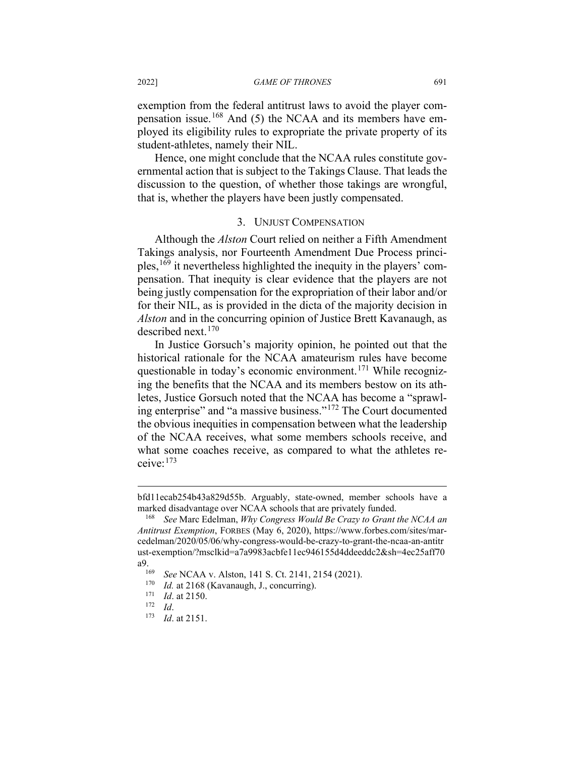exemption from the federal antitrust laws to avoid the player compensation issue.[168](#page-39-0) And (5) the NCAA and its members have employed its eligibility rules to expropriate the private property of its student-athletes, namely their NIL.

Hence, one might conclude that the NCAA rules constitute governmental action that is subject to the Takings Clause. That leads the discussion to the question, of whether those takings are wrongful, that is, whether the players have been justly compensated.

### 3. UNJUST COMPENSATION

Although the *Alston* Court relied on neither a Fifth Amendment Takings analysis, nor Fourteenth Amendment Due Process principles,[169](#page-39-1) it nevertheless highlighted the inequity in the players' compensation. That inequity is clear evidence that the players are not being justly compensation for the expropriation of their labor and/or for their NIL, as is provided in the dicta of the majority decision in *Alston* and in the concurring opinion of Justice Brett Kavanaugh, as described next. [170](#page-39-2)

In Justice Gorsuch's majority opinion, he pointed out that the historical rationale for the NCAA amateurism rules have become questionable in today's economic environment.<sup>[171](#page-39-3)</sup> While recognizing the benefits that the NCAA and its members bestow on its athletes, Justice Gorsuch noted that the NCAA has become a "sprawling enterprise" and "a massive business."[172](#page-39-4) The Court documented the obvious inequities in compensation between what the leadership of the NCAA receives, what some members schools receive, and what some coaches receive, as compared to what the athletes receive:[173](#page-39-5)

bfd11ecab254b43a829d55b. Arguably, state-owned, member schools have a marked disadvantage over NCAA schools that are privately funded.

<span id="page-39-0"></span><sup>168</sup> *See* Marc Edelman, *Why Congress Would Be Crazy to Grant the NCAA an Antitrust Exemption*, FORBES (May 6, 2020), https://www.forbes.com/sites/marcedelman/2020/05/06/why-congress-would-be-crazy-to-grant-the-ncaa-an-antitr ust-exemption/?msclkid=a7a9983acbfe11ec946155d4ddeeddc2&sh=4ec25aff70 a9.<br><sup>169</sup> *See* NCAA v. Alston, 141 S. Ct. 2141, 2154 (2021).<br><sup>170</sup> *Id* at 2168 (Kayanaugh J. concurring).

<span id="page-39-2"></span><span id="page-39-1"></span>

<sup>&</sup>lt;sup>170</sup> *Id.* at 2168 (Kavanaugh, J., concurring).<br><sup>171</sup> *Id.* at 2150

<span id="page-39-5"></span><span id="page-39-4"></span><span id="page-39-3"></span><sup>171</sup> *Id.* at 2150.<br><sup>172</sup> *Id.*<br><sup>173</sup> *Id.* at 2151

*Id.* at 2151.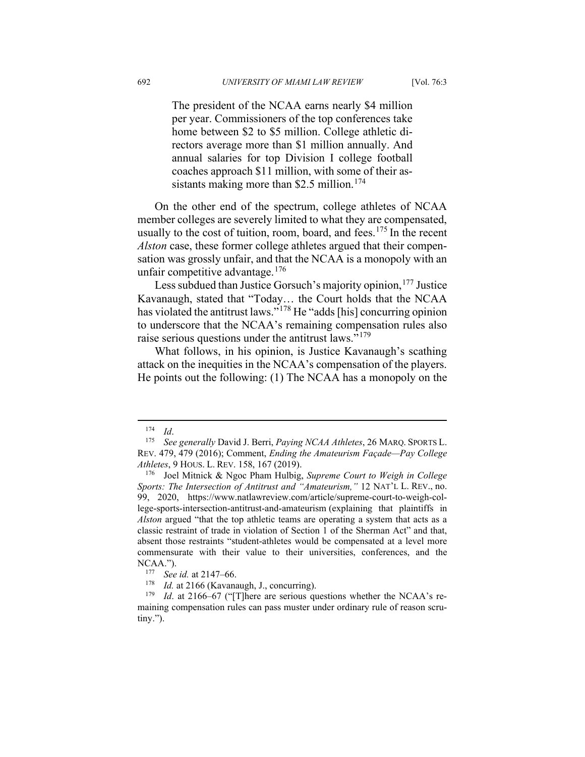The president of the NCAA earns nearly \$4 million per year. Commissioners of the top conferences take home between \$2 to \$5 million. College athletic directors average more than \$1 million annually. And annual salaries for top Division I college football coaches approach \$11 million, with some of their as-sistants making more than \$2.5 million.<sup>[174](#page-40-0)</sup>

On the other end of the spectrum, college athletes of NCAA member colleges are severely limited to what they are compensated, usually to the cost of tuition, room, board, and fees.<sup>[175](#page-40-1)</sup> In the recent *Alston* case, these former college athletes argued that their compensation was grossly unfair, and that the NCAA is a monopoly with an unfair competitive advantage. $176$ 

Less subdued than Justice Gorsuch's majority opinion,<sup>[177](#page-40-3)</sup> Justice Kavanaugh, stated that "Today… the Court holds that the NCAA has violated the antitrust laws."[178](#page-40-4) He "adds [his] concurring opinion to underscore that the NCAA's remaining compensation rules also raise serious questions under the antitrust laws."<sup>[179](#page-40-5)</sup>

What follows, in his opinion, is Justice Kavanaugh's scathing attack on the inequities in the NCAA's compensation of the players. He points out the following: (1) The NCAA has a monopoly on the

<span id="page-40-1"></span><span id="page-40-0"></span><sup>174</sup> *Id*. 175 *See generally* David J. Berri, *Paying NCAA Athletes*, 26 MARQ. SPORTS L. REV. 479, 479 (2016); Comment, *Ending the Amateurism Façade—Pay College Athletes*, 9 HOUS. L. REV. 158, 167 (2019).

<span id="page-40-2"></span><sup>176</sup> Joel Mitnick & Ngoc Pham Hulbig, *Supreme Court to Weigh in College Sports: The Intersection of Antitrust and "Amateurism,"* 12 NAT'L L. REV., no. 99, 2020, https://www.natlawreview.com/article/supreme-court-to-weigh-college-sports-intersection-antitrust-and-amateurism (explaining that plaintiffs in *Alston* argued "that the top athletic teams are operating a system that acts as a classic restraint of trade in violation of Section 1 of the Sherman Act" and that, absent those restraints "student-athletes would be compensated at a level more commensurate with their value to their universities, conferences, and the NCAA.").

<sup>&</sup>lt;sup>177</sup> *See id.* at 2147–66.<br><sup>178</sup> *Id.* at 2166 (Kayana

<sup>&</sup>lt;sup>178</sup> *Id.* at 2166 (Kavanaugh, J., concurring).<br><sup>179</sup> *Id.* at 2166–67 ("There are serious qu

<span id="page-40-5"></span><span id="page-40-4"></span><span id="page-40-3"></span>*Id.* at 2166–67 ("[T]here are serious questions whether the NCAA's remaining compensation rules can pass muster under ordinary rule of reason scrutiny.").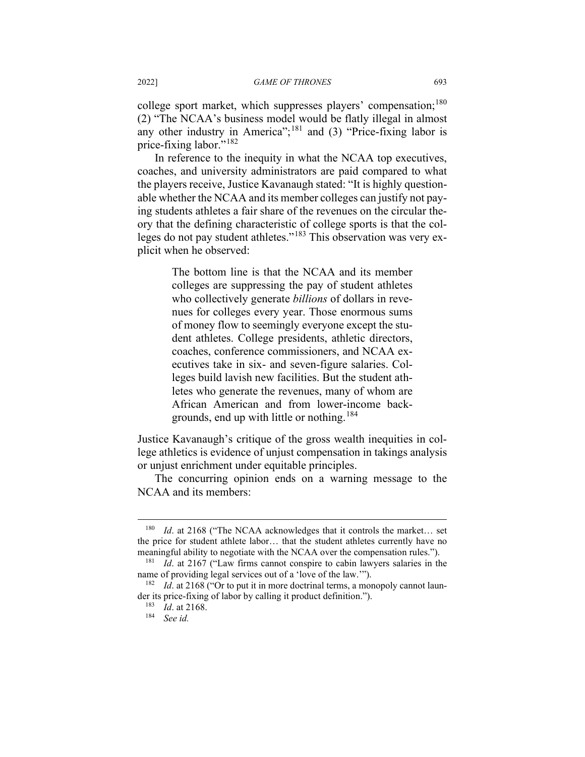college sport market, which suppresses players' compensation;<sup>[180](#page-41-0)</sup> (2) "The NCAA's business model would be flatly illegal in almost any other industry in America";<sup>[181](#page-41-1)</sup> and (3) "Price-fixing labor is price-fixing labor."[182](#page-41-2)

In reference to the inequity in what the NCAA top executives, coaches, and university administrators are paid compared to what the players receive, Justice Kavanaugh stated: "It is highly questionable whether the NCAA and its member colleges can justify not paying students athletes a fair share of the revenues on the circular theory that the defining characteristic of college sports is that the col-leges do not pay student athletes."<sup>[183](#page-41-3)</sup> This observation was very explicit when he observed:

> The bottom line is that the NCAA and its member colleges are suppressing the pay of student athletes who collectively generate *billions* of dollars in revenues for colleges every year. Those enormous sums of money flow to seemingly everyone except the student athletes. College presidents, athletic directors, coaches, conference commissioners, and NCAA executives take in six- and seven-figure salaries. Colleges build lavish new facilities. But the student athletes who generate the revenues, many of whom are African American and from lower-income back-grounds, end up with little or nothing.<sup>[184](#page-41-4)</sup>

Justice Kavanaugh's critique of the gross wealth inequities in college athletics is evidence of unjust compensation in takings analysis or unjust enrichment under equitable principles.

The concurring opinion ends on a warning message to the NCAA and its members:

<span id="page-41-0"></span><sup>&</sup>lt;sup>180</sup> *Id.* at 2168 ("The NCAA acknowledges that it controls the market... set the price for student athlete labor… that the student athletes currently have no meaningful ability to negotiate with the NCAA over the compensation rules.").

<span id="page-41-1"></span><sup>181</sup> *Id*. at 2167 ("Law firms cannot conspire to cabin lawyers salaries in the name of providing legal services out of a 'love of the law.'").

<span id="page-41-4"></span><span id="page-41-3"></span><span id="page-41-2"></span><sup>&</sup>lt;sup>182</sup> *Id.* at 2168 ("Or to put it in more doctrinal terms, a monopoly cannot launder its price-fixing of labor by calling it product definition.").

<sup>183</sup> *Id*. at 2168.

<sup>184</sup> *See id.*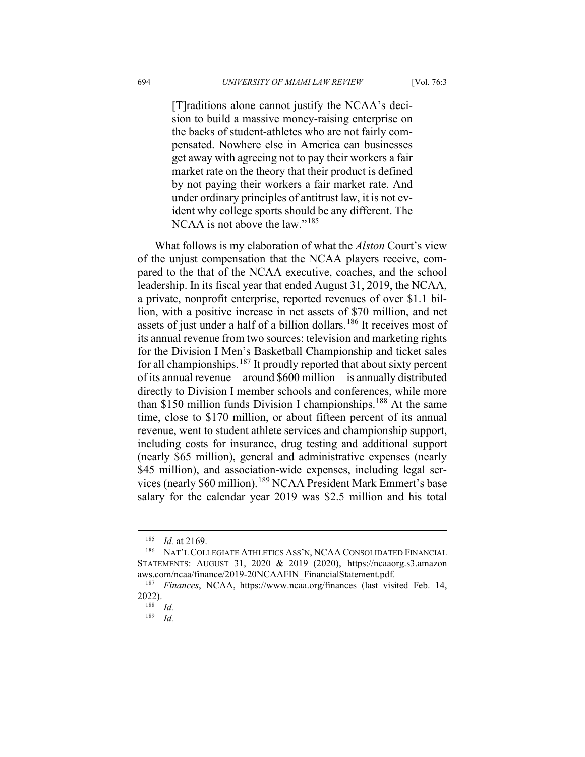[T]raditions alone cannot justify the NCAA's decision to build a massive money-raising enterprise on the backs of student-athletes who are not fairly compensated. Nowhere else in America can businesses get away with agreeing not to pay their workers a fair market rate on the theory that their product is defined by not paying their workers a fair market rate. And under ordinary principles of antitrust law, it is not evident why college sports should be any different. The NCAA is not above the law."<sup>[185](#page-42-0)</sup>

What follows is my elaboration of what the *Alston* Court's view of the unjust compensation that the NCAA players receive, compared to the that of the NCAA executive, coaches, and the school leadership. In its fiscal year that ended August 31, 2019, the NCAA, a private, nonprofit enterprise, reported revenues of over \$1.1 billion, with a positive increase in net assets of \$70 million, and net assets of just under a half of a billion dollars.<sup>[186](#page-42-1)</sup> It receives most of its annual revenue from two sources: television and marketing rights for the Division I Men's Basketball Championship and ticket sales for all championships.<sup>[187](#page-42-2)</sup> It proudly reported that about sixty percent of its annual revenue—around \$600 million—is annually distributed directly to Division I member schools and conferences, while more than \$150 million funds Division I championships.<sup>[188](#page-42-3)</sup> At the same time, close to \$170 million, or about fifteen percent of its annual revenue, went to student athlete services and championship support, including costs for insurance, drug testing and additional support (nearly \$65 million), general and administrative expenses (nearly \$45 million), and association-wide expenses, including legal services (nearly \$60 million).[189](#page-42-4) NCAA President Mark Emmert's base salary for the calendar year 2019 was \$2.5 million and his total

 $\frac{185}{186}$  *Id.* at 2169.

<span id="page-42-1"></span><span id="page-42-0"></span>NAT'L COLLEGIATE ATHLETICS ASS'N, NCAA CONSOLIDATED FINANCIAL STATEMENTS: AUGUST 31, 2020 & 2019 (2020), https://ncaaorg.s3.amazon aws.com/ncaa/finance/2019-20NCAAFIN\_FinancialStatement.pdf.

<span id="page-42-4"></span><span id="page-42-3"></span><span id="page-42-2"></span><sup>187</sup> *Finances*, NCAA, https://www.ncaa.org/finances (last visited Feb. 14, 2022).

<sup>188</sup> *Id.*

<sup>189</sup> *Id.*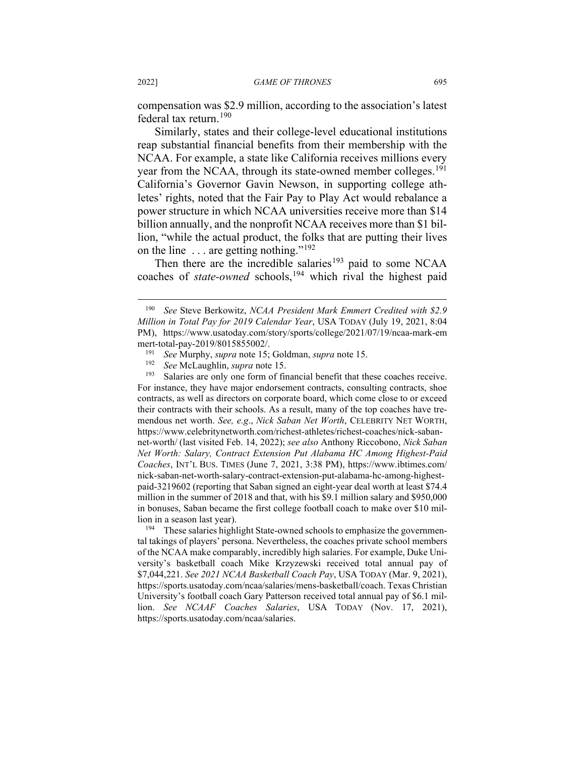compensation was \$2.9 million, according to the association's latest federal tax return.<sup>[190](#page-43-0)</sup>

Similarly, states and their college-level educational institutions reap substantial financial benefits from their membership with the NCAA. For example, a state like California receives millions every year from the NCAA, through its state-owned member colleges.<sup>[191](#page-43-1)</sup> California's Governor Gavin Newson, in supporting college athletes' rights, noted that the Fair Pay to Play Act would rebalance a power structure in which NCAA universities receive more than \$14 billion annually, and the nonprofit NCAA receives more than \$1 billion, "while the actual product, the folks that are putting their lives on the line  $\dots$  are getting nothing."<sup>[192](#page-43-2)</sup>

Then there are the incredible salaries<sup>[193](#page-43-3)</sup> paid to some NCAA coaches of *state-owned* schools, [194](#page-43-4) which rival the highest paid

<span id="page-43-0"></span><sup>190</sup> *See* Steve Berkowitz, *NCAA President Mark Emmert Credited with \$2.9 Million in Total Pay for 2019 Calendar Year*, USA TODAY (July 19, 2021, 8:04 PM), https://www.usatoday.com/story/sports/college/2021/07/19/ncaa-mark-em mert-total-pay-2019/8015855002/.

<sup>191</sup> *See* Murphy, *supra* note 15; Goldman, *supra* note 15.

*See* McLaughlin, *supra* note 15.

<span id="page-43-3"></span><span id="page-43-2"></span><span id="page-43-1"></span><sup>&</sup>lt;sup>193</sup> Salaries are only one form of financial benefit that these coaches receive. For instance, they have major endorsement contracts, consulting contracts, shoe contracts, as well as directors on corporate board, which come close to or exceed their contracts with their schools. As a result, many of the top coaches have tremendous net worth. *See, e.g*., *Nick Saban Net Worth*, CELEBRITY NET WORTH, https://www.celebritynetworth.com/richest-athletes/richest-coaches/nick-sabannet-worth/ (last visited Feb. 14, 2022); *see also* Anthony Riccobono, *Nick Saban Net Worth: Salary, Contract Extension Put Alabama HC Among Highest-Paid Coaches*, INT'L BUS. TIMES (June 7, 2021, 3:38 PM), https://www.ibtimes.com/ nick-saban-net-worth-salary-contract-extension-put-alabama-hc-among-highestpaid-3219602 (reporting that Saban signed an eight-year deal worth at least \$74.4 million in the summer of 2018 and that, with his \$9.1 million salary and \$950,000 in bonuses, Saban became the first college football coach to make over \$10 million in a season last year).

<span id="page-43-4"></span> $194$  These salaries highlight State-owned schools to emphasize the governmental takings of players' persona. Nevertheless, the coaches private school members of the NCAA make comparably, incredibly high salaries. For example, Duke University's basketball coach Mike Krzyzewski received total annual pay of \$7,044,221. *See 2021 NCAA Basketball Coach Pay*, USA TODAY (Mar. 9, 2021), https://sports.usatoday.com/ncaa/salaries/mens-basketball/coach. Texas Christian University's football coach Gary Patterson received total annual pay of \$6.1 million. *See NCAAF Coaches Salaries*, USA TODAY (Nov. 17, 2021), https://sports.usatoday.com/ncaa/salaries.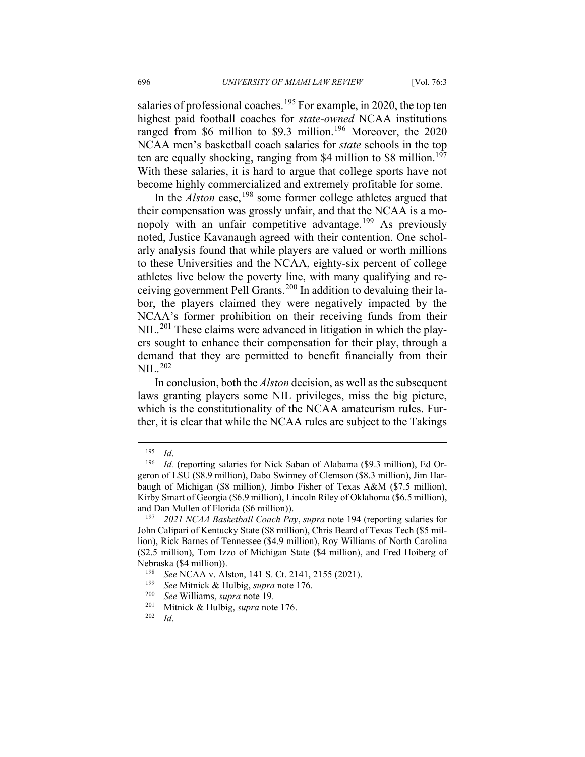salaries of professional coaches.<sup>[195](#page-44-0)</sup> For example, in 2020, the top ten highest paid football coaches for *state-owned* NCAA institutions ranged from \$6 million to \$9.3 million.<sup>[196](#page-44-1)</sup> Moreover, the 2020 NCAA men's basketball coach salaries for *state* schools in the top ten are equally shocking, ranging from \$4 million to \$8 million.<sup>[197](#page-44-2)</sup> With these salaries, it is hard to argue that college sports have not become highly commercialized and extremely profitable for some.

In the *Alston* case,<sup>[198](#page-44-3)</sup> some former college athletes argued that their compensation was grossly unfair, and that the NCAA is a mo-nopoly with an unfair competitive advantage.<sup>[199](#page-44-4)</sup> As previously noted, Justice Kavanaugh agreed with their contention. One scholarly analysis found that while players are valued or worth millions to these Universities and the NCAA, eighty-six percent of college athletes live below the poverty line, with many qualifying and receiving government Pell Grants.[200](#page-44-5) In addition to devaluing their labor, the players claimed they were negatively impacted by the NCAA's former prohibition on their receiving funds from their NIL.<sup>[201](#page-44-6)</sup> These claims were advanced in litigation in which the players sought to enhance their compensation for their play, through a demand that they are permitted to benefit financially from their NIL.[202](#page-44-7)

In conclusion, both the *Alston* decision, as well as the subsequent laws granting players some NIL privileges, miss the big picture, which is the constitutionality of the NCAA amateurism rules. Further, it is clear that while the NCAA rules are subject to the Takings

<span id="page-44-1"></span><span id="page-44-0"></span><sup>195</sup> *Id*. 196 *Id.* (reporting salaries for Nick Saban of Alabama (\$9.3 million), Ed Orgeron of LSU (\$8.9 million), Dabo Swinney of Clemson (\$8.3 million), Jim Harbaugh of Michigan (\$8 million), Jimbo Fisher of Texas A&M (\$7.5 million), Kirby Smart of Georgia (\$6.9 million), Lincoln Riley of Oklahoma (\$6.5 million), and Dan Mullen of Florida (\$6 million)).<br> $197$  2021 NCAA Basketball Coach Pa

<span id="page-44-2"></span><sup>197</sup> *2021 NCAA Basketball Coach Pay*, *supra* note 194 (reporting salaries for John Calipari of Kentucky State (\$8 million), Chris Beard of Texas Tech (\$5 million), Rick Barnes of Tennessee (\$4.9 million), Roy Williams of North Carolina (\$2.5 million), Tom Izzo of Michigan State (\$4 million), and Fred Hoiberg of Nebraska (\$4 million)).<br><sup>198</sup> See NCAA v. Al

<sup>198</sup> *See* NCAA v. Alston, 141 S. Ct. 2141, 2155 (2021).

<span id="page-44-5"></span><span id="page-44-4"></span><span id="page-44-3"></span><sup>199</sup> *See* Mitnick & Hulbig, *supra* note 176. 200 *See* Williams, *supra* note 19. 201 Mitnick & Hulbig, *supra* note 176. 202 *Id*.

<span id="page-44-7"></span><span id="page-44-6"></span>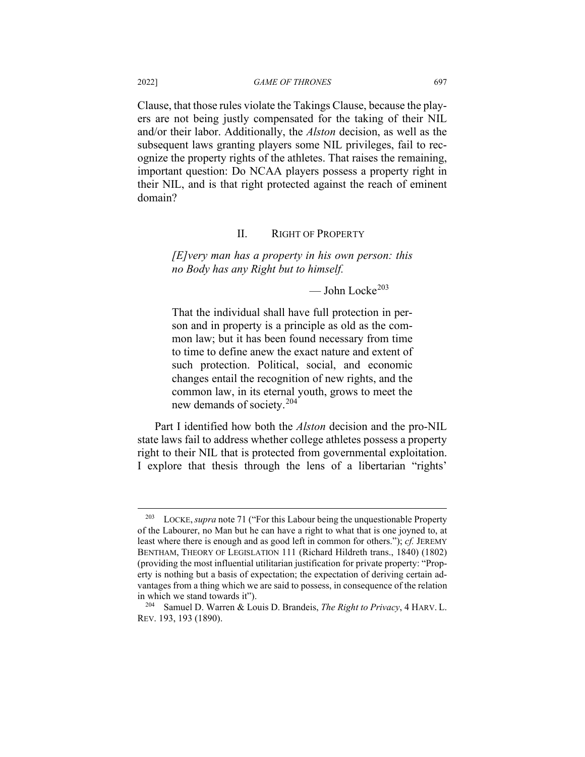Clause, that those rules violate the Takings Clause, because the players are not being justly compensated for the taking of their NIL and/or their labor. Additionally, the *Alston* decision, as well as the subsequent laws granting players some NIL privileges, fail to recognize the property rights of the athletes. That raises the remaining, important question: Do NCAA players possess a property right in their NIL, and is that right protected against the reach of eminent domain?

## II. RIGHT OF PROPERTY

*[E]very man has a property in his own person: this no Body has any Right but to himself.*

 $\sim$  John Locke<sup>[203](#page-45-0)</sup>

That the individual shall have full protection in person and in property is a principle as old as the common law; but it has been found necessary from time to time to define anew the exact nature and extent of such protection. Political, social, and economic changes entail the recognition of new rights, and the common law, in its eternal youth, grows to meet the new demands of society.[204](#page-45-1)

Part I identified how both the *Alston* decision and the pro-NIL state laws fail to address whether college athletes possess a property right to their NIL that is protected from governmental exploitation. I explore that thesis through the lens of a libertarian "rights'

<span id="page-45-0"></span><sup>203</sup> LOCKE,*supra* note 71 ("For this Labour being the unquestionable Property of the Labourer, no Man but he can have a right to what that is one joyned to, at least where there is enough and as good left in common for others."); *cf.* JEREMY BENTHAM, THEORY OF LEGISLATION 111 (Richard Hildreth trans., 1840) (1802) (providing the most influential utilitarian justification for private property: "Property is nothing but a basis of expectation; the expectation of deriving certain advantages from a thing which we are said to possess, in consequence of the relation in which we stand towards it").

<span id="page-45-1"></span><sup>204</sup> Samuel D. Warren & Louis D. Brandeis, *The Right to Privacy*, 4 HARV. L. REV. 193, 193 (1890).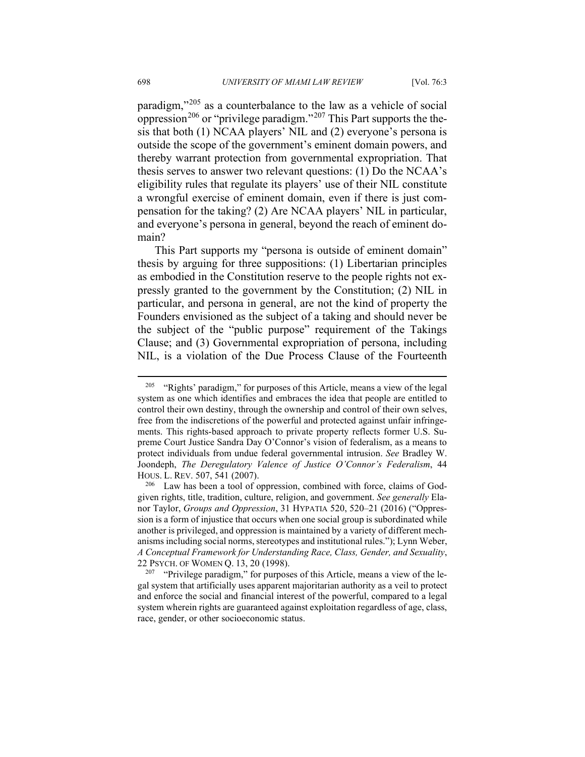paradigm,"[205](#page-46-0) as a counterbalance to the law as a vehicle of social oppression<sup>[206](#page-46-1)</sup> or "privilege paradigm."<sup>[207](#page-46-2)</sup> This Part supports the thesis that both (1) NCAA players' NIL and (2) everyone's persona is outside the scope of the government's eminent domain powers, and thereby warrant protection from governmental expropriation. That thesis serves to answer two relevant questions: (1) Do the NCAA's eligibility rules that regulate its players' use of their NIL constitute a wrongful exercise of eminent domain, even if there is just compensation for the taking? (2) Are NCAA players' NIL in particular, and everyone's persona in general, beyond the reach of eminent domain?

This Part supports my "persona is outside of eminent domain" thesis by arguing for three suppositions: (1) Libertarian principles as embodied in the Constitution reserve to the people rights not expressly granted to the government by the Constitution; (2) NIL in particular, and persona in general, are not the kind of property the Founders envisioned as the subject of a taking and should never be the subject of the "public purpose" requirement of the Takings Clause; and (3) Governmental expropriation of persona, including NIL, is a violation of the Due Process Clause of the Fourteenth

<span id="page-46-0"></span><sup>&</sup>lt;sup>205</sup> "Rights' paradigm," for purposes of this Article, means a view of the legal system as one which identifies and embraces the idea that people are entitled to control their own destiny, through the ownership and control of their own selves, free from the indiscretions of the powerful and protected against unfair infringements. This rights-based approach to private property reflects former U.S. Supreme Court Justice Sandra Day O'Connor's vision of federalism, as a means to protect individuals from undue federal governmental intrusion. *See* Bradley W. Joondeph, *The Deregulatory Valence of Justice O'Connor's Federalism*, 44 HOUS. L. REV. 507, 541 (2007).

<span id="page-46-1"></span> $206$  Law has been a tool of oppression, combined with force, claims of Godgiven rights, title, tradition, culture, religion, and government. *See generally* Elanor Taylor, *Groups and Oppression*, 31 HYPATIA 520, 520–21 (2016) ("Oppression is a form of injustice that occurs when one social group is subordinated while another is privileged, and oppression is maintained by a variety of different mechanisms including social norms, stereotypes and institutional rules."); Lynn Weber, *A Conceptual Framework for Understanding Race, Class, Gender, and Sexuality*, 22 PSYCH. OF WOMEN Q. 13, 20 (1998).

<span id="page-46-2"></span><sup>&</sup>lt;sup>207</sup> "Privilege paradigm," for purposes of this Article, means a view of the legal system that artificially uses apparent majoritarian authority as a veil to protect and enforce the social and financial interest of the powerful, compared to a legal system wherein rights are guaranteed against exploitation regardless of age, class, race, gender, or other socioeconomic status.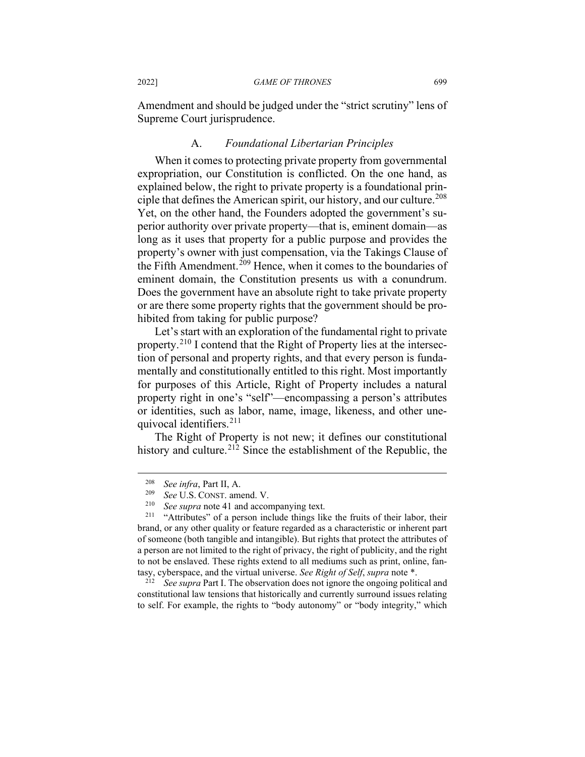Amendment and should be judged under the "strict scrutiny" lens of Supreme Court jurisprudence.

# A. *Foundational Libertarian Principles*

When it comes to protecting private property from governmental expropriation, our Constitution is conflicted. On the one hand, as explained below, the right to private property is a foundational prin-ciple that defines the American spirit, our history, and our culture.<sup>[208](#page-47-0)</sup> Yet, on the other hand, the Founders adopted the government's superior authority over private property—that is, eminent domain—as long as it uses that property for a public purpose and provides the property's owner with just compensation, via the Takings Clause of the Fifth Amendment.<sup>[209](#page-47-1)</sup> Hence, when it comes to the boundaries of eminent domain, the Constitution presents us with a conundrum. Does the government have an absolute right to take private property or are there some property rights that the government should be prohibited from taking for public purpose?

Let's start with an exploration of the fundamental right to private property.<sup>[210](#page-47-2)</sup> I contend that the Right of Property lies at the intersection of personal and property rights, and that every person is fundamentally and constitutionally entitled to this right. Most importantly for purposes of this Article, Right of Property includes a natural property right in one's "self"—encompassing a person's attributes or identities, such as labor, name, image, likeness, and other unequivocal identifiers.[211](#page-47-3)

The Right of Property is not new; it defines our constitutional history and culture.<sup>[212](#page-47-4)</sup> Since the establishment of the Republic, the

<span id="page-47-4"></span>See supra Part I. The observation does not ignore the ongoing political and constitutional law tensions that historically and currently surround issues relating to self. For example, the rights to "body autonomy" or "body integrity," which

 $\frac{208}{209}$  *See infra*, Part II, A.

<sup>&</sup>lt;sup>209</sup> *See* U.S. CONST. amend. V.

<sup>&</sup>lt;sup>210</sup> *See supra* note 41 and accompanying text.<br><sup>211</sup> **"Attributes"** of a person include things like

<span id="page-47-3"></span><span id="page-47-2"></span><span id="page-47-1"></span><span id="page-47-0"></span><sup>&</sup>quot;Attributes" of a person include things like the fruits of their labor, their brand, or any other quality or feature regarded as a characteristic or inherent part of someone (both tangible and intangible). But rights that protect the attributes of a person are not limited to the right of privacy, the right of publicity, and the right to not be enslaved. These rights extend to all mediums such as print, online, fantasy, cyberspace, and the virtual universe. *See Right of Self*, *supra* note \*.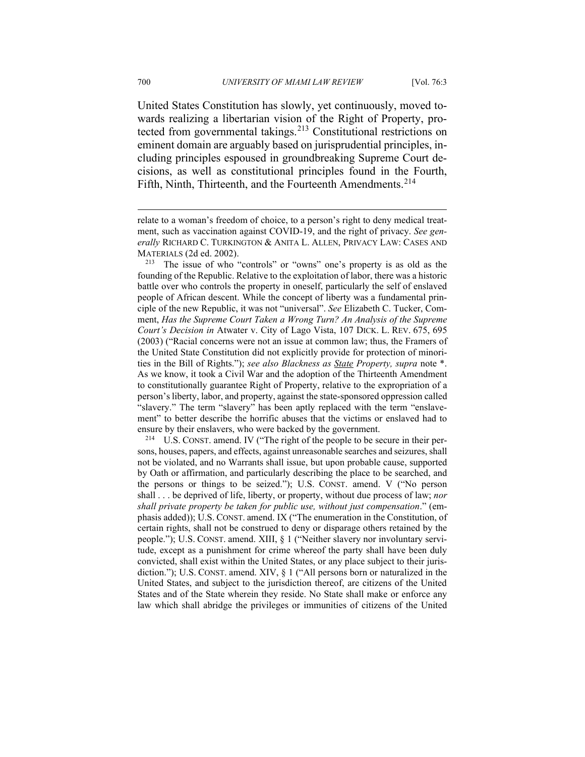United States Constitution has slowly, yet continuously, moved towards realizing a libertarian vision of the Right of Property, protected from governmental takings.[213](#page-48-0) Constitutional restrictions on eminent domain are arguably based on jurisprudential principles, including principles espoused in groundbreaking Supreme Court decisions, as well as constitutional principles found in the Fourth, Fifth, Ninth, Thirteenth, and the Fourteenth Amendments.<sup>[214](#page-48-1)</sup>

<span id="page-48-1"></span><sup>214</sup> U.S. CONST. amend. IV ("The right of the people to be secure in their persons, houses, papers, and effects, against unreasonable searches and seizures, shall not be violated, and no Warrants shall issue, but upon probable cause, supported by Oath or affirmation, and particularly describing the place to be searched, and the persons or things to be seized."); U.S. CONST. amend. V ("No person shall . . . be deprived of life, liberty, or property, without due process of law; *nor shall private property be taken for public use, without just compensation*." (emphasis added)); U.S. CONST. amend. IX ("The enumeration in the Constitution, of certain rights, shall not be construed to deny or disparage others retained by the people."); U.S. CONST. amend. XIII, § 1 ("Neither slavery nor involuntary servitude, except as a punishment for crime whereof the party shall have been duly convicted, shall exist within the United States, or any place subject to their jurisdiction."); U.S. CONST. amend. XIV, § 1 ("All persons born or naturalized in the United States, and subject to the jurisdiction thereof, are citizens of the United States and of the State wherein they reside. No State shall make or enforce any law which shall abridge the privileges or immunities of citizens of the United

relate to a woman's freedom of choice, to a person's right to deny medical treatment, such as vaccination against COVID-19, and the right of privacy. *See generally* RICHARD C. TURKINGTON & ANITA L. ALLEN, PRIVACY LAW: CASES AND MATERIALS (2d ed. 2002).

<span id="page-48-0"></span><sup>213</sup> The issue of who "controls" or "owns" one's property is as old as the founding of the Republic. Relative to the exploitation of labor, there was a historic battle over who controls the property in oneself, particularly the self of enslaved people of African descent. While the concept of liberty was a fundamental principle of the new Republic, it was not "universal". *See* Elizabeth C. Tucker, Comment, *Has the Supreme Court Taken a Wrong Turn? An Analysis of the Supreme Court's Decision in* Atwater v. City of Lago Vista, 107 DICK. L. REV. 675, 695 (2003) ("Racial concerns were not an issue at common law; thus, the Framers of the United State Constitution did not explicitly provide for protection of minorities in the Bill of Rights."); *see also Blackness as State Property, supra* note \*. As we know, it took a Civil War and the adoption of the Thirteenth Amendment to constitutionally guarantee Right of Property, relative to the expropriation of a person's liberty, labor, and property, against the state-sponsored oppression called "slavery." The term "slavery" has been aptly replaced with the term "enslavement" to better describe the horrific abuses that the victims or enslaved had to ensure by their enslavers, who were backed by the government.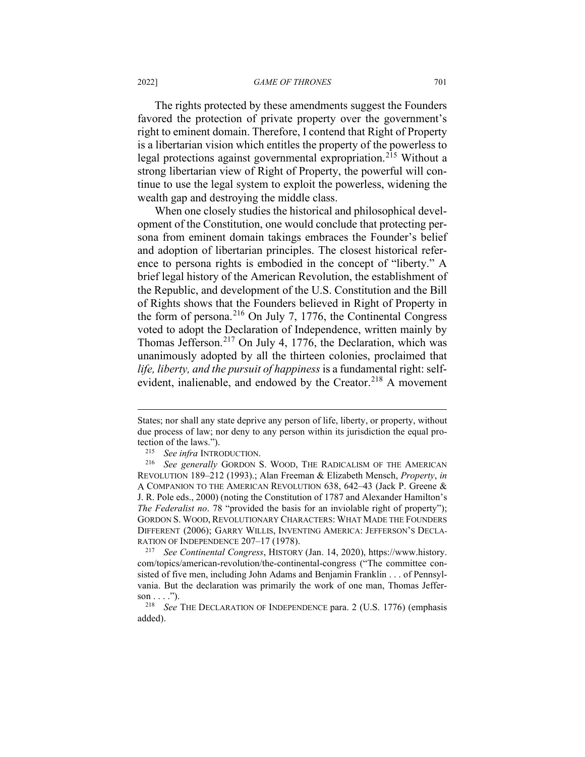### 2022] *GAME OF THRONES* 701

The rights protected by these amendments suggest the Founders favored the protection of private property over the government's right to eminent domain. Therefore, I contend that Right of Property is a libertarian vision which entitles the property of the powerless to legal protections against governmental expropriation. [215](#page-49-0) Without a strong libertarian view of Right of Property, the powerful will continue to use the legal system to exploit the powerless, widening the wealth gap and destroying the middle class.

When one closely studies the historical and philosophical development of the Constitution, one would conclude that protecting persona from eminent domain takings embraces the Founder's belief and adoption of libertarian principles. The closest historical reference to persona rights is embodied in the concept of "liberty." A brief legal history of the American Revolution, the establishment of the Republic, and development of the U.S. Constitution and the Bill of Rights shows that the Founders believed in Right of Property in the form of persona.[216](#page-49-1) On July 7, 1776, the Continental Congress voted to adopt the Declaration of Independence, written mainly by Thomas Jefferson.[217](#page-49-2) On July 4, 1776, the Declaration, which was unanimously adopted by all the thirteen colonies, proclaimed that *life, liberty, and the pursuit of happiness* is a fundamental right: self-evident, inalienable, and endowed by the Creator.<sup>[218](#page-49-3)</sup> A movement

States; nor shall any state deprive any person of life, liberty, or property, without due process of law; nor deny to any person within its jurisdiction the equal protection of the laws.").

<sup>215</sup> *See infra* INTRODUCTION.

<span id="page-49-1"></span><span id="page-49-0"></span><sup>216</sup> *See generally* GORDON S. WOOD, THE RADICALISM OF THE AMERICAN REVOLUTION 189–212 (1993).; Alan Freeman & Elizabeth Mensch, *Property*, *in* A COMPANION TO THE AMERICAN REVOLUTION 638, 642–43 (Jack P. Greene & J. R. Pole eds., 2000) (noting the Constitution of 1787 and Alexander Hamilton's *The Federalist no*. 78 "provided the basis for an inviolable right of property"); GORDON S. WOOD, REVOLUTIONARY CHARACTERS: WHAT MADE THE FOUNDERS DIFFERENT (2006); GARRY WILLIS, INVENTING AMERICA: JEFFERSON'S DECLA-RATION OF INDEPENDENCE  $207-17$  (1978).<br><sup>217</sup> See Continental Congress HISTORY

<span id="page-49-2"></span><sup>217</sup> *See Continental Congress*, HISTORY (Jan. 14, 2020), https://www.history. com/topics/american-revolution/the-continental-congress ("The committee consisted of five men, including John Adams and Benjamin Franklin . . . of Pennsylvania. But the declaration was primarily the work of one man, Thomas Jefferson  $\dots$ .").

<span id="page-49-3"></span><sup>218</sup> *See* THE DECLARATION OF INDEPENDENCE para. 2 (U.S. 1776) (emphasis added).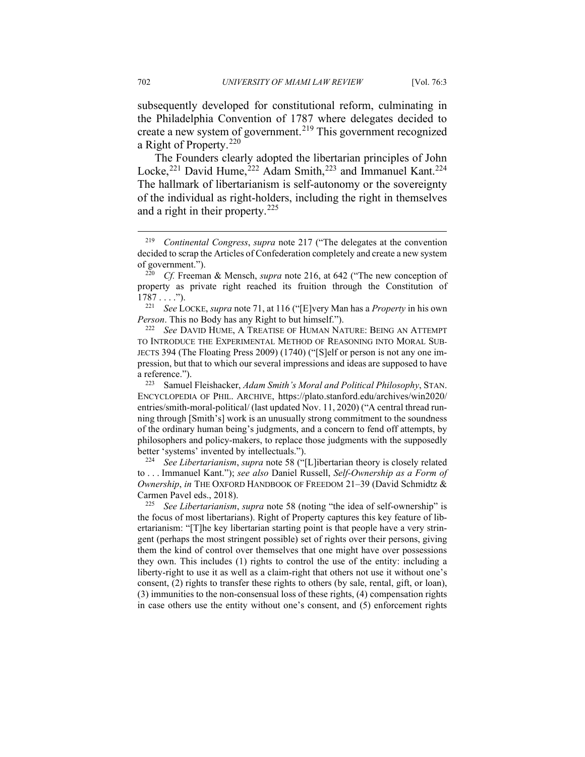subsequently developed for constitutional reform, culminating in the Philadelphia Convention of 1787 where delegates decided to create a new system of government. [219](#page-50-0) This government recognized a Right of Property.<sup>[220](#page-50-1)</sup>

The Founders clearly adopted the libertarian principles of John Locke,<sup>[221](#page-50-2)</sup> David Hume,<sup>[222](#page-50-3)</sup> Adam Smith,<sup>[223](#page-50-4)</sup> and Immanuel Kant.<sup>[224](#page-50-5)</sup> The hallmark of libertarianism is self-autonomy or the sovereignty of the individual as right-holders, including the right in themselves and a right in their property.[225](#page-50-6)

<span id="page-50-2"></span><sup>221</sup> *See* LOCKE, *supra* note 71, at 116 ("[E]very Man has a *Property* in his own *Person*. This no Body has any Right to but himself.").

<span id="page-50-3"></span><sup>222</sup> *See* DAVID HUME, A TREATISE OF HUMAN NATURE: BEING AN ATTEMPT TO INTRODUCE THE EXPERIMENTAL METHOD OF REASONING INTO MORAL SUB-JECTS 394 (The Floating Press 2009) (1740) ("[S]elf or person is not any one impression, but that to which our several impressions and ideas are supposed to have a reference.").

<span id="page-50-4"></span><sup>223</sup> Samuel Fleishacker, *Adam Smith's Moral and Political Philosophy*, STAN. ENCYCLOPEDIA OF PHIL. ARCHIVE, https://plato.stanford.edu/archives/win2020/ entries/smith-moral-political/ (last updated Nov. 11, 2020) ("A central thread running through [Smith's] work is an unusually strong commitment to the soundness of the ordinary human being's judgments, and a concern to fend off attempts, by philosophers and policy-makers, to replace those judgments with the supposedly better 'systems' invented by intellectuals.").

<span id="page-50-5"></span><sup>224</sup> *See Libertarianism*, *supra* note 58 ("[L]ibertarian theory is closely related to . . . Immanuel Kant."); *see also* Daniel Russell, *Self-Ownership as a Form of Ownership*, *in* THE OXFORD HANDBOOK OF FREEDOM 21–39 (David Schmidtz & Carmen Pavel eds., 2018).

<span id="page-50-6"></span><sup>225</sup> *See Libertarianism*, *supra* note 58 (noting "the idea of self-ownership" is the focus of most libertarians). Right of Property captures this key feature of libertarianism: "[T]he key libertarian starting point is that people have a very stringent (perhaps the most stringent possible) set of rights over their persons, giving them the kind of control over themselves that one might have over possessions they own. This includes (1) rights to control the use of the entity: including a liberty-right to use it as well as a claim-right that others not use it without one's consent, (2) rights to transfer these rights to others (by sale, rental, gift, or loan), (3) immunities to the non-consensual loss of these rights, (4) compensation rights in case others use the entity without one's consent, and (5) enforcement rights

<span id="page-50-0"></span><sup>219</sup> *Continental Congress*, *supra* note 217 ("The delegates at the convention decided to scrap the Articles of Confederation completely and create a new system of government.").

<span id="page-50-1"></span><sup>220</sup> *Cf.* Freeman & Mensch, *supra* note 216, at 642 ("The new conception of property as private right reached its fruition through the Constitution of  $1787...$ ").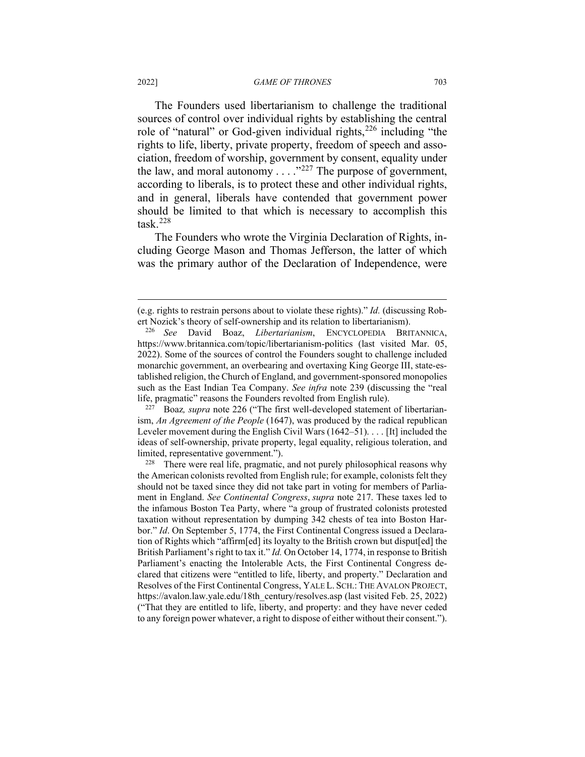The Founders used libertarianism to challenge the traditional sources of control over individual rights by establishing the central role of "natural" or God-given individual rights,  $226$  including "the rights to life, liberty, private property, freedom of speech and association, freedom of worship, government by consent, equality under the law, and moral autonomy  $\ldots$ ."<sup>[227](#page-51-1)</sup> The purpose of government, according to liberals, is to protect these and other individual rights, and in general, liberals have contended that government power should be limited to that which is necessary to accomplish this  $task.<sup>228</sup>$  $task.<sup>228</sup>$  $task.<sup>228</sup>$ 

The Founders who wrote the Virginia Declaration of Rights, including George Mason and Thomas Jefferson, the latter of which was the primary author of the Declaration of Independence, were

<span id="page-51-1"></span><sup>227</sup> Boaz*, supra* note 226 ("The first well-developed statement of libertarianism, *An Agreement of the People* (1647), was produced by the radical republican Leveler movement during the English Civil Wars (1642–51). . . . [It] included the ideas of self-ownership, private property, legal equality, religious toleration, and limited, representative government.").

<sup>(</sup>e.g. rights to restrain persons about to violate these rights)." *Id.* (discussing Robert Nozick's theory of self-ownership and its relation to libertarianism).

<span id="page-51-0"></span><sup>226</sup> *See* David Boaz, *Libertarianism*, ENCYCLOPEDIA BRITANNICA, https://www.britannica.com/topic/libertarianism-politics (last visited Mar. 05, 2022). Some of the sources of control the Founders sought to challenge included monarchic government, an overbearing and overtaxing King George III, state-established religion, the Church of England, and government-sponsored monopolies such as the East Indian Tea Company. *See infra* note 239 (discussing the "real life, pragmatic" reasons the Founders revolted from English rule).<br><sup>227</sup> Boaz, *supra* note 226 ("The first well-developed statement

<span id="page-51-2"></span> $228$  There were real life, pragmatic, and not purely philosophical reasons why the American colonists revolted from English rule; for example, colonists felt they should not be taxed since they did not take part in voting for members of Parliament in England. *See Continental Congress*, *supra* note 217. These taxes led to the infamous Boston Tea Party, where "a group of frustrated colonists protested taxation without representation by dumping 342 chests of tea into Boston Harbor." *Id*. On September 5, 1774, the First Continental Congress issued a Declaration of Rights which "affirm[ed] its loyalty to the British crown but disput[ed] the British Parliament's right to tax it." *Id.* On October 14, 1774, in response to British Parliament's enacting the Intolerable Acts, the First Continental Congress declared that citizens were "entitled to life, liberty, and property." Declaration and Resolves of the First Continental Congress, YALE L. SCH.: THE AVALON PROJECT, https://avalon.law.yale.edu/18th\_century/resolves.asp (last visited Feb. 25, 2022) ("That they are entitled to life, liberty, and property: and they have never ceded to any foreign power whatever, a right to dispose of either without their consent.").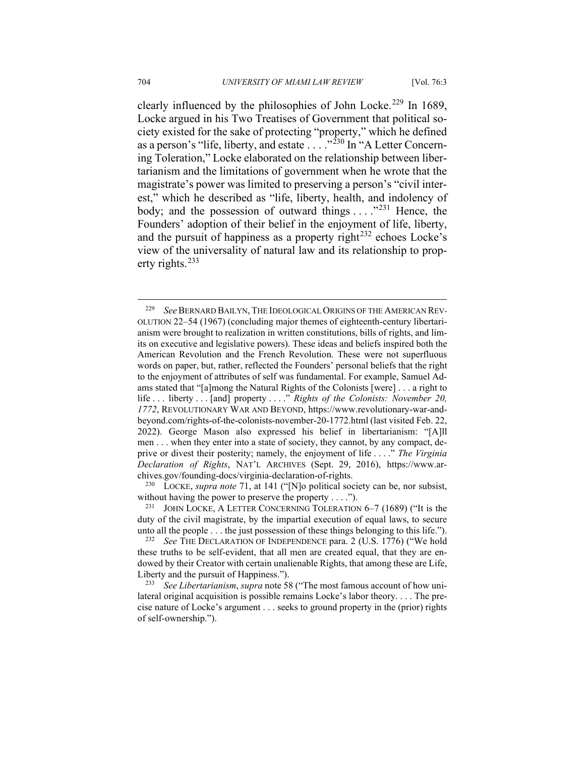clearly influenced by the philosophies of John Locke.<sup>[229](#page-52-0)</sup> In 1689, Locke argued in his Two Treatises of Government that political society existed for the sake of protecting "property," which he defined as a person's "life, liberty, and estate  $\ldots$  ..."<sup>[230](#page-52-1)</sup> In "A Letter Concerning Toleration," Locke elaborated on the relationship between libertarianism and the limitations of government when he wrote that the magistrate's power was limited to preserving a person's "civil interest," which he described as "life, liberty, health, and indolency of body; and the possession of outward things  $\dots$  ."<sup>[231](#page-52-2)</sup> Hence, the Founders' adoption of their belief in the enjoyment of life, liberty, and the pursuit of happiness as a property right<sup>[232](#page-52-3)</sup> echoes Locke's view of the universality of natural law and its relationship to property rights. $^{233}$  $^{233}$  $^{233}$ 

<span id="page-52-1"></span><sup>230</sup> LOCKE, *supra note* 71, at 141 ("[N]o political society can be, nor subsist, without having the power to preserve the property . . . .").

<span id="page-52-0"></span><sup>229</sup> *See*BERNARD BAILYN, THE IDEOLOGICAL ORIGINS OF THE AMERICAN REV-OLUTION 22–54 (1967) (concluding major themes of eighteenth-century libertarianism were brought to realization in written constitutions, bills of rights, and limits on executive and legislative powers). These ideas and beliefs inspired both the American Revolution and the French Revolution. These were not superfluous words on paper, but, rather, reflected the Founders' personal beliefs that the right to the enjoyment of attributes of self was fundamental. For example, Samuel Adams stated that "[a]mong the Natural Rights of the Colonists [were] . . . a right to life . . . liberty . . . [and] property . . . ." *Rights of the Colonists: November 20, 1772*, REVOLUTIONARY WAR AND BEYOND, https://www.revolutionary-war-andbeyond.com/rights-of-the-colonists-november-20-1772.html (last visited Feb. 22, 2022). George Mason also expressed his belief in libertarianism: "[A]ll men . . . when they enter into a state of society, they cannot, by any compact, deprive or divest their posterity; namely, the enjoyment of life . . . ." *The Virginia Declaration of Rights*, NAT'L ARCHIVES (Sept. 29, 2016), https://www.archives.gov/founding-docs/virginia-declaration-of-rights.

<span id="page-52-2"></span><sup>&</sup>lt;sup>231</sup> JOHN LOCKE, A LETTER CONCERNING TOLERATION  $6-7$  (1689) ("It is the duty of the civil magistrate, by the impartial execution of equal laws, to secure unto all the people . . . the just possession of these things belonging to this life.").

<span id="page-52-3"></span><sup>232</sup> *See* THE DECLARATION OF INDEPENDENCE para. 2 (U.S. 1776) ("We hold these truths to be self-evident, that all men are created equal, that they are endowed by their Creator with certain unalienable Rights, that among these are Life, Liberty and the pursuit of Happiness.").

<span id="page-52-4"></span><sup>233</sup> *See Libertarianism*, *supra* note 58 ("The most famous account of how unilateral original acquisition is possible remains Locke's labor theory. . . . The precise nature of Locke's argument . . . seeks to ground property in the (prior) rights of self-ownership.").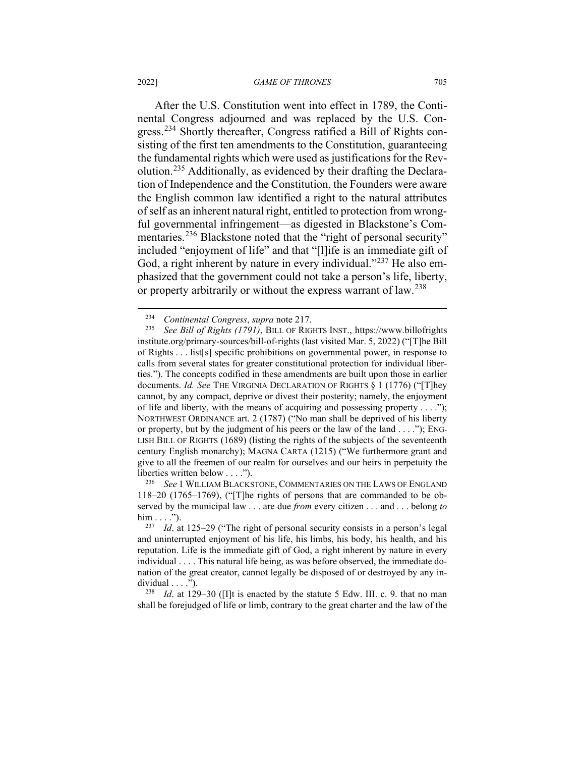After the U.S. Constitution went into effect in 1789, the Continental Congress adjourned and was replaced by the U.S. Con-gress.<sup>[234](#page-53-0)</sup> Shortly thereafter, Congress ratified a Bill of Rights consisting of the first ten amendments to the Constitution, guaranteeing the fundamental rights which were used as justifications for the Revolution.[235](#page-53-1) Additionally, as evidenced by their drafting the Declaration of Independence and the Constitution, the Founders were aware the English common law identified a right to the natural attributes of self as an inherent natural right, entitled to protection from wrongful governmental infringement—as digested in Blackstone's Com-mentaries.<sup>[236](#page-53-2)</sup> Blackstone noted that the "right of personal security" included "enjoyment of life" and that "[l]ife is an immediate gift of God, a right inherent by nature in every individual."<sup>[237](#page-53-3)</sup> He also emphasized that the government could not take a person's life, liberty, or property arbitrarily or without the express warrant of law.<sup>[238](#page-53-4)</sup>

<span id="page-53-2"></span>See 1 WILLIAM BLACKSTONE, COMMENTARIES ON THE LAWS OF ENGLAND 118–20 (1765–1769), ("[T]he rights of persons that are commanded to be observed by the municipal law . . . are due *from* every citizen . . . and . . . belong *to*  $\lim \ldots$ ").

<span id="page-53-4"></span><sup>238</sup> *Id*. at 129–30 ([I]t is enacted by the statute 5 Edw. III. c. 9. that no man shall be forejudged of life or limb, contrary to the great charter and the law of the

<sup>234</sup> *Continental Congress*, *supra* note 217.

<span id="page-53-1"></span><span id="page-53-0"></span><sup>235</sup> *See Bill of Rights (1791)*, BILL OF RIGHTS INST., https://www.billofrights institute.org/primary-sources/bill-of-rights (last visited Mar. 5, 2022) ("[T]he Bill of Rights . . . list[s] specific prohibitions on governmental power, in response to calls from several states for greater constitutional protection for individual liberties."). The concepts codified in these amendments are built upon those in earlier documents. *Id. See* THE VIRGINIA DECLARATION OF RIGHTS § 1 (1776) ("[T]hey cannot, by any compact, deprive or divest their posterity; namely, the enjoyment of life and liberty, with the means of acquiring and possessing property  $\dots$ ."); NORTHWEST ORDINANCE art. 2 (1787) ("No man shall be deprived of his liberty or property, but by the judgment of his peers or the law of the land . . . ."); ENG-LISH BILL OF RIGHTS (1689) (listing the rights of the subjects of the seventeenth century English monarchy); MAGNA CARTA (1215) ("We furthermore grant and give to all the freemen of our realm for ourselves and our heirs in perpetuity the liberties written below . . . .").<br> $^{236}$  See 1 WILLIAM BLACKS

<span id="page-53-3"></span><sup>237</sup> *Id*. at 125–29 ("The right of personal security consists in a person's legal and uninterrupted enjoyment of his life, his limbs, his body, his health, and his reputation. Life is the immediate gift of God, a right inherent by nature in every individual . . . . This natural life being, as was before observed, the immediate donation of the great creator, cannot legally be disposed of or destroyed by any individual  $\dots$ ").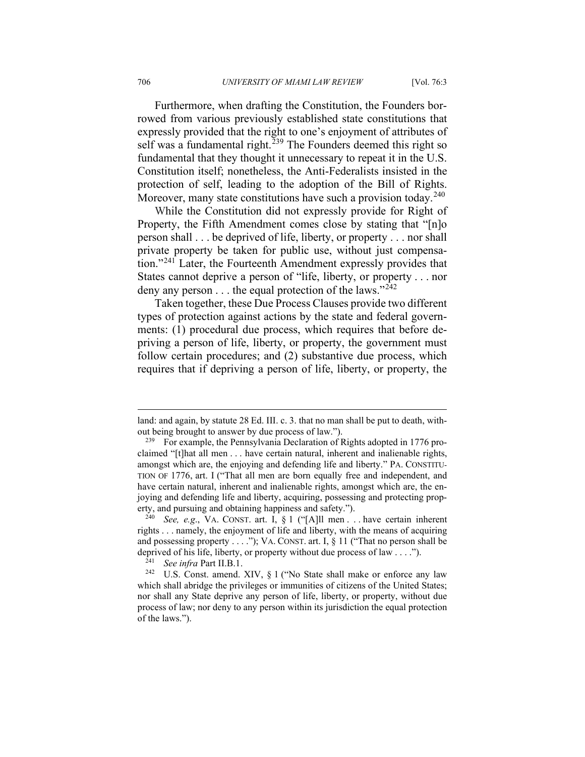Furthermore, when drafting the Constitution, the Founders borrowed from various previously established state constitutions that expressly provided that the right to one's enjoyment of attributes of self was a fundamental right.<sup>[239](#page-54-0)</sup> The Founders deemed this right so fundamental that they thought it unnecessary to repeat it in the U.S. Constitution itself; nonetheless, the Anti-Federalists insisted in the protection of self, leading to the adoption of the Bill of Rights. Moreover, many state constitutions have such a provision today.<sup>[240](#page-54-1)</sup>

While the Constitution did not expressly provide for Right of Property, the Fifth Amendment comes close by stating that "[n]o person shall . . . be deprived of life, liberty, or property . . . nor shall private property be taken for public use, without just compensation."[241](#page-54-2) Later, the Fourteenth Amendment expressly provides that States cannot deprive a person of "life, liberty, or property . . . nor deny any person  $\dots$  the equal protection of the laws."<sup>[242](#page-54-3)</sup>

Taken together, these Due Process Clauses provide two different types of protection against actions by the state and federal governments: (1) procedural due process, which requires that before depriving a person of life, liberty, or property, the government must follow certain procedures; and (2) substantive due process, which requires that if depriving a person of life, liberty, or property, the

land: and again, by statute 28 Ed. III. c. 3. that no man shall be put to death, without being brought to answer by due process of law.").

<span id="page-54-0"></span><sup>&</sup>lt;sup>239</sup> For example, the Pennsylvania Declaration of Rights adopted in 1776 proclaimed "[t]hat all men . . . have certain natural, inherent and inalienable rights, amongst which are, the enjoying and defending life and liberty." PA. CONSTITU-TION OF 1776, art. I ("That all men are born equally free and independent, and have certain natural, inherent and inalienable rights, amongst which are, the enjoying and defending life and liberty, acquiring, possessing and protecting property, and pursuing and obtaining happiness and safety.").

<span id="page-54-1"></span><sup>240</sup> *See, e.g*., VA. CONST. art. I, § 1 ("[A]ll men . . . have certain inherent rights . . . namely, the enjoyment of life and liberty, with the means of acquiring and possessing property . . . ."); VA. CONST. art. I, § 11 ("That no person shall be deprived of his life, liberty, or property without due process of law . . . .").

<sup>241</sup> *See infra* Part II.B.1.

<span id="page-54-3"></span><span id="page-54-2"></span><sup>242</sup> U.S. Const. amend. XIV, § 1 ("No State shall make or enforce any law which shall abridge the privileges or immunities of citizens of the United States; nor shall any State deprive any person of life, liberty, or property, without due process of law; nor deny to any person within its jurisdiction the equal protection of the laws.").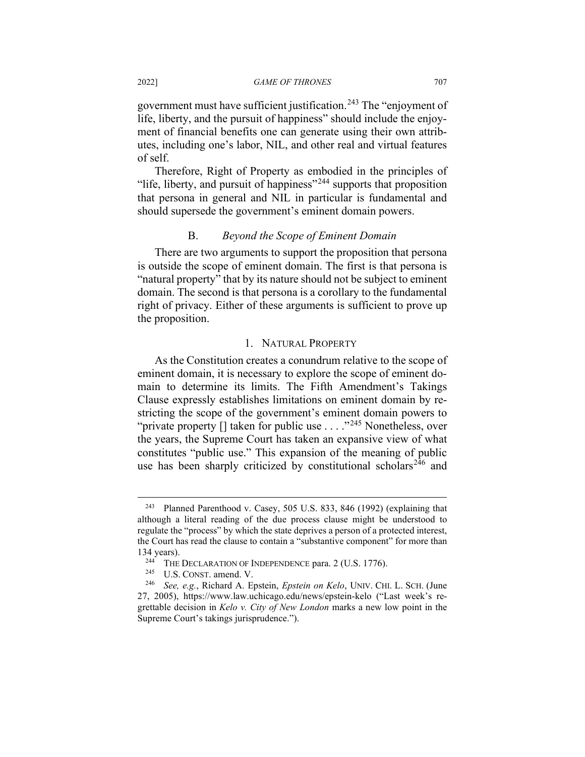government must have sufficient justification.<sup>[243](#page-55-0)</sup> The "enjoyment of life, liberty, and the pursuit of happiness" should include the enjoyment of financial benefits one can generate using their own attributes, including one's labor, NIL, and other real and virtual features of self.

Therefore, Right of Property as embodied in the principles of "life, liberty, and pursuit of happiness"[244](#page-55-1) supports that proposition that persona in general and NIL in particular is fundamental and should supersede the government's eminent domain powers.

## B. *Beyond the Scope of Eminent Domain*

There are two arguments to support the proposition that persona is outside the scope of eminent domain. The first is that persona is "natural property" that by its nature should not be subject to eminent domain. The second is that persona is a corollary to the fundamental right of privacy. Either of these arguments is sufficient to prove up the proposition.

### 1. NATURAL PROPERTY

As the Constitution creates a conundrum relative to the scope of eminent domain, it is necessary to explore the scope of eminent domain to determine its limits. The Fifth Amendment's Takings Clause expressly establishes limitations on eminent domain by restricting the scope of the government's eminent domain powers to "private property [] taken for public use . . . . "<sup>[245](#page-55-2)</sup> Nonetheless, over the years, the Supreme Court has taken an expansive view of what constitutes "public use." This expansion of the meaning of public use has been sharply criticized by constitutional scholars<sup>[246](#page-55-3)</sup> and

<span id="page-55-0"></span><sup>243</sup> Planned Parenthood v. Casey, 505 U.S. 833, 846 (1992) (explaining that although a literal reading of the due process clause might be understood to regulate the "process" by which the state deprives a person of a protected interest, the Court has read the clause to contain a "substantive component" for more than 134 years).

<sup>&</sup>lt;sup>244</sup> THE DECLARATION OF INDEPENDENCE para. 2 (U.S. 1776).<br><sup>245</sup> U.S. CONST. amend. V.

<span id="page-55-3"></span><span id="page-55-2"></span><span id="page-55-1"></span><sup>246</sup> *See, e.g.*, Richard A. Epstein, *Epstein on Kelo*, UNIV. CHI. L. SCH. (June 27, 2005), https://www.law.uchicago.edu/news/epstein-kelo ("Last week's regrettable decision in *Kelo v. City of New London* marks a new low point in the Supreme Court's takings jurisprudence.").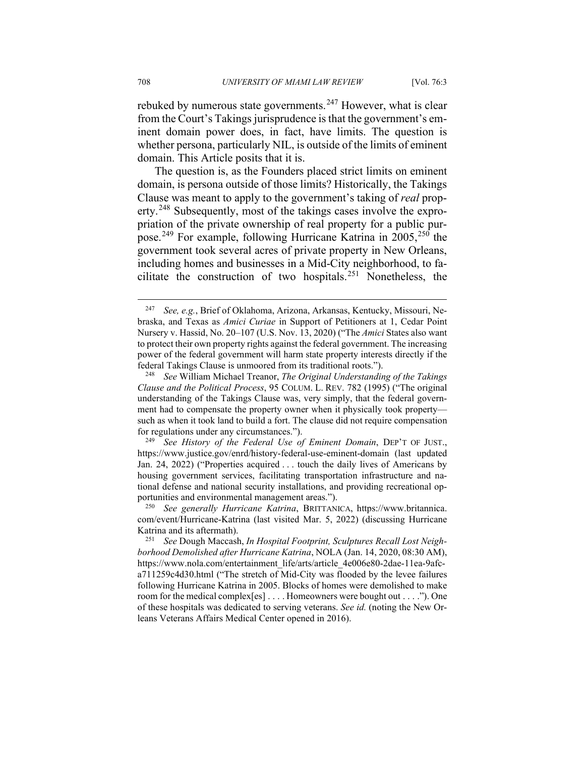rebuked by numerous state governments.<sup>[247](#page-56-0)</sup> However, what is clear from the Court's Takings jurisprudence is that the government's eminent domain power does, in fact, have limits. The question is whether persona, particularly NIL, is outside of the limits of eminent domain. This Article posits that it is.

The question is, as the Founders placed strict limits on eminent domain, is persona outside of those limits? Historically, the Takings Clause was meant to apply to the government's taking of *real* prop-erty.<sup>[248](#page-56-1)</sup> Subsequently, most of the takings cases involve the expropriation of the private ownership of real property for a public purpose.[249](#page-56-2) For example, following Hurricane Katrina in 2005,[250](#page-56-3) the government took several acres of private property in New Orleans, including homes and businesses in a Mid-City neighborhood, to fa-cilitate the construction of two hospitals.<sup>[251](#page-56-4)</sup> Nonetheless, the

<span id="page-56-2"></span>See History of the Federal Use of Eminent Domain, DEP'T OF JUST., https://www.justice.gov/enrd/history-federal-use-eminent-domain (last updated Jan. 24, 2022) ("Properties acquired . . . touch the daily lives of Americans by housing government services, facilitating transportation infrastructure and national defense and national security installations, and providing recreational opportunities and environmental management areas.").

<span id="page-56-3"></span><sup>250</sup> *See generally Hurricane Katrina*, BRITTANICA, https://www.britannica. com/event/Hurricane-Katrina (last visited Mar. 5, 2022) (discussing Hurricane Katrina and its aftermath).

<span id="page-56-0"></span><sup>247</sup> *See, e.g.*, Brief of Oklahoma, Arizona, Arkansas, Kentucky, Missouri, Nebraska, and Texas as *Amici Curiae* in Support of Petitioners at 1, Cedar Point Nursery v. Hassid, No. 20–107 (U.S. Nov. 13, 2020) ("The *Amici* States also want to protect their own property rights against the federal government. The increasing power of the federal government will harm state property interests directly if the federal Takings Clause is unmoored from its traditional roots.").

<span id="page-56-1"></span><sup>248</sup> *See* William Michael Treanor, *The Original Understanding of the Takings Clause and the Political Process*, 95 COLUM. L. REV. 782 (1995) ("The original understanding of the Takings Clause was, very simply, that the federal government had to compensate the property owner when it physically took property such as when it took land to build a fort. The clause did not require compensation for regulations under any circumstances.").

<span id="page-56-4"></span><sup>251</sup> *See* Dough Maccash, *In Hospital Footprint, Sculptures Recall Lost Neighborhood Demolished after Hurricane Katrina*, NOLA (Jan. 14, 2020, 08:30 AM), https://www.nola.com/entertainment\_life/arts/article\_4e006e80-2dae-11ea-9afca711259c4d30.html ("The stretch of Mid-City was flooded by the levee failures following Hurricane Katrina in 2005. Blocks of homes were demolished to make room for the medical complex[es] . . . . Homeowners were bought out . . . ."). One of these hospitals was dedicated to serving veterans. *See id.* (noting the New Orleans Veterans Affairs Medical Center opened in 2016).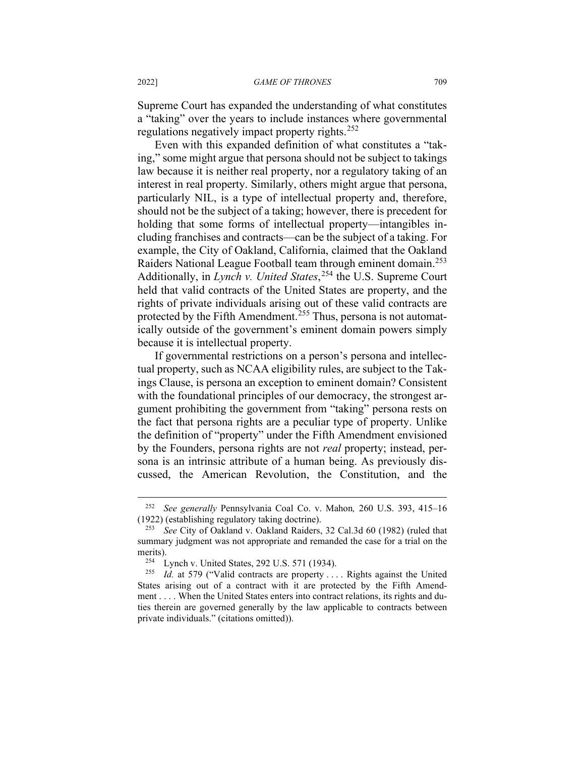Supreme Court has expanded the understanding of what constitutes a "taking" over the years to include instances where governmental regulations negatively impact property rights.<sup>[252](#page-57-0)</sup>

Even with this expanded definition of what constitutes a "taking," some might argue that persona should not be subject to takings law because it is neither real property, nor a regulatory taking of an interest in real property. Similarly, others might argue that persona, particularly NIL, is a type of intellectual property and, therefore, should not be the subject of a taking; however, there is precedent for holding that some forms of intellectual property—intangibles including franchises and contracts—can be the subject of a taking. For example, the City of Oakland, California, claimed that the Oakland Raiders National League Football team through eminent domain.<sup>[253](#page-57-1)</sup> Additionally, in *Lynch v. United States*, [254](#page-57-2) the U.S. Supreme Court held that valid contracts of the United States are property, and the rights of private individuals arising out of these valid contracts are protected by the Fifth Amendment.[255](#page-57-3) Thus, persona is not automatically outside of the government's eminent domain powers simply because it is intellectual property.

If governmental restrictions on a person's persona and intellectual property, such as NCAA eligibility rules, are subject to the Takings Clause, is persona an exception to eminent domain? Consistent with the foundational principles of our democracy, the strongest argument prohibiting the government from "taking" persona rests on the fact that persona rights are a peculiar type of property. Unlike the definition of "property" under the Fifth Amendment envisioned by the Founders, persona rights are not *real* property; instead, persona is an intrinsic attribute of a human being. As previously discussed, the American Revolution, the Constitution, and the

<span id="page-57-0"></span><sup>252</sup> *See generally* Pennsylvania Coal Co. v. Mahon*,* 260 U.S. 393, 415–16 (1922) (establishing regulatory taking doctrine).

<span id="page-57-1"></span>See City of Oakland v. Oakland Raiders, 32 Cal.3d 60 (1982) (ruled that summary judgment was not appropriate and remanded the case for a trial on the merits).

<sup>254</sup> Lynch v. United States, 292 U.S. 571 (1934).

<span id="page-57-3"></span><span id="page-57-2"></span><sup>&</sup>lt;sup>255</sup> *Id.* at 579 ("Valid contracts are property .... Rights against the United States arising out of a contract with it are protected by the Fifth Amendment . . . . When the United States enters into contract relations, its rights and duties therein are governed generally by the law applicable to contracts between private individuals." (citations omitted)).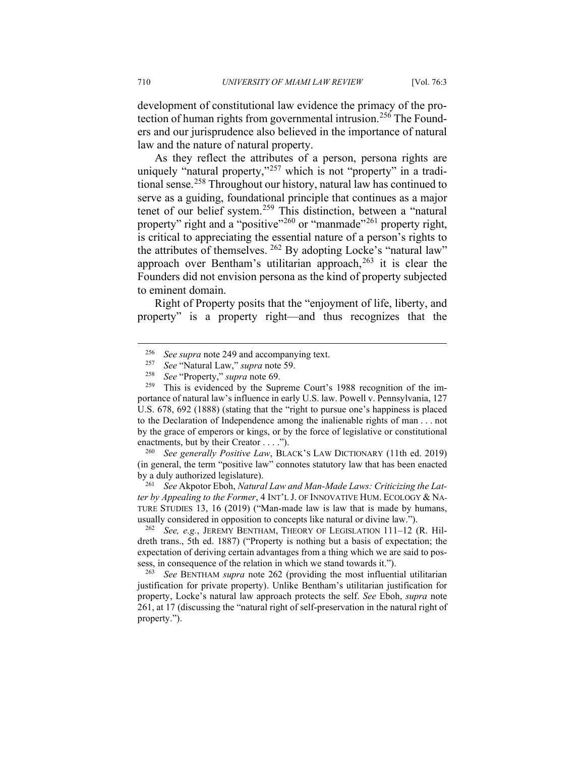development of constitutional law evidence the primacy of the pro-tection of human rights from governmental intrusion.<sup>[256](#page-58-0)</sup> The Founders and our jurisprudence also believed in the importance of natural law and the nature of natural property.

As they reflect the attributes of a person, persona rights are uniquely "natural property,"<sup>[257](#page-58-1)</sup> which is not "property" in a traditional sense.[258](#page-58-2) Throughout our history, natural law has continued to serve as a guiding, foundational principle that continues as a major tenet of our belief system.[259](#page-58-3) This distinction, between a "natural property" right and a "positive"<sup>[260](#page-58-4)</sup> or "manmade"<sup>[261](#page-58-5)</sup> property right, is critical to appreciating the essential nature of a person's rights to the attributes of themselves. [262](#page-58-6) By adopting Locke's "natural law" approach over Bentham's utilitarian approach,  $263$  it is clear the Founders did not envision persona as the kind of property subjected to eminent domain.

Right of Property posits that the "enjoyment of life, liberty, and property" is a property right—and thus recognizes that the

<span id="page-58-4"></span><sup>260</sup> *See generally Positive Law*, BLACK'S LAW DICTIONARY (11th ed. 2019) (in general, the term "positive law" connotes statutory law that has been enacted by a duly authorized legislature).

<span id="page-58-5"></span><sup>261</sup> *See* Akpotor Eboh, *Natural Law and Man-Made Laws: Criticizing the Latter by Appealing to the Former*, 4 INT'L J. OF INNOVATIVE HUM. ECOLOGY & NA-TURE STUDIES 13, 16 (2019) ("Man-made law is law that is made by humans, usually considered in opposition to concepts like natural or divine law.").

<span id="page-58-6"></span><sup>262</sup> *See, e.g.*, JEREMY BENTHAM, THEORY OF LEGISLATION 111–12 (R. Hildreth trans., 5th ed. 1887) ("Property is nothing but a basis of expectation; the expectation of deriving certain advantages from a thing which we are said to possess, in consequence of the relation in which we stand towards it.").

<span id="page-58-7"></span><sup>263</sup> *See* BENTHAM *supra* note 262 (providing the most influential utilitarian justification for private property). Unlike Bentham's utilitarian justification for property, Locke's natural law approach protects the self. *See* Eboh, *supra* note 261, at 17 (discussing the "natural right of self-preservation in the natural right of property.").

<sup>&</sup>lt;sup>256</sup> *See supra* note 249 and accompanying text.

<sup>257</sup> *See* "Natural Law," *supra* note 59.

<sup>&</sup>lt;sup>258</sup> *See* "Property," *supra* note 69.<br><sup>259</sup> This is evidenced by the Sup-

<span id="page-58-3"></span><span id="page-58-2"></span><span id="page-58-1"></span><span id="page-58-0"></span>This is evidenced by the Supreme Court's 1988 recognition of the importance of natural law's influence in early U.S. law. Powell v. Pennsylvania, 127 U.S. 678, 692 (1888) (stating that the "right to pursue one's happiness is placed to the Declaration of Independence among the inalienable rights of man . . . not by the grace of emperors or kings, or by the force of legislative or constitutional enactments, but by their Creator . . . .").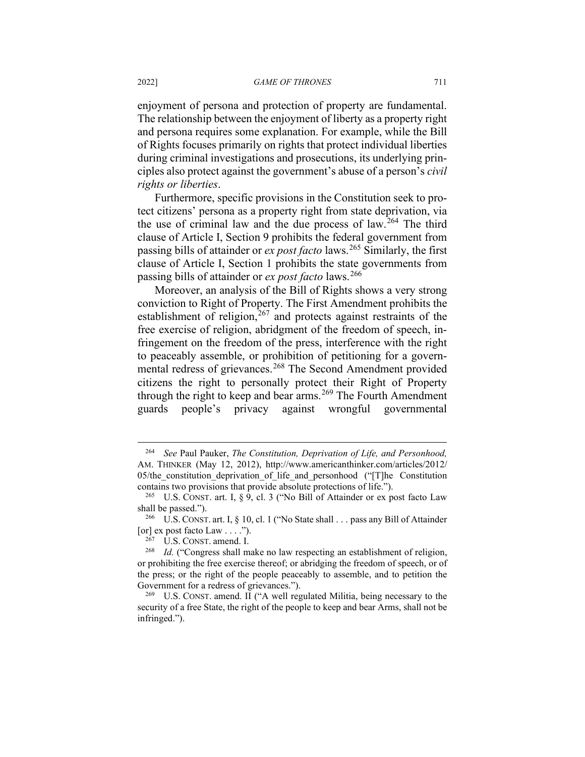#### 2022] *GAME OF THRONES* 711

enjoyment of persona and protection of property are fundamental. The relationship between the enjoyment of liberty as a property right and persona requires some explanation. For example, while the Bill of Rights focuses primarily on rights that protect individual liberties during criminal investigations and prosecutions, its underlying principles also protect against the government's abuse of a person's *civil rights or liberties*.

Furthermore, specific provisions in the Constitution seek to protect citizens' persona as a property right from state deprivation, via the use of criminal law and the due process of  $law.<sup>264</sup>$  $law.<sup>264</sup>$  $law.<sup>264</sup>$  The third clause of Article I, Section 9 prohibits the federal government from passing bills of attainder or *ex post facto* laws.[265](#page-59-1) Similarly, the first clause of Article I, Section 1 prohibits the state governments from passing bills of attainder or *ex post facto* laws.<sup>[266](#page-59-2)</sup>

Moreover, an analysis of the Bill of Rights shows a very strong conviction to Right of Property. The First Amendment prohibits the establishment of religion,  $267$  and protects against restraints of the free exercise of religion, abridgment of the freedom of speech, infringement on the freedom of the press, interference with the right to peaceably assemble, or prohibition of petitioning for a govern-mental redress of grievances.<sup>[268](#page-59-4)</sup> The Second Amendment provided citizens the right to personally protect their Right of Property through the right to keep and bear arms.<sup>[269](#page-59-5)</sup> The Fourth Amendment guards people's privacy against wrongful governmental

<span id="page-59-0"></span><sup>264</sup> *See* Paul Pauker, *The Constitution, Deprivation of Life, and Personhood,*  AM. THINKER (May 12, 2012), http://www.americanthinker.com/articles/2012/ 05/the constitution deprivation of life and personhood (" $[T]$ he Constitution contains two provisions that provide absolute protections of life.").

<span id="page-59-1"></span><sup>&</sup>lt;sup>265</sup> U.S. CONST. art. I, § 9, cl. 3 ("No Bill of Attainder or ex post facto Law shall be passed.").

<span id="page-59-2"></span><sup>266</sup> U.S. CONST. art. I, § 10, cl. 1 ("No State shall . . . pass any Bill of Attainder [or] ex post facto Law . . . .").

U.S. CONST. amend. I.

<span id="page-59-4"></span><span id="page-59-3"></span><sup>&</sup>lt;sup>268</sup> *Id.* ("Congress shall make no law respecting an establishment of religion, or prohibiting the free exercise thereof; or abridging the freedom of speech, or of the press; or the right of the people peaceably to assemble, and to petition the Government for a redress of grievances.").

<span id="page-59-5"></span><sup>&</sup>lt;sup>269</sup> U.S. CONST. amend. II ("A well regulated Militia, being necessary to the security of a free State, the right of the people to keep and bear Arms, shall not be infringed.").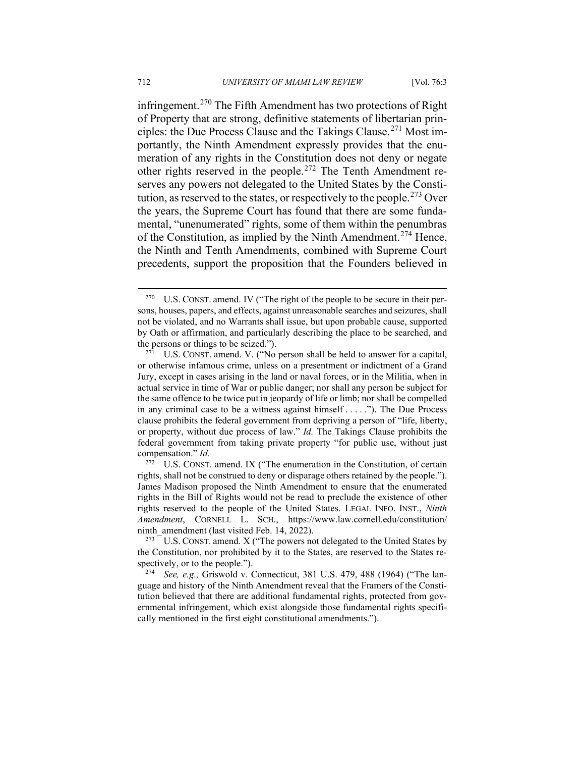infringement.<sup>[270](#page-60-0)</sup> The Fifth Amendment has two protections of Right of Property that are strong, definitive statements of libertarian principles: the Due Process Clause and the Takings Clause.[271](#page-60-1) Most importantly, the Ninth Amendment expressly provides that the enumeration of any rights in the Constitution does not deny or negate other rights reserved in the people.[272](#page-60-2) The Tenth Amendment reserves any powers not delegated to the United States by the Consti-tution, as reserved to the states, or respectively to the people.<sup>[273](#page-60-3)</sup> Over the years, the Supreme Court has found that there are some fundamental, "unenumerated" rights, some of them within the penumbras of the Constitution, as implied by the Ninth Amendment.[274](#page-60-4) Hence, the Ninth and Tenth Amendments, combined with Supreme Court precedents, support the proposition that the Founders believed in

<span id="page-60-0"></span><sup>&</sup>lt;sup>270</sup> U.S. CONST. amend. IV ("The right of the people to be secure in their persons, houses, papers, and effects, against unreasonable searches and seizures, shall not be violated, and no Warrants shall issue, but upon probable cause, supported by Oath or affirmation, and particularly describing the place to be searched, and the persons or things to be seized.").

<span id="page-60-1"></span>U.S. CONST. amend. V. ("No person shall be held to answer for a capital, or otherwise infamous crime, unless on a presentment or indictment of a Grand Jury, except in cases arising in the land or naval forces, or in the Militia, when in actual service in time of War or public danger; nor shall any person be subject for the same offence to be twice put in jeopardy of life or limb; nor shall be compelled in any criminal case to be a witness against himself . . . . ."). The Due Process clause prohibits the federal government from depriving a person of "life, liberty, or property, without due process of law." *Id.* The Takings Clause prohibits the federal government from taking private property "for public use, without just compensation." *Id.*

<span id="page-60-2"></span><sup>&</sup>lt;sup>272</sup> U.S. CONST. amend. IX ("The enumeration in the Constitution, of certain rights, shall not be construed to deny or disparage others retained by the people."). James Madison proposed the Ninth Amendment to ensure that the enumerated rights in the Bill of Rights would not be read to preclude the existence of other rights reserved to the people of the United States. LEGAL INFO. INST., *Ninth Amendment*, CORNELL L. SCH., https://www.law.cornell.edu/constitution/ ninth amendment (last visited Feb. 14, 2022).

<span id="page-60-3"></span>U.S. CONST. amend. X ("The powers not delegated to the United States by the Constitution, nor prohibited by it to the States, are reserved to the States respectively, or to the people.").

<span id="page-60-4"></span><sup>274</sup> *See, e.g.,* Griswold v. Connecticut, 381 U.S. 479, 488 (1964) ("The language and history of the Ninth Amendment reveal that the Framers of the Constitution believed that there are additional fundamental rights, protected from governmental infringement, which exist alongside those fundamental rights specifically mentioned in the first eight constitutional amendments.").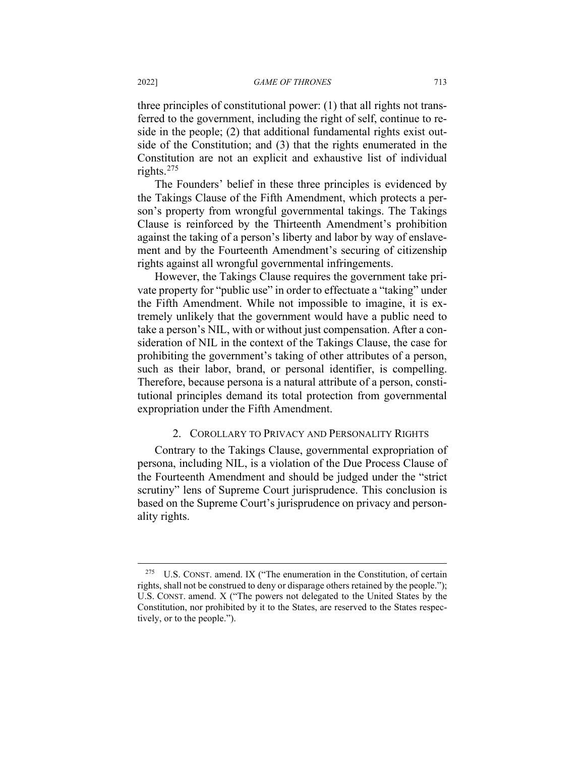three principles of constitutional power: (1) that all rights not transferred to the government, including the right of self, continue to reside in the people; (2) that additional fundamental rights exist outside of the Constitution; and (3) that the rights enumerated in the Constitution are not an explicit and exhaustive list of individual rights.[275](#page-61-0)

The Founders' belief in these three principles is evidenced by the Takings Clause of the Fifth Amendment, which protects a person's property from wrongful governmental takings. The Takings Clause is reinforced by the Thirteenth Amendment's prohibition against the taking of a person's liberty and labor by way of enslavement and by the Fourteenth Amendment's securing of citizenship rights against all wrongful governmental infringements.

However, the Takings Clause requires the government take private property for "public use" in order to effectuate a "taking" under the Fifth Amendment. While not impossible to imagine, it is extremely unlikely that the government would have a public need to take a person's NIL, with or without just compensation. After a consideration of NIL in the context of the Takings Clause, the case for prohibiting the government's taking of other attributes of a person, such as their labor, brand, or personal identifier, is compelling. Therefore, because persona is a natural attribute of a person, constitutional principles demand its total protection from governmental expropriation under the Fifth Amendment.

# 2. COROLLARY TO PRIVACY AND PERSONALITY RIGHTS

Contrary to the Takings Clause, governmental expropriation of persona, including NIL, is a violation of the Due Process Clause of the Fourteenth Amendment and should be judged under the "strict scrutiny" lens of Supreme Court jurisprudence. This conclusion is based on the Supreme Court's jurisprudence on privacy and personality rights.

<span id="page-61-0"></span> $275$  U.S. CONST. amend. IX ("The enumeration in the Constitution, of certain rights, shall not be construed to deny or disparage others retained by the people."); U.S. CONST. amend. X ("The powers not delegated to the United States by the Constitution, nor prohibited by it to the States, are reserved to the States respectively, or to the people.").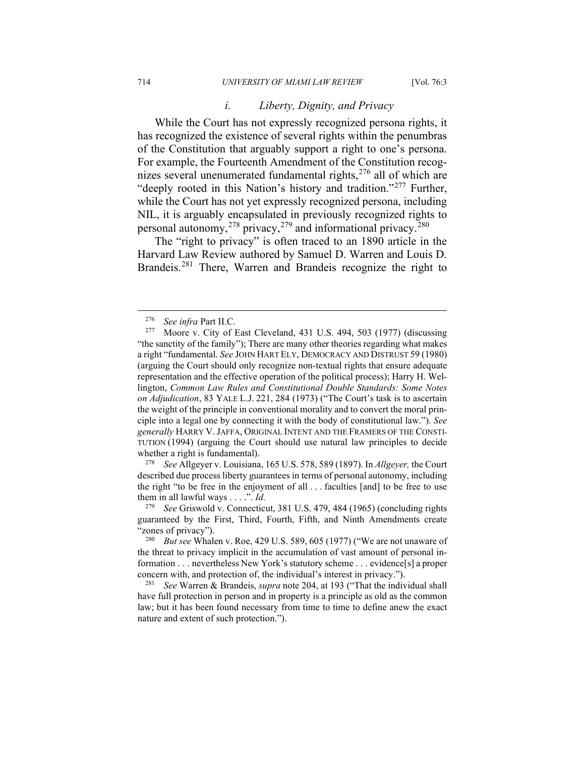### *i. Liberty, Dignity, and Privacy*

While the Court has not expressly recognized persona rights, it has recognized the existence of several rights within the penumbras of the Constitution that arguably support a right to one's persona. For example, the Fourteenth Amendment of the Constitution recog-nizes several unenumerated fundamental rights,<sup>[276](#page-62-0)</sup> all of which are "deeply rooted in this Nation's history and tradition."<sup>[277](#page-62-1)</sup> Further, while the Court has not yet expressly recognized persona, including NIL, it is arguably encapsulated in previously recognized rights to personal autonomy,<sup>[278](#page-62-2)</sup> privacy,<sup>[279](#page-62-3)</sup> and informational privacy.<sup>[280](#page-62-4)</sup>

The "right to privacy" is often traced to an 1890 article in the Harvard Law Review authored by Samuel D. Warren and Louis D. Brandeis.<sup>[281](#page-62-5)</sup> There, Warren and Brandeis recognize the right to

<span id="page-62-2"></span><sup>278</sup> *See* Allgeyer v. Louisiana, 165 U.S. 578, 589 (1897). In *Allgeyer,* the Court described due process liberty guarantees in terms of personal autonomy, including the right "to be free in the enjoyment of all . . . faculties [and] to be free to use them in all lawful ways . . . .". *Id.*

<sup>&</sup>lt;sup>276</sup> *See infra* Part II.C.<br><sup>277</sup> Moore y City of

<span id="page-62-1"></span><span id="page-62-0"></span><sup>277</sup> Moore v. City of East Cleveland, 431 U.S. 494, 503 (1977) (discussing "the sanctity of the family"); There are many other theories regarding what makes a right "fundamental. *See* JOHN HART ELY, DEMOCRACY AND DISTRUST 59 (1980) (arguing the Court should only recognize non-textual rights that ensure adequate representation and the effective operation of the political process); Harry H. Wellington, *Common Law Rules and Constitutional Double Standards: Some Notes on Adjudication*, 83 YALE L.J. 221, 284 (1973) ("The Court's task is to ascertain the weight of the principle in conventional morality and to convert the moral principle into a legal one by connecting it with the body of constitutional law."). *See generally* HARRY V.JAFFA, ORIGINAL INTENT AND THE FRAMERS OF THE CONSTI-TUTION (1994) (arguing the Court should use natural law principles to decide whether a right is fundamental).

<span id="page-62-3"></span><sup>279</sup> *See* Griswold v. Connecticut, 381 U.S. 479, 484 (1965) (concluding rights guaranteed by the First, Third, Fourth, Fifth, and Ninth Amendments create 'zones of privacy").

<span id="page-62-4"></span><sup>280</sup> *But see* Whalen v. Roe, 429 U.S. 589, 605 (1977) ("We are not unaware of the threat to privacy implicit in the accumulation of vast amount of personal information . . . nevertheless New York's statutory scheme . . . evidence[s] a proper concern with, and protection of, the individual's interest in privacy.").

<span id="page-62-5"></span><sup>281</sup> *See* Warren & Brandeis, *supra* note 204, at 193 ("That the individual shall have full protection in person and in property is a principle as old as the common law; but it has been found necessary from time to time to define anew the exact nature and extent of such protection.").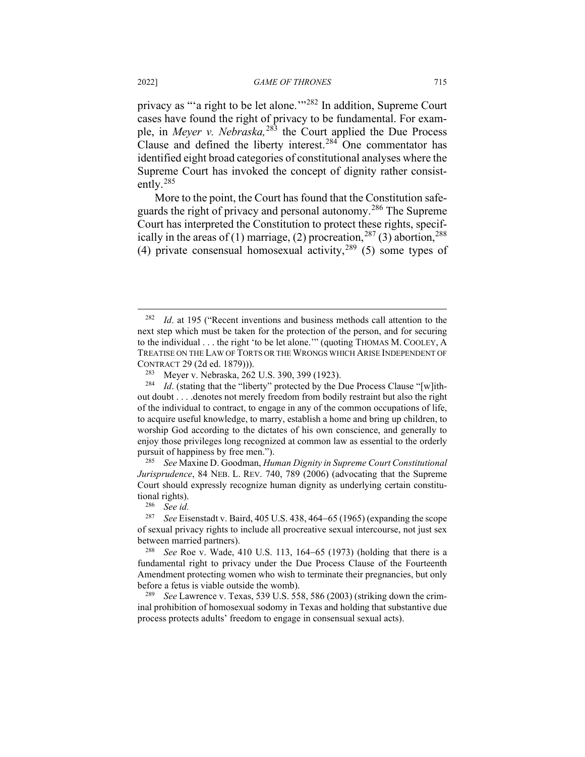privacy as "'a right to be let alone.'"[282](#page-63-0) In addition, Supreme Court cases have found the right of privacy to be fundamental. For example, in *Meyer v. Nebraska,*[283](#page-63-1) the Court applied the Due Process Clause and defined the liberty interest.<sup>[284](#page-63-2)</sup> One commentator has identified eight broad categories of constitutional analyses where the Supreme Court has invoked the concept of dignity rather consistently.[285](#page-63-3)

More to the point, the Court has found that the Constitution safeguards the right of privacy and personal autonomy.[286](#page-63-4) The Supreme Court has interpreted the Constitution to protect these rights, specifically in the areas of (1) marriage, (2) procreation,  $287$  (3) abortion,  $288$ (4) private consensual homosexual activity,  $289(5)$  $289(5)$  some types of

<span id="page-63-3"></span><sup>285</sup> *See* Maxine D. Goodman, *Human Dignity in Supreme Court Constitutional Jurisprudence*, 84 NEB. L. REV. 740, 789 (2006) (advocating that the Supreme Court should expressly recognize human dignity as underlying certain constitutional rights).<br> $^{286}$  See id

<span id="page-63-0"></span><sup>282</sup> *Id*. at 195 ("Recent inventions and business methods call attention to the next step which must be taken for the protection of the person, and for securing to the individual . . . the right 'to be let alone.'" (quoting THOMAS M. COOLEY, A TREATISE ON THE LAW OF TORTS OR THE WRONGS WHICH ARISE INDEPENDENT OF CONTRACT 29 (2d ed. 1879))).

<sup>&</sup>lt;sup>283</sup> Meyer v. Nebraska, 262 U.S. 390, 399 (1923).<sup>284</sup> *Id* (stating that the "liberty" protected by the D

<span id="page-63-2"></span><span id="page-63-1"></span>*Id.* (stating that the "liberty" protected by the Due Process Clause "[w]ithout doubt . . . .denotes not merely freedom from bodily restraint but also the right of the individual to contract, to engage in any of the common occupations of life, to acquire useful knowledge, to marry, establish a home and bring up children, to worship God according to the dictates of his own conscience, and generally to enjoy those privileges long recognized at common law as essential to the orderly pursuit of happiness by free men.").

See *id.* 

<span id="page-63-5"></span><span id="page-63-4"></span><sup>287</sup> *See* Eisenstadt v. Baird, 405 U.S. 438, 464−65 (1965) (expanding the scope of sexual privacy rights to include all procreative sexual intercourse, not just sex between married partners).<br> $\frac{288}{266}$  Roe v Wade 4

<span id="page-63-6"></span>*See* Roe v. Wade, 410 U.S. 113, 164–65 (1973) (holding that there is a fundamental right to privacy under the Due Process Clause of the Fourteenth Amendment protecting women who wish to terminate their pregnancies, but only before a fetus is viable outside the womb).

<span id="page-63-7"></span><sup>289</sup> *See* Lawrence v. Texas, 539 U.S. 558, 586 (2003) (striking down the criminal prohibition of homosexual sodomy in Texas and holding that substantive due process protects adults' freedom to engage in consensual sexual acts).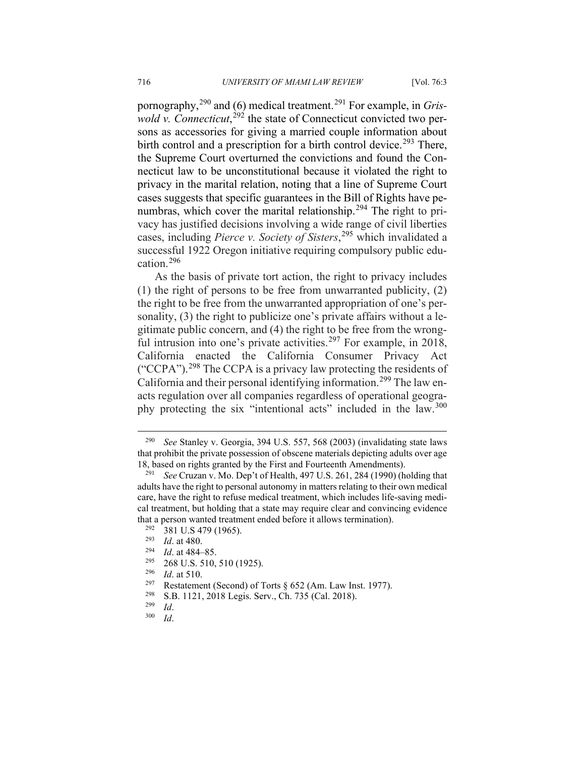pornography,[290](#page-64-0) and (6) medical treatment.[291](#page-64-1) For example, in *Gris-*wold v. Connecticut,<sup>[292](#page-64-2)</sup> the state of Connecticut convicted two persons as accessories for giving a married couple information about birth control and a prescription for a birth control device.<sup>[293](#page-64-3)</sup> There, the Supreme Court overturned the convictions and found the Connecticut law to be unconstitutional because it violated the right to privacy in the marital relation, noting that a line of Supreme Court cases suggests that specific guarantees in the Bill of Rights have pe-numbras, which cover the marital relationship.<sup>[294](#page-64-4)</sup> The right to privacy has justified decisions involving a wide range of civil liberties cases, including *Pierce v. Society of Sisters*, [295](#page-64-5) which invalidated a successful 1922 Oregon initiative requiring compulsory public education.[296](#page-64-6)

As the basis of private tort action, the right to privacy includes (1) the right of persons to be free from unwarranted publicity, (2) the right to be free from the unwarranted appropriation of one's personality, (3) the right to publicize one's private affairs without a legitimate public concern, and (4) the right to be free from the wrong-ful intrusion into one's private activities.<sup>[297](#page-64-7)</sup> For example, in 2018, California enacted the California Consumer Privacy Act ("CCPA").[298](#page-64-8) The CCPA is a privacy law protecting the residents of California and their personal identifying information.<sup>[299](#page-64-9)</sup> The law enacts regulation over all companies regardless of operational geogra-phy protecting the six "intentional acts" included in the law.<sup>[300](#page-64-10)</sup>

<span id="page-64-0"></span>See Stanley v. Georgia, 394 U.S. 557, 568 (2003) (invalidating state laws that prohibit the private possession of obscene materials depicting adults over age 18, based on rights granted by the First and Fourteenth Amendments).

<span id="page-64-1"></span><sup>291</sup> *See* Cruzan v. Mo. Dep't of Health, 497 U.S. 261, 284 (1990) (holding that adults have the right to personal autonomy in matters relating to their own medical care, have the right to refuse medical treatment, which includes life-saving medical treatment, but holding that a state may require clear and convincing evidence that a person wanted treatment ended before it allows termination).<br> $^{292}$  281 U S 470 (1065)

<span id="page-64-2"></span> $\frac{292}{293}$  381 U.S 479 (1965).<br> $\frac{293}{64}$  at 480

<span id="page-64-4"></span><span id="page-64-3"></span> $\frac{293}{294}$  *Id.* at 480.

*Id.* at 484–85.

<span id="page-64-6"></span><span id="page-64-5"></span> $\frac{295}{296}$  268 U.S. 510, 510 (1925).

<span id="page-64-7"></span><sup>&</sup>lt;sup>296</sup> *Id.* at 510.<br><sup>297</sup> Restateme

Restatement (Second) of Torts § 652 (Am. Law Inst. 1977).

<span id="page-64-8"></span><sup>&</sup>lt;sup>298</sup> S.B. 1121, 2018 Legis. Serv., Ch. 735 (Cal. 2018).

<span id="page-64-10"></span><span id="page-64-9"></span> $\frac{^{299}}{^{300}}$  *Id.* 

*Id.*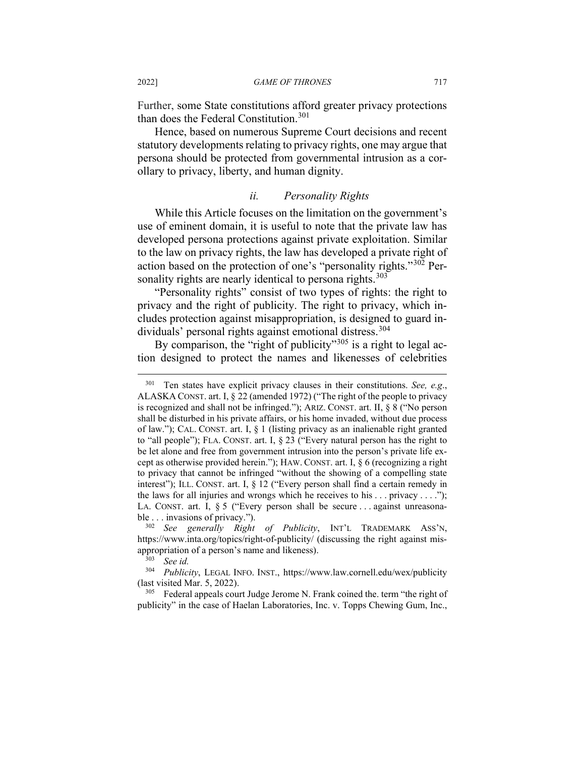Further, some State constitutions afford greater privacy protections than does the Federal Constitution.<sup>[301](#page-65-0)</sup>

Hence, based on numerous Supreme Court decisions and recent statutory developments relating to privacy rights, one may argue that persona should be protected from governmental intrusion as a corollary to privacy, liberty, and human dignity.

## *ii. Personality Rights*

While this Article focuses on the limitation on the government's use of eminent domain, it is useful to note that the private law has developed persona protections against private exploitation. Similar to the law on privacy rights, the law has developed a private right of action based on the protection of one's "personality rights."[302](#page-65-1) Per-sonality rights are nearly identical to persona rights.<sup>[303](#page-65-2)</sup>

"Personality rights" consist of two types of rights: the right to privacy and the right of publicity. The right to privacy, which includes protection against misappropriation, is designed to guard in-dividuals' personal rights against emotional distress.<sup>[304](#page-65-3)</sup>

By comparison, the "right of publicity"<sup>[305](#page-65-4)</sup> is a right to legal action designed to protect the names and likenesses of celebrities

<span id="page-65-4"></span><sup>305</sup> Federal appeals court Judge Jerome N. Frank coined the. term "the right of publicity" in the case of Haelan Laboratories, Inc. v. Topps Chewing Gum, Inc.,

<span id="page-65-0"></span><sup>301</sup> Ten states have explicit privacy clauses in their constitutions. *See, e.g*., ALASKA CONST. art. I, § 22 (amended 1972) ("The right of the people to privacy is recognized and shall not be infringed."); ARIZ. CONST. art. II, § 8 ("No person shall be disturbed in his private affairs, or his home invaded, without due process of law."); CAL. CONST. art. I,  $\S$  1 (listing privacy as an inalienable right granted to "all people"); FLA. CONST. art. I, § 23 ("Every natural person has the right to be let alone and free from government intrusion into the person's private life except as otherwise provided herein."); HAW. CONST. art. I, § 6 (recognizing a right to privacy that cannot be infringed "without the showing of a compelling state interest"); ILL. CONST. art. I, § 12 ("Every person shall find a certain remedy in the laws for all injuries and wrongs which he receives to his  $\dots$  privacy  $\dots$ ."); LA. CONST. art. I, § 5 ("Every person shall be secure ... against unreasonable . . . invasions of privacy.").

<span id="page-65-1"></span><sup>302</sup> *See generally Right of Publicity*, INT'L TRADEMARK ASS'N, https://www.inta.org/topics/right-of-publicity/ (discussing the right against misappropriation of a person's name and likeness).

<sup>303</sup> *See id.*

<span id="page-65-3"></span><span id="page-65-2"></span>Publicity, LEGAL INFO. INST., https://www.law.cornell.edu/wex/publicity (last visited Mar. 5, 2022).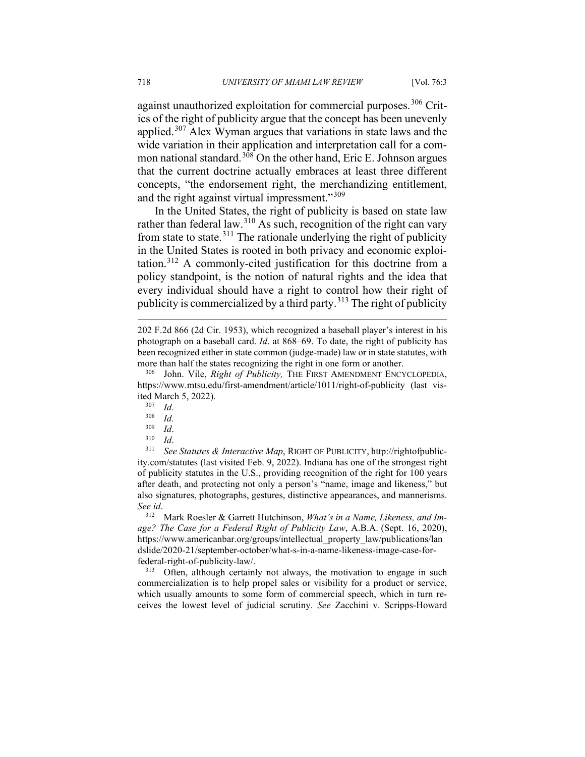against unauthorized exploitation for commercial purposes.<sup>[306](#page-66-0)</sup> Critics of the right of publicity argue that the concept has been unevenly applied.[307](#page-66-1) Alex Wyman argues that variations in state laws and the wide variation in their application and interpretation call for a com-mon national standard.<sup>[308](#page-66-2)</sup> On the other hand, Eric E. Johnson argues that the current doctrine actually embraces at least three different concepts, "the endorsement right, the merchandizing entitlement, and the right against virtual impressment."<sup>[309](#page-66-3)</sup>

In the United States, the right of publicity is based on state law rather than federal law.<sup>[310](#page-66-4)</sup> As such, recognition of the right can vary from state to state.<sup>[311](#page-66-5)</sup> The rationale underlying the right of publicity in the United States is rooted in both privacy and economic exploitation.[312](#page-66-6) A commonly-cited justification for this doctrine from a policy standpoint, is the notion of natural rights and the idea that every individual should have a right to control how their right of publicity is commercialized by a third party.<sup>[313](#page-66-7)</sup> The right of publicity

- *Id.*
- $\frac{309}{310}$  *Id.*
- $rac{310}{311}$  *Id.*

<span id="page-66-5"></span><span id="page-66-4"></span><span id="page-66-3"></span><span id="page-66-2"></span><sup>311</sup> *See Statutes & Interactive Map*, RIGHT OF PUBLICITY, http://rightofpublicity.com/statutes (last visited Feb. 9, 2022). Indiana has one of the strongest right of publicity statutes in the U.S., providing recognition of the right for 100 years after death, and protecting not only a person's "name, image and likeness," but also signatures, photographs, gestures, distinctive appearances, and mannerisms. *See id*.

<span id="page-66-6"></span><sup>312</sup> Mark Roesler & Garrett Hutchinson, *What's in a Name, Likeness, and Image? The Case for a Federal Right of Publicity Law*, A.B.A. (Sept. 16, 2020), https://www.americanbar.org/groups/intellectual\_property\_law/publications/lan dslide/2020-21/september-october/what-s-in-a-name-likeness-image-case-forfederal-right-of-publicity-law/.

<span id="page-66-7"></span><sup>313</sup> Often, although certainly not always, the motivation to engage in such commercialization is to help propel sales or visibility for a product or service, which usually amounts to some form of commercial speech, which in turn receives the lowest level of judicial scrutiny. *See* Zacchini v. Scripps-Howard

<sup>202</sup> F.2d 866 (2d Cir. 1953), which recognized a baseball player's interest in his photograph on a baseball card. *Id*. at 868–69. To date, the right of publicity has been recognized either in state common (judge-made) law or in state statutes, with more than half the states recognizing the right in one form or another.

<span id="page-66-1"></span><span id="page-66-0"></span>John. Vile, *Right of Publicity*, THE FIRST AMENDMENT ENCYCLOPEDIA, https://www.mtsu.edu/first-amendment/article/1011/right-of-publicity (last visited March 5, 2022).<br> $^{307}$  *Id* 

 $\frac{307}{308}$  *Id.*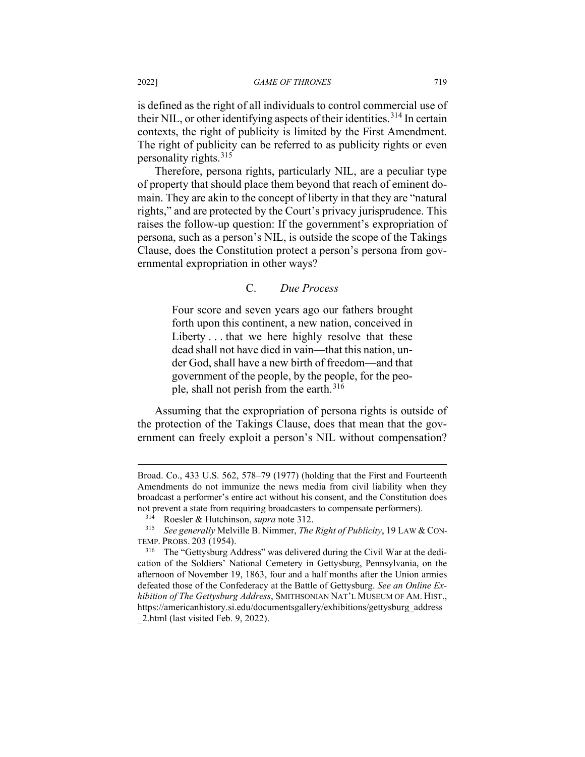is defined as the right of all individuals to control commercial use of their NIL, or other identifying aspects of their identities.<sup>[314](#page-67-0)</sup> In certain contexts, the right of publicity is limited by the First Amendment. The right of publicity can be referred to as publicity rights or even personality rights.<sup>[315](#page-67-1)</sup>

Therefore, persona rights, particularly NIL, are a peculiar type of property that should place them beyond that reach of eminent domain. They are akin to the concept of liberty in that they are "natural rights," and are protected by the Court's privacy jurisprudence. This raises the follow-up question: If the government's expropriation of persona, such as a person's NIL, is outside the scope of the Takings Clause, does the Constitution protect a person's persona from governmental expropriation in other ways?

# C. *Due Process*

Four score and seven years ago our fathers brought forth upon this continent, a new nation, conceived in Liberty . . . that we here highly resolve that these dead shall not have died in vain—that this nation, under God, shall have a new birth of freedom—and that government of the people, by the people, for the peo-ple, shall not perish from the earth.<sup>[316](#page-67-2)</sup>

Assuming that the expropriation of persona rights is outside of the protection of the Takings Clause, does that mean that the government can freely exploit a person's NIL without compensation?

Broad. Co., 433 U.S. 562, 578–79 (1977) (holding that the First and Fourteenth Amendments do not immunize the news media from civil liability when they broadcast a performer's entire act without his consent, and the Constitution does not prevent a state from requiring broadcasters to compensate performers).

<sup>&</sup>lt;sup>314</sup> Roesler & Hutchinson, *supra* note 312.<br><sup>315</sup> *See generally* Melville B Nimmer *The* 

<span id="page-67-1"></span><span id="page-67-0"></span><sup>315</sup> *See generally* Melville B. Nimmer, *The Right of Publicity*, 19 LAW & CON-TEMP. PROBS. 203 (1954).

<span id="page-67-2"></span><sup>&</sup>lt;sup>316</sup> The "Gettysburg Address" was delivered during the Civil War at the dedication of the Soldiers' National Cemetery in Gettysburg, Pennsylvania, on the afternoon of November 19, 1863, four and a half months after the Union armies defeated those of the Confederacy at the Battle of Gettysburg. *See an Online Exhibition of The Gettysburg Address*, SMITHSONIAN NAT'L MUSEUM OF AM. HIST., https://americanhistory.si.edu/documentsgallery/exhibitions/gettysburg\_address 2.html (last visited Feb. 9, 2022).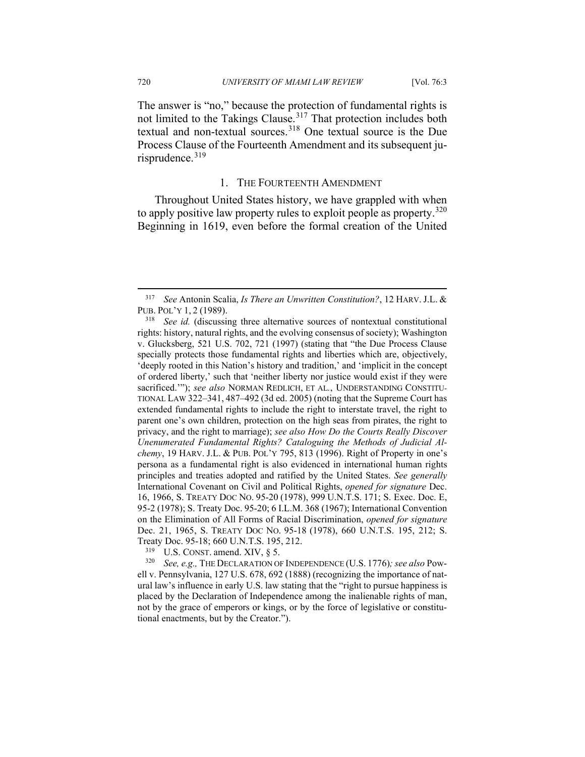The answer is "no," because the protection of fundamental rights is not limited to the Takings Clause.<sup>[317](#page-68-0)</sup> That protection includes both textual and non-textual sources.[318](#page-68-1) One textual source is the Due Process Clause of the Fourteenth Amendment and its subsequent ju-risprudence.<sup>[319](#page-68-2)</sup>

### 1. THE FOURTEENTH AMENDMENT

Throughout United States history, we have grappled with when to apply positive law property rules to exploit people as property.<sup>[320](#page-68-3)</sup> Beginning in 1619, even before the formal creation of the United

U.S. CONST. amend. XIV,  $\S$  5.

<span id="page-68-3"></span><span id="page-68-2"></span><sup>320</sup> *See, e.g.,* THE DECLARATION OF INDEPENDENCE (U.S. 1776)*; see also* Powell v. Pennsylvania, 127 U.S. 678, 692 (1888) (recognizing the importance of natural law's influence in early U.S. law stating that the "right to pursue happiness is placed by the Declaration of Independence among the inalienable rights of man, not by the grace of emperors or kings, or by the force of legislative or constitutional enactments, but by the Creator.").

<span id="page-68-0"></span><sup>317</sup> *See* Antonin Scalia, *Is There an Unwritten Constitution?*, 12 HARV. J.L. & PUB. POL'Y 1, 2 (1989).

<span id="page-68-1"></span><sup>318</sup> *See id.* (discussing three alternative sources of nontextual constitutional rights: history, natural rights, and the evolving consensus of society); Washington v. Glucksberg, 521 U.S. 702, 721 (1997) (stating that "the Due Process Clause specially protects those fundamental rights and liberties which are, objectively, 'deeply rooted in this Nation's history and tradition,' and 'implicit in the concept of ordered liberty,' such that 'neither liberty nor justice would exist if they were sacrificed.'"); *see also* NORMAN REDLICH, ET AL*.*, UNDERSTANDING CONSTITU-TIONAL LAW 322–341, 487–492 (3d ed. 2005) (noting that the Supreme Court has extended fundamental rights to include the right to interstate travel, the right to parent one's own children, protection on the high seas from pirates, the right to privacy, and the right to marriage); *see also How Do the Courts Really Discover Unenumerated Fundamental Rights? Cataloguing the Methods of Judicial Alchemy*, 19 HARV. J.L. & PUB. POL'Y 795, 813 (1996). Right of Property in one's persona as a fundamental right is also evidenced in international human rights principles and treaties adopted and ratified by the United States. *See generally* International Covenant on Civil and Political Rights, *opened for signature* Dec. 16, 1966, S. TREATY DOC NO. 95-20 (1978), 999 U.N.T.S. 171; S. Exec. Doc. E, 95-2 (1978); S. Treaty Doc. 95-20; 6 I.L.M. 368 (1967); International Convention on the Elimination of All Forms of Racial Discrimination, *opened for signature*  Dec. 21, 1965, S. TREATY DOC NO. 95-18 (1978), 660 U.N.T.S. 195, 212; S. Treaty Doc. 95-18; 660 U.N.T.S. 195, 212.<br> $^{319}$  II S. CONST smand XIV 8.5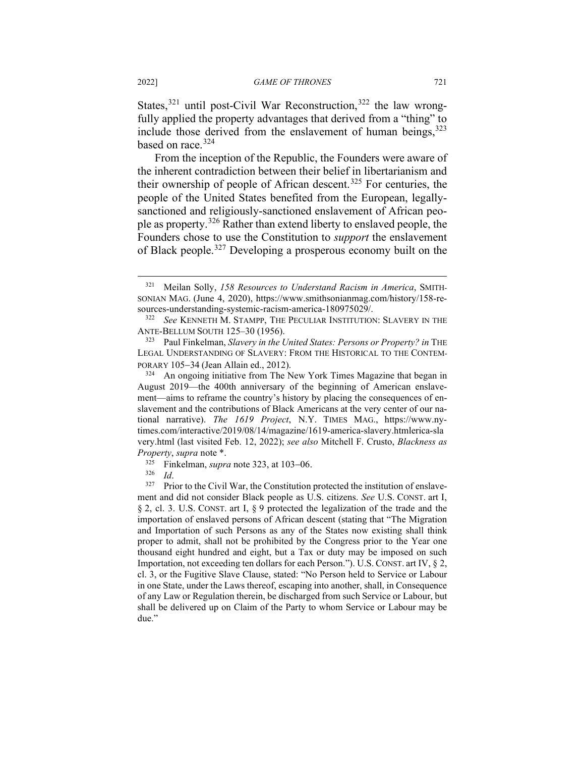States, $321$  until post-Civil War Reconstruction,  $322$  the law wrongfully applied the property advantages that derived from a "thing" to include those derived from the enslavement of human beings,  $323$ based on race. [324](#page-69-3)

From the inception of the Republic, the Founders were aware of the inherent contradiction between their belief in libertarianism and their ownership of people of African descent. [325](#page-69-4) For centuries, the people of the United States benefited from the European, legallysanctioned and religiously-sanctioned enslavement of African people as property.[326](#page-69-5) Rather than extend liberty to enslaved people, the Founders chose to use the Constitution to *support* the enslavement of Black people.[327](#page-69-6) Developing a prosperous economy built on the

<span id="page-69-0"></span><sup>321</sup> Meilan Solly, *158 Resources to Understand Racism in America*, SMITH-SONIAN MAG. (June 4, 2020), https://www.smithsonianmag.com/history/158-resources-understanding-systemic-racism-america-180975029/.

<span id="page-69-1"></span><sup>322</sup> *See* KENNETH M. STAMPP, THE PECULIAR INSTITUTION: SLAVERY IN THE ANTE-BELLUM SOUTH  $125-30$  (1956).<br><sup>323</sup> Paul Finkelman *Slavery in the I* 

<span id="page-69-2"></span><sup>323</sup> Paul Finkelman, *Slavery in the United States: Persons or Property? in* THE LEGAL UNDERSTANDING OF SLAVERY: FROM THE HISTORICAL TO THE CONTEM-PORARY 105−34 (Jean Allain ed., 2012).

<span id="page-69-3"></span><sup>&</sup>lt;sup>324</sup> An ongoing initiative from The New York Times Magazine that began in August 2019—the 400th anniversary of the beginning of American enslavement—aims to reframe the country's history by placing the consequences of enslavement and the contributions of Black Americans at the very center of our national narrative). *The 1619 Project*, N.Y. TIMES MAG., https://www.nytimes.com/interactive/2019/08/14/magazine/1619-america-slavery.htmlerica-sla very.html (last visited Feb. 12, 2022); *see also* Mitchell F. Crusto, *Blackness as Property*, *supra* note \*.

<sup>&</sup>lt;sup>325</sup> Finkelman, *supra* note 323, at 103–06.<br><sup>326</sup> *Id* 

 $rac{326}{327}$  *Id.* 

<span id="page-69-6"></span><span id="page-69-5"></span><span id="page-69-4"></span>Prior to the Civil War, the Constitution protected the institution of enslavement and did not consider Black people as U.S. citizens. *See* U.S. CONST. art I, § 2, cl. 3. U.S. CONST. art I, § 9 protected the legalization of the trade and the importation of enslaved persons of African descent (stating that "The Migration and Importation of such Persons as any of the States now existing shall think proper to admit, shall not be prohibited by the Congress prior to the Year one thousand eight hundred and eight, but a Tax or duty may be imposed on such Importation, not exceeding ten dollars for each Person."). U.S. CONST. art IV, § 2, cl. 3, or the Fugitive Slave Clause, stated: "No Person held to Service or Labour in one State, under the Laws thereof, escaping into another, shall, in Consequence of any Law or Regulation therein, be discharged from such Service or Labour, but shall be delivered up on Claim of the Party to whom Service or Labour may be due."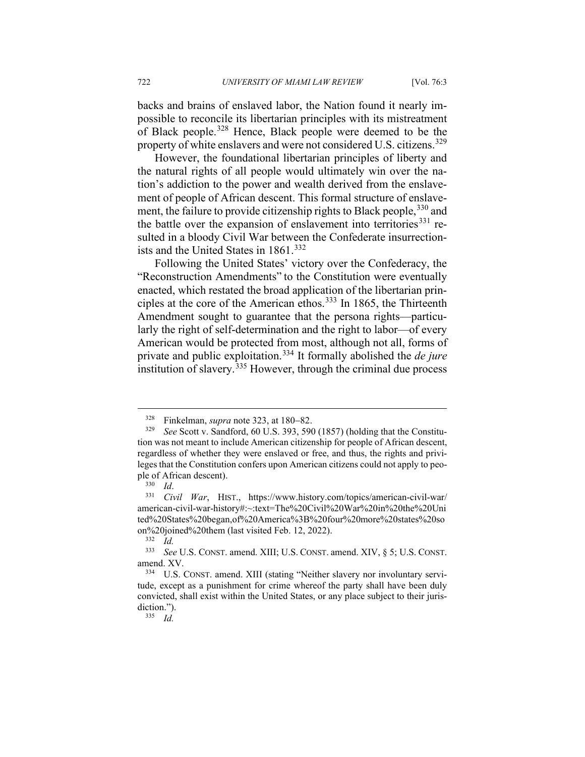backs and brains of enslaved labor, the Nation found it nearly impossible to reconcile its libertarian principles with its mistreatment of Black people.[328](#page-70-0) Hence, Black people were deemed to be the property of white enslavers and were not considered U.S. citizens.<sup>[329](#page-70-1)</sup>

However, the foundational libertarian principles of liberty and the natural rights of all people would ultimately win over the nation's addiction to the power and wealth derived from the enslavement of people of African descent. This formal structure of enslave-ment, the failure to provide citizenship rights to Black people, [330](#page-70-2) and the battle over the expansion of enslavement into territories<sup>[331](#page-70-3)</sup> resulted in a bloody Civil War between the Confederate insurrection-ists and the United States in 1861.<sup>[332](#page-70-4)</sup>

Following the United States' victory over the Confederacy, the "Reconstruction Amendments" to the Constitution were eventually enacted, which restated the broad application of the libertarian principles at the core of the American ethos.[333](#page-70-5) In 1865, the Thirteenth Amendment sought to guarantee that the persona rights—particularly the right of self-determination and the right to labor—of every American would be protected from most, although not all, forms of private and public exploitation.[334](#page-70-6) It formally abolished the *de jure* institution of slavery.<sup>[335](#page-70-7)</sup> However, through the criminal due process

<sup>328</sup> Finkelman, *supra* note 323, at 180−82.

<span id="page-70-1"></span><span id="page-70-0"></span><sup>329</sup> *See* Scott v. Sandford, 60 U.S. 393, 590 (1857) (holding that the Constitution was not meant to include American citizenship for people of African descent, regardless of whether they were enslaved or free, and thus, the rights and privileges that the Constitution confers upon American citizens could not apply to people of African descent).<br> $\frac{330}{1}$ 

<sup>330</sup> *Id*.

<span id="page-70-3"></span><span id="page-70-2"></span><sup>331</sup> *Civil War*, HIST., https://www.history.com/topics/american-civil-war/ american-civil-war-history#:~:text=The%20Civil%20War%20in%20the%20Uni ted%20States%20began,of%20America%3B%20four%20more%20states%20so on%20joined%20them (last visited Feb. 12, 2022).<br> $\frac{332 \text{ Ld}}{100}$ 

 $\frac{332}{333}$  *Id.* 

<span id="page-70-5"></span><span id="page-70-4"></span>See U.S. CONST. amend. XIII; U.S. CONST. amend. XIV, § 5; U.S. CONST. amend. XV.

<span id="page-70-7"></span><span id="page-70-6"></span>U.S. CONST. amend. XIII (stating "Neither slavery nor involuntary servitude, except as a punishment for crime whereof the party shall have been duly convicted, shall exist within the United States, or any place subject to their jurisdiction.").

<sup>335</sup> *Id.*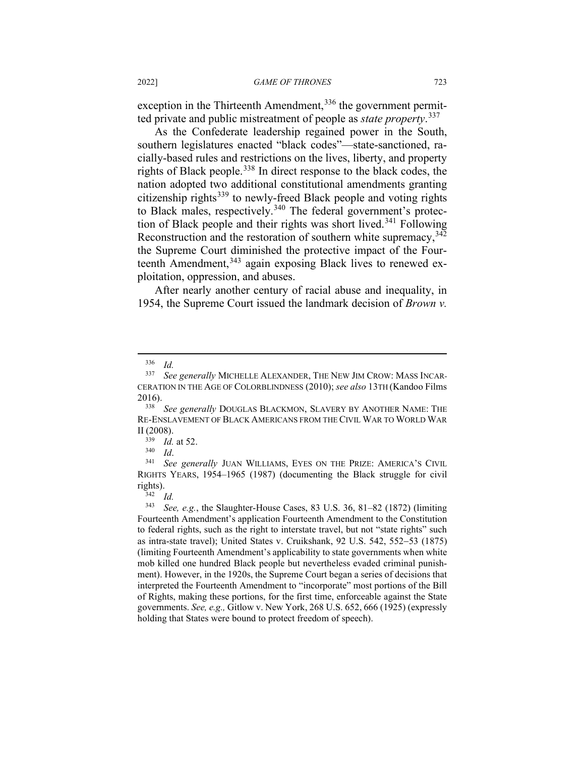exception in the Thirteenth Amendment,<sup>[336](#page-71-0)</sup> the government permitted private and public mistreatment of people as *state property*. [337](#page-71-1)

As the Confederate leadership regained power in the South, southern legislatures enacted "black codes"—state-sanctioned, racially-based rules and restrictions on the lives, liberty, and property rights of Black people.<sup>[338](#page-71-2)</sup> In direct response to the black codes, the nation adopted two additional constitutional amendments granting citizenship rights<sup>[339](#page-71-3)</sup> to newly-freed Black people and voting rights to Black males, respectively.<sup>[340](#page-71-4)</sup> The federal government's protec-tion of Black people and their rights was short lived.<sup>[341](#page-71-5)</sup> Following Reconstruction and the restoration of southern white supremacy,  $342$ the Supreme Court diminished the protective impact of the Four-teenth Amendment,<sup>[343](#page-71-7)</sup> again exposing Black lives to renewed exploitation, oppression, and abuses.

After nearly another century of racial abuse and inequality, in 1954, the Supreme Court issued the landmark decision of *Brown v.* 

 $\frac{336}{337}$  *Id.* 

<span id="page-71-1"></span><span id="page-71-0"></span>See generally MICHELLE ALEXANDER, THE NEW JIM CROW: MASS INCAR-CERATION IN THE AGE OF COLORBLINDNESS (2010); *see also* 13TH (Kandoo Films 2016).

<span id="page-71-2"></span><sup>338</sup> *See generally* DOUGLAS BLACKMON, SLAVERY BY ANOTHER NAME: THE RE-ENSLAVEMENT OF BLACK AMERICANS FROM THE CIVIL WAR TO WORLD WAR II (2008).

 $\frac{339}{340}$  *Id.* at 52.

<span id="page-71-5"></span><span id="page-71-4"></span><span id="page-71-3"></span><sup>340</sup> *Id*. 341 *See generally* JUAN WILLIAMS, EYES ON THE PRIZE: AMERICA'S CIVIL RIGHTS YEARS, 1954–1965 (1987) (documenting the Black struggle for civil rights).

 $\frac{342}{343}$  *Id.* 

<span id="page-71-7"></span><span id="page-71-6"></span><sup>343</sup> *See, e.g.*, the Slaughter-House Cases, 83 U.S. 36, 81–82 (1872) (limiting Fourteenth Amendment's application Fourteenth Amendment to the Constitution to federal rights, such as the right to interstate travel, but not "state rights" such as intra-state travel); United States v. Cruikshank, 92 U.S. 542, 552−53 (1875) (limiting Fourteenth Amendment's applicability to state governments when white mob killed one hundred Black people but nevertheless evaded criminal punishment). However, in the 1920s, the Supreme Court began a series of decisions that interpreted the Fourteenth Amendment to "incorporate" most portions of the Bill of Rights, making these portions, for the first time, enforceable against the State governments. *See, e.g.,* Gitlow v. New York, 268 U.S. 652, 666 (1925) (expressly holding that States were bound to protect freedom of speech).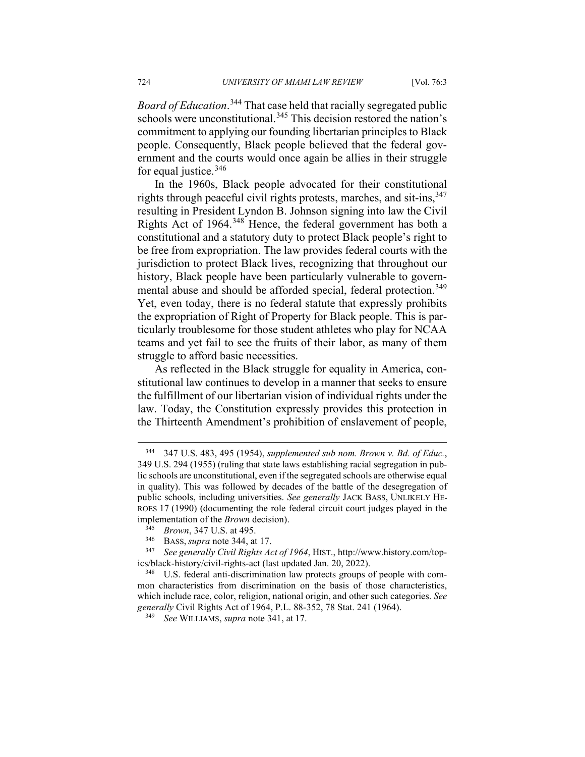*Board of Education*. [344](#page-72-0) That case held that racially segregated public schools were unconstitutional.<sup>[345](#page-72-1)</sup> This decision restored the nation's commitment to applying our founding libertarian principles to Black people. Consequently, Black people believed that the federal government and the courts would once again be allies in their struggle for equal justice.<sup>[346](#page-72-2)</sup>

In the 1960s, Black people advocated for their constitutional rights through peaceful civil rights protests, marches, and sit-ins,  $347$ resulting in President Lyndon B. Johnson signing into law the Civil Rights Act of 1964.[348](#page-72-4) Hence, the federal government has both a constitutional and a statutory duty to protect Black people's right to be free from expropriation. The law provides federal courts with the jurisdiction to protect Black lives, recognizing that throughout our history, Black people have been particularly vulnerable to govern-mental abuse and should be afforded special, federal protection.<sup>[349](#page-72-5)</sup> Yet, even today, there is no federal statute that expressly prohibits the expropriation of Right of Property for Black people. This is particularly troublesome for those student athletes who play for NCAA teams and yet fail to see the fruits of their labor, as many of them struggle to afford basic necessities.

As reflected in the Black struggle for equality in America, constitutional law continues to develop in a manner that seeks to ensure the fulfillment of our libertarian vision of individual rights under the law. Today, the Constitution expressly provides this protection in the Thirteenth Amendment's prohibition of enslavement of people,

<span id="page-72-0"></span><sup>344</sup> 347 U.S. 483, 495 (1954), *supplemented sub nom. Brown v. Bd. of Educ.*, 349 U.S. 294 (1955) (ruling that state laws establishing racial segregation in public schools are unconstitutional, even if the segregated schools are otherwise equal in quality). This was followed by decades of the battle of the desegregation of public schools, including universities. *See generally* JACK BASS, UNLIKELY HE-ROES 17 (1990) (documenting the role federal circuit court judges played in the implementation of the *Brown* decision).

<sup>&</sup>lt;sup>345</sup> *Brown*, 347 U.S. at 495.<br><sup>346</sup> BASS *supra* note 344 at

<sup>&</sup>lt;sup>346</sup> BASS, *supra* note 344, at 17.<br><sup>347</sup> See generally Civil Rights 40

<span id="page-72-3"></span><span id="page-72-2"></span><span id="page-72-1"></span><sup>347</sup> *See generally Civil Rights Act of 1964*, HIST., http://www.history.com/topics/black-history/civil-rights-act (last updated Jan. 20, 2022).

<span id="page-72-5"></span><span id="page-72-4"></span><sup>348</sup> U.S. federal anti-discrimination law protects groups of people with common characteristics from discrimination on the basis of those characteristics, which include race, color, religion, national origin, and other such categories. *See generally* Civil Rights Act of 1964, P.L. 88-352, 78 Stat. 241 (1964).

<sup>349</sup> *See* WILLIAMS, *supra* note 341, at 17.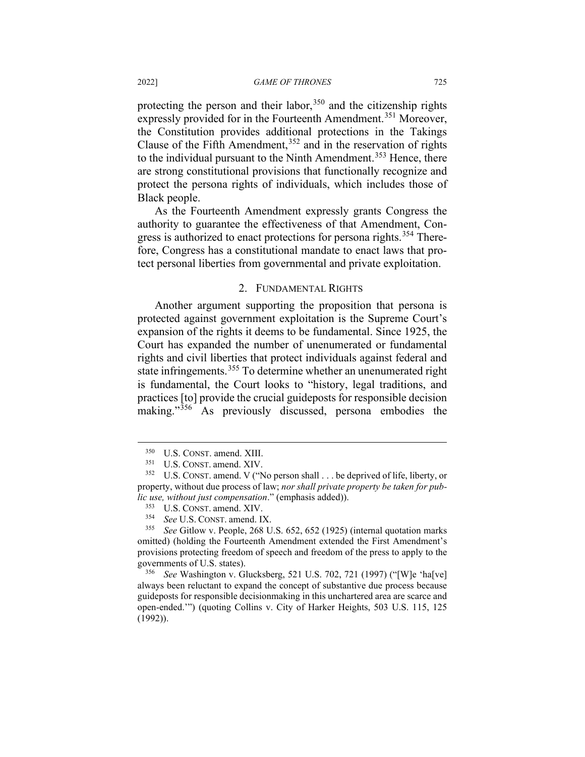protecting the person and their labor,  $350$  and the citizenship rights expressly provided for in the Fourteenth Amendment.<sup>[351](#page-73-1)</sup> Moreover, the Constitution provides additional protections in the Takings Clause of the Fifth Amendment,  $352$  and in the reservation of rights to the individual pursuant to the Ninth Amendment.<sup>[353](#page-73-3)</sup> Hence, there are strong constitutional provisions that functionally recognize and protect the persona rights of individuals, which includes those of Black people.

As the Fourteenth Amendment expressly grants Congress the authority to guarantee the effectiveness of that Amendment, Con-gress is authorized to enact protections for persona rights.<sup>[354](#page-73-4)</sup> Therefore, Congress has a constitutional mandate to enact laws that protect personal liberties from governmental and private exploitation.

### 2. FUNDAMENTAL RIGHTS

Another argument supporting the proposition that persona is protected against government exploitation is the Supreme Court's expansion of the rights it deems to be fundamental. Since 1925, the Court has expanded the number of unenumerated or fundamental rights and civil liberties that protect individuals against federal and state infringements.[355](#page-73-5) To determine whether an unenumerated right is fundamental, the Court looks to "history, legal traditions, and practices [to] provide the crucial guideposts for responsible decision making."[356](#page-73-6) As previously discussed, persona embodies the

 $350$  U.S. CONST. amend. XIII.<br> $351$  IIS CONST amend XIV

 $^{351}$  U.S. CONST. amend. XIV.<br> $^{352}$  U.S. CONST amend V.

<span id="page-73-2"></span><span id="page-73-1"></span><span id="page-73-0"></span>U.S. CONST. amend. V ("No person shall . . . be deprived of life, liberty, or property, without due process of law; *nor shall private property be taken for public use, without just compensation*." (emphasis added)).

 $353$  U.S. CONST. amend. XIV.<br> $354$  See U.S. CONST amend. U.

<sup>&</sup>lt;sup>354</sup> *See* U.S. CONST. amend. IX.<br><sup>355</sup> See Gitlow y. People 268 U

<span id="page-73-5"></span><span id="page-73-4"></span><span id="page-73-3"></span><sup>355</sup> *See* Gitlow v. People, 268 U.S. 652, 652 (1925) (internal quotation marks omitted) (holding the Fourteenth Amendment extended the First Amendment's provisions protecting freedom of speech and freedom of the press to apply to the governments of U.S. states).

<span id="page-73-6"></span><sup>356</sup> *See* Washington v. Glucksberg, 521 U.S. 702, 721 (1997) ("[W]e 'ha[ve] always been reluctant to expand the concept of substantive due process because guideposts for responsible decisionmaking in this unchartered area are scarce and open-ended.'") (quoting Collins v. City of Harker Heights, 503 U.S. 115, 125 (1992)).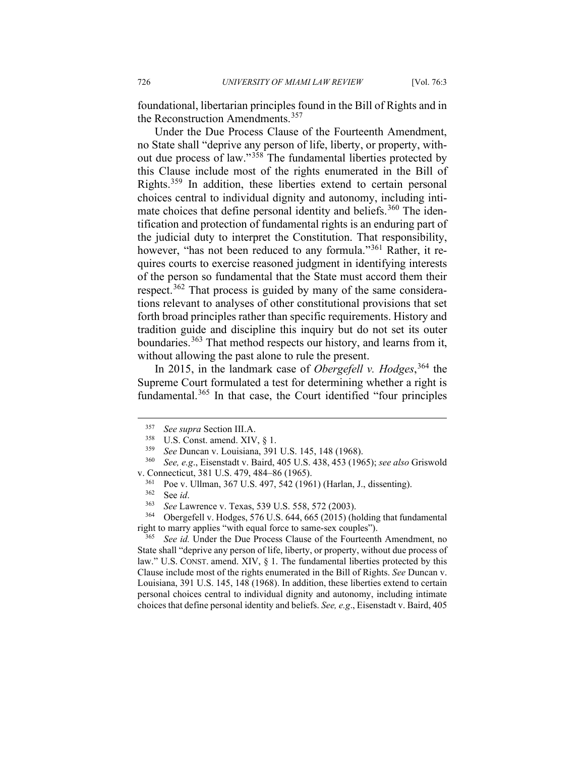foundational, libertarian principles found in the Bill of Rights and in the Reconstruction Amendments.<sup>[357](#page-74-0)</sup>

Under the Due Process Clause of the Fourteenth Amendment, no State shall "deprive any person of life, liberty, or property, without due process of law."[358](#page-74-1) The fundamental liberties protected by this Clause include most of the rights enumerated in the Bill of Rights.[359](#page-74-2) In addition, these liberties extend to certain personal choices central to individual dignity and autonomy, including inti-mate choices that define personal identity and beliefs.<sup>[360](#page-74-3)</sup> The identification and protection of fundamental rights is an enduring part of the judicial duty to interpret the Constitution. That responsibility, however, "has not been reduced to any formula."<sup>[361](#page-74-4)</sup> Rather, it requires courts to exercise reasoned judgment in identifying interests of the person so fundamental that the State must accord them their respect.<sup>[362](#page-74-5)</sup> That process is guided by many of the same considerations relevant to analyses of other constitutional provisions that set forth broad principles rather than specific requirements. History and tradition guide and discipline this inquiry but do not set its outer boundaries.<sup>[363](#page-74-6)</sup> That method respects our history, and learns from it, without allowing the past alone to rule the present.

In 2015, in the landmark case of *Obergefell v. Hodges*, [364](#page-74-7) the Supreme Court formulated a test for determining whether a right is fundamental.<sup>[365](#page-74-8)</sup> In that case, the Court identified "four principles

<span id="page-74-7"></span><span id="page-74-6"></span><span id="page-74-5"></span>Obergefell v. Hodges, 576 U.S. 644, 665 (2015) (holding that fundamental right to marry applies "with equal force to same-sex couples").<br> $\frac{365}{100}$  See id Tinder the Due Process Clause of the Fourteentl

<span id="page-74-8"></span>See id. Under the Due Process Clause of the Fourteenth Amendment, no State shall "deprive any person of life, liberty, or property, without due process of law." U.S. CONST. amend. XIV, § 1. The fundamental liberties protected by this Clause include most of the rights enumerated in the Bill of Rights. *See* Duncan v. Louisiana, 391 U.S. 145, 148 (1968). In addition, these liberties extend to certain personal choices central to individual dignity and autonomy, including intimate choices that define personal identity and beliefs. *See, e.g*., Eisenstadt v. Baird, 405

<sup>357</sup> *See supra* Section III.A. 358 U.S. Const. amend. XIV, § 1. 359 *See* Duncan v. Louisiana, 391 U.S. 145, 148 (1968).

<span id="page-74-4"></span><span id="page-74-3"></span><span id="page-74-2"></span><span id="page-74-1"></span><span id="page-74-0"></span><sup>360</sup> *See, e.g*., Eisenstadt v. Baird, 405 U.S. 438, 453 (1965); *see also* Griswold v. Connecticut, 381 U.S. 479, 484–86 (1965).<br> $^{361}$  Poe v Hilman 367 H S 497 542 (196

 $^{361}$  Poe v. Ullman, 367 U.S. 497, 542 (1961) (Harlan, J., dissenting).<br> $^{362}$  See id

 $362$  See *id*.<br> $363$  See Lay

<sup>363</sup> *See* Lawrence v. Texas, 539 U.S. 558, 572 (2003).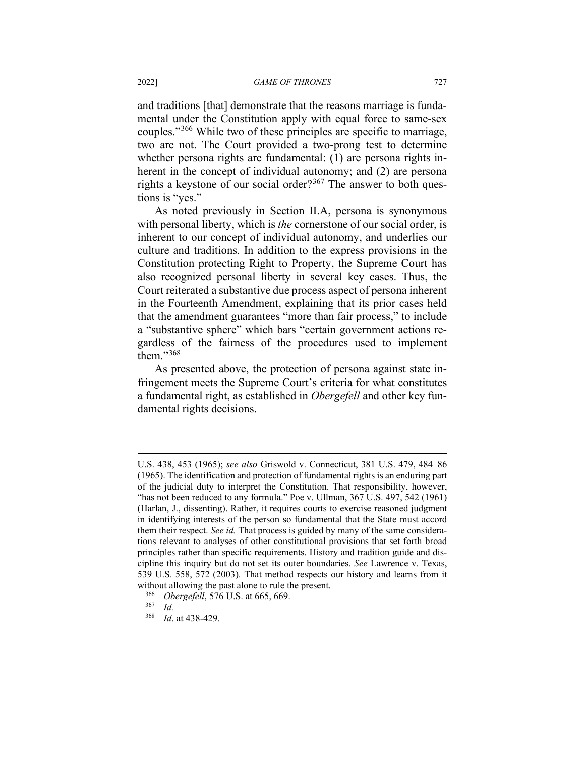and traditions [that] demonstrate that the reasons marriage is fundamental under the Constitution apply with equal force to same-sex couples."[366](#page-75-0) While two of these principles are specific to marriage, two are not. The Court provided a two-prong test to determine whether persona rights are fundamental: (1) are persona rights inherent in the concept of individual autonomy; and (2) are persona rights a keystone of our social order?<sup>[367](#page-75-1)</sup> The answer to both questions is "yes."

As noted previously in Section II.A, persona is synonymous with personal liberty, which is *the* cornerstone of our social order, is inherent to our concept of individual autonomy, and underlies our culture and traditions. In addition to the express provisions in the Constitution protecting Right to Property, the Supreme Court has also recognized personal liberty in several key cases. Thus, the Court reiterated a substantive due process aspect of persona inherent in the Fourteenth Amendment, explaining that its prior cases held that the amendment guarantees "more than fair process," to include a "substantive sphere" which bars "certain government actions regardless of the fairness of the procedures used to implement them." $368$ 

As presented above, the protection of persona against state infringement meets the Supreme Court's criteria for what constitutes a fundamental right, as established in *Obergefell* and other key fundamental rights decisions.

U.S. 438, 453 (1965); *see also* Griswold v. Connecticut, 381 U.S. 479, 484–86 (1965). The identification and protection of fundamental rights is an enduring part of the judicial duty to interpret the Constitution. That responsibility, however, "has not been reduced to any formula." Poe v. Ullman, 367 U.S. 497, 542 (1961) (Harlan, J., dissenting). Rather, it requires courts to exercise reasoned judgment in identifying interests of the person so fundamental that the State must accord them their respect. *See id.* That process is guided by many of the same considerations relevant to analyses of other constitutional provisions that set forth broad principles rather than specific requirements. History and tradition guide and discipline this inquiry but do not set its outer boundaries. *See* Lawrence v. Texas, 539 U.S. 558, 572 (2003). That method respects our history and learns from it without allowing the past alone to rule the present.<br> $\frac{366}{266}$  Obergefell 576 U.S. at 665,660

<span id="page-75-0"></span><sup>&</sup>lt;sup>366</sup> *Obergefell*, 576 U.S. at 665, 669.<br><sup>367</sup> *Id* 

<span id="page-75-2"></span><span id="page-75-1"></span> $rac{367}{368}$  *Id.* 

*Id.* at 438-429.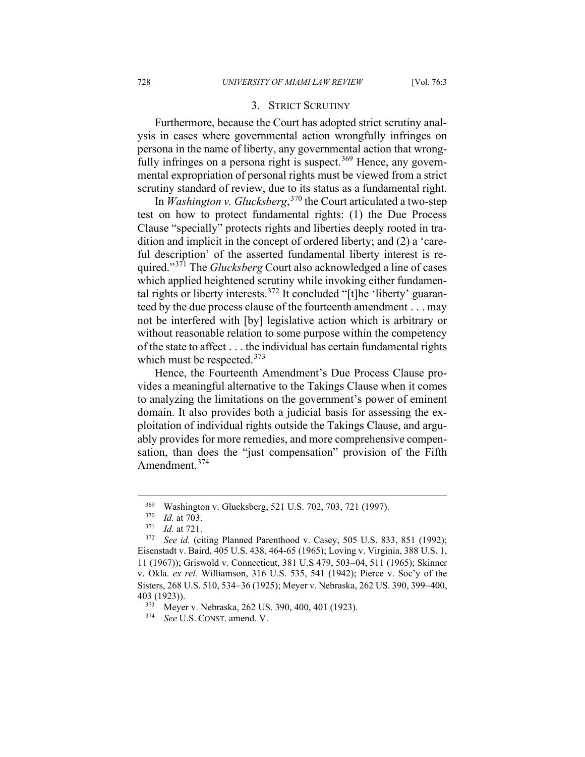### 3. STRICT SCRUTINY

Furthermore, because the Court has adopted strict scrutiny analysis in cases where governmental action wrongfully infringes on persona in the name of liberty, any governmental action that wrong-fully infringes on a persona right is suspect.<sup>[369](#page-76-0)</sup> Hence, any governmental expropriation of personal rights must be viewed from a strict scrutiny standard of review, due to its status as a fundamental right.

In *Washington v. Glucksberg*, [370](#page-76-1) the Court articulated a two-step test on how to protect fundamental rights: (1) the Due Process Clause "specially" protects rights and liberties deeply rooted in tradition and implicit in the concept of ordered liberty; and (2) a 'careful description' of the asserted fundamental liberty interest is required."[371](#page-76-2) The *Glucksberg* Court also acknowledged a line of cases which applied heightened scrutiny while invoking either fundamen-tal rights or liberty interests.<sup>[372](#page-76-3)</sup> It concluded "[t]he 'liberty' guaranteed by the due process clause of the fourteenth amendment . . . may not be interfered with [by] legislative action which is arbitrary or without reasonable relation to some purpose within the competency of the state to affect . . . the individual has certain fundamental rights which must be respected.  $373$ 

Hence, the Fourteenth Amendment's Due Process Clause provides a meaningful alternative to the Takings Clause when it comes to analyzing the limitations on the government's power of eminent domain. It also provides both a judicial basis for assessing the exploitation of individual rights outside the Takings Clause, and arguably provides for more remedies, and more comprehensive compensation, than does the "just compensation" provision of the Fifth Amendment.<sup>[374](#page-76-5)</sup>

<sup>&</sup>lt;sup>369</sup> Washington v. Glucksberg, 521 U.S. 702, 703, 721 (1997).

 $\frac{370}{371}$  *Id.* at 703.

*Id.* at 721.

<span id="page-76-3"></span><span id="page-76-2"></span><span id="page-76-1"></span><span id="page-76-0"></span><sup>372</sup> *See id.* (citing Planned Parenthood v. Casey, 505 U.S. 833, 851 (1992); Eisenstadt v. Baird, 405 U.S. 438, 464-65 (1965); Loving v. Virginia, 388 U.S. 1, 11 (1967)); Griswold v. Connecticut, 381 U.S 479, 503−04, 511 (1965); Skinner v. Okla. *ex rel.* Williamson, 316 U.S. 535, 541 (1942); Pierce v. Soc'y of the Sisters, 268 U.S. 510, 534−36 (1925); Meyer v. Nebraska, 262 US. 390, 399−400, 403 (1923)).

<span id="page-76-5"></span><span id="page-76-4"></span> $373$  Meyer v. Nebraska, 262 US. 390, 400, 401 (1923).

See U.S. CONST. amend. V.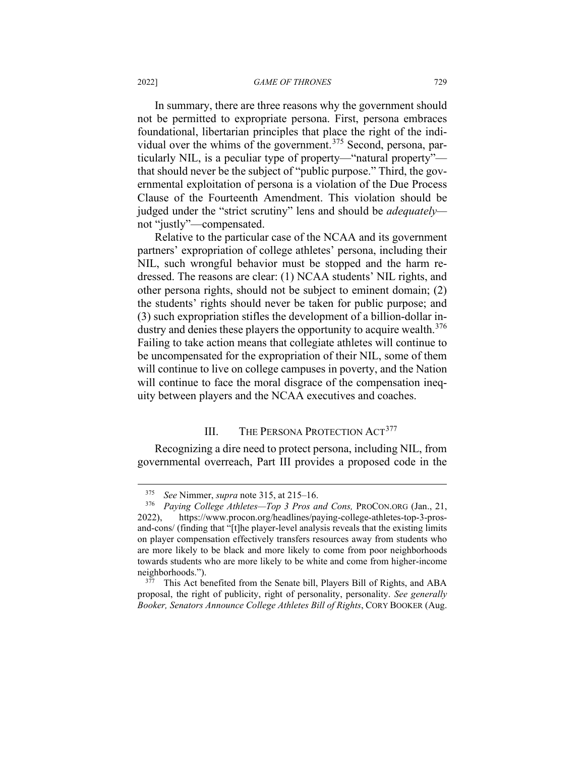In summary, there are three reasons why the government should not be permitted to expropriate persona. First, persona embraces foundational, libertarian principles that place the right of the indi-vidual over the whims of the government.<sup>[375](#page-77-0)</sup> Second, persona, particularly NIL, is a peculiar type of property—"natural property" that should never be the subject of "public purpose." Third, the governmental exploitation of persona is a violation of the Due Process Clause of the Fourteenth Amendment. This violation should be judged under the "strict scrutiny" lens and should be *adequately* not "justly"—compensated.

Relative to the particular case of the NCAA and its government partners' expropriation of college athletes' persona, including their NIL, such wrongful behavior must be stopped and the harm redressed. The reasons are clear: (1) NCAA students' NIL rights, and other persona rights, should not be subject to eminent domain; (2) the students' rights should never be taken for public purpose; and (3) such expropriation stifles the development of a billion-dollar in-dustry and denies these players the opportunity to acquire wealth.<sup>[376](#page-77-1)</sup> Failing to take action means that collegiate athletes will continue to be uncompensated for the expropriation of their NIL, some of them will continue to live on college campuses in poverty, and the Nation will continue to face the moral disgrace of the compensation inequity between players and the NCAA executives and coaches.

# III. THE PERSONA PROTECTION ACT<sup>[377](#page-77-2)</sup>

Recognizing a dire need to protect persona, including NIL, from governmental overreach, Part III provides a proposed code in the

<sup>375</sup> *See* Nimmer, *supra* note 315, at 215–16.

<span id="page-77-1"></span><span id="page-77-0"></span><sup>376</sup> *Paying College Athletes—Top 3 Pros and Cons,* PROCON.ORG (Jan., 21, 2022), https://www.procon.org/headlines/paying-college-athletes-top-3-prosand-cons/ (finding that "[t]he player-level analysis reveals that the existing limits on player compensation effectively transfers resources away from students who are more likely to be black and more likely to come from poor neighborhoods towards students who are more likely to be white and come from higher-income neighborhoods.").

<span id="page-77-2"></span>This Act benefited from the Senate bill, Players Bill of Rights, and ABA proposal, the right of publicity, right of personality, personality. *See generally Booker, Senators Announce College Athletes Bill of Rights*, CORY BOOKER (Aug.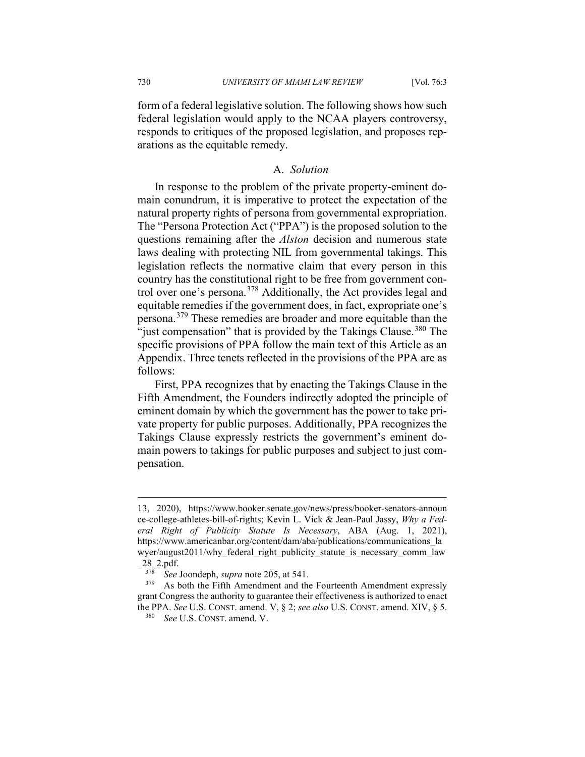form of a federal legislative solution. The following shows how such federal legislation would apply to the NCAA players controversy, responds to critiques of the proposed legislation, and proposes reparations as the equitable remedy.

# A. *Solution*

In response to the problem of the private property-eminent domain conundrum, it is imperative to protect the expectation of the natural property rights of persona from governmental expropriation. The "Persona Protection Act ("PPA") is the proposed solution to the questions remaining after the *Alston* decision and numerous state laws dealing with protecting NIL from governmental takings. This legislation reflects the normative claim that every person in this country has the constitutional right to be free from government control over one's persona.[378](#page-78-0) Additionally, the Act provides legal and equitable remedies if the government does, in fact, expropriate one's persona.[379](#page-78-1) These remedies are broader and more equitable than the "just compensation" that is provided by the Takings Clause.<sup>[380](#page-78-2)</sup> The specific provisions of PPA follow the main text of this Article as an Appendix. Three tenets reflected in the provisions of the PPA are as follows:

First, PPA recognizes that by enacting the Takings Clause in the Fifth Amendment, the Founders indirectly adopted the principle of eminent domain by which the government has the power to take private property for public purposes. Additionally, PPA recognizes the Takings Clause expressly restricts the government's eminent domain powers to takings for public purposes and subject to just compensation.

<sup>13, 2020),</sup> https://www.booker.senate.gov/news/press/booker-senators-announ ce-college-athletes-bill-of-rights; Kevin L. Vick & Jean-Paul Jassy, *Why a Federal Right of Publicity Statute Is Necessary*, ABA (Aug. 1, 2021), https://www.americanbar.org/content/dam/aba/publications/communications\_la wyer/august2011/why federal right publicity statute is necessary comm law \_28\_2.pdf.

 $378$  *See* Joondeph, *supra* note 205, at 541.<br> $379$  As both the Fifth Amendment and the

<span id="page-78-2"></span><span id="page-78-1"></span><span id="page-78-0"></span>As both the Fifth Amendment and the Fourteenth Amendment expressly grant Congress the authority to guarantee their effectiveness is authorized to enact the PPA. *See* U.S. CONST. amend. V, § 2; *see also* U.S. CONST. amend. XIV, § 5.

<sup>380</sup> *See* U.S. CONST. amend. V.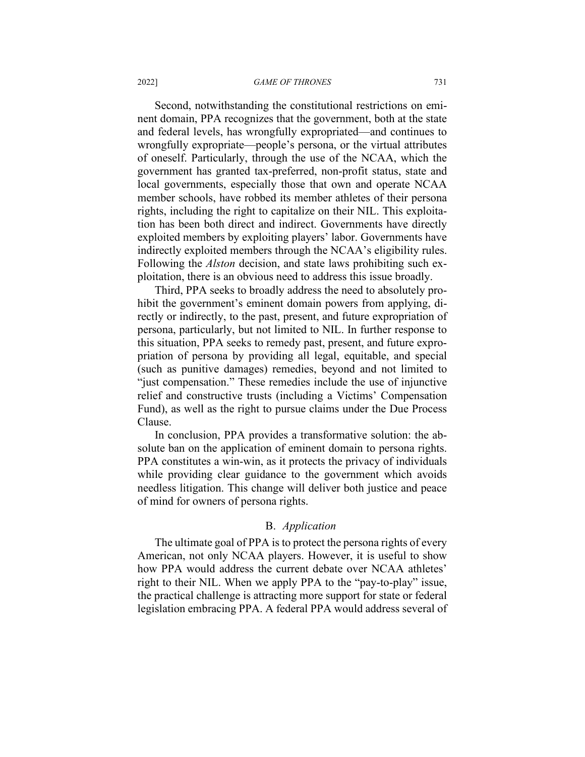Second, notwithstanding the constitutional restrictions on eminent domain, PPA recognizes that the government, both at the state and federal levels, has wrongfully expropriated—and continues to wrongfully expropriate—people's persona, or the virtual attributes of oneself. Particularly, through the use of the NCAA, which the government has granted tax-preferred, non-profit status, state and local governments, especially those that own and operate NCAA member schools, have robbed its member athletes of their persona rights, including the right to capitalize on their NIL. This exploitation has been both direct and indirect. Governments have directly exploited members by exploiting players' labor. Governments have indirectly exploited members through the NCAA's eligibility rules. Following the *Alston* decision, and state laws prohibiting such exploitation, there is an obvious need to address this issue broadly.

Third, PPA seeks to broadly address the need to absolutely prohibit the government's eminent domain powers from applying, directly or indirectly, to the past, present, and future expropriation of persona, particularly, but not limited to NIL. In further response to this situation, PPA seeks to remedy past, present, and future expropriation of persona by providing all legal, equitable, and special (such as punitive damages) remedies, beyond and not limited to "just compensation." These remedies include the use of injunctive relief and constructive trusts (including a Victims' Compensation Fund), as well as the right to pursue claims under the Due Process Clause.

In conclusion, PPA provides a transformative solution: the absolute ban on the application of eminent domain to persona rights. PPA constitutes a win-win, as it protects the privacy of individuals while providing clear guidance to the government which avoids needless litigation. This change will deliver both justice and peace of mind for owners of persona rights.

## B. *Application*

The ultimate goal of PPA is to protect the persona rights of every American, not only NCAA players. However, it is useful to show how PPA would address the current debate over NCAA athletes' right to their NIL. When we apply PPA to the "pay-to-play" issue, the practical challenge is attracting more support for state or federal legislation embracing PPA. A federal PPA would address several of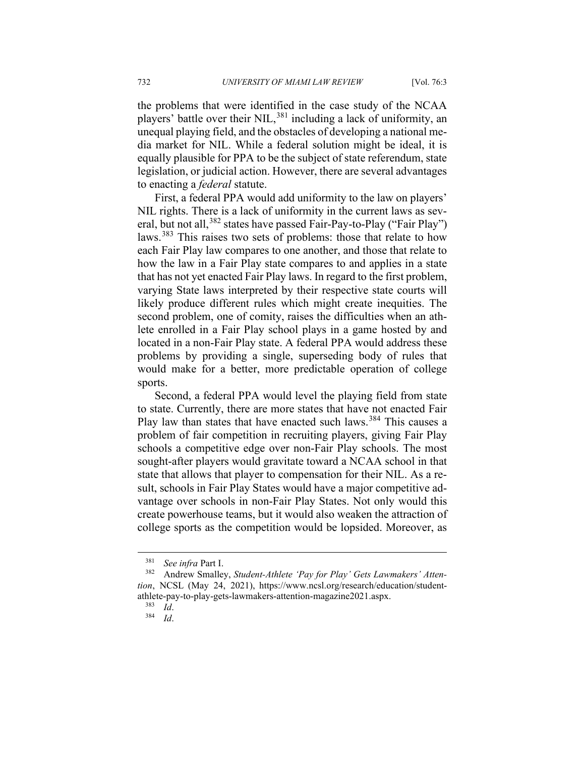the problems that were identified in the case study of the NCAA players' battle over their NIL,<sup>[381](#page-80-0)</sup> including a lack of uniformity, an unequal playing field, and the obstacles of developing a national media market for NIL. While a federal solution might be ideal, it is equally plausible for PPA to be the subject of state referendum, state legislation, or judicial action. However, there are several advantages to enacting a *federal* statute.

First, a federal PPA would add uniformity to the law on players' NIL rights. There is a lack of uniformity in the current laws as sev-eral, but not all,<sup>[382](#page-80-1)</sup> states have passed Fair-Pay-to-Play ("Fair Play") laws.[383](#page-80-2) This raises two sets of problems: those that relate to how each Fair Play law compares to one another, and those that relate to how the law in a Fair Play state compares to and applies in a state that has not yet enacted Fair Play laws. In regard to the first problem, varying State laws interpreted by their respective state courts will likely produce different rules which might create inequities. The second problem, one of comity, raises the difficulties when an athlete enrolled in a Fair Play school plays in a game hosted by and located in a non-Fair Play state. A federal PPA would address these problems by providing a single, superseding body of rules that would make for a better, more predictable operation of college sports.

Second, a federal PPA would level the playing field from state to state. Currently, there are more states that have not enacted Fair Play law than states that have enacted such laws.<sup>[384](#page-80-3)</sup> This causes a problem of fair competition in recruiting players, giving Fair Play schools a competitive edge over non-Fair Play schools. The most sought-after players would gravitate toward a NCAA school in that state that allows that player to compensation for their NIL. As a result, schools in Fair Play States would have a major competitive advantage over schools in non-Fair Play States. Not only would this create powerhouse teams, but it would also weaken the attraction of college sports as the competition would be lopsided. Moreover, as

 $\frac{381}{382}$  *See infra* Part I.

<span id="page-80-3"></span><span id="page-80-2"></span><span id="page-80-1"></span><span id="page-80-0"></span><sup>382</sup> Andrew Smalley, *Student-Athlete 'Pay for Play' Gets Lawmakers' Attention*, NCSL (May 24, 2021), https://www.ncsl.org/research/education/studentathlete-pay-to-play-gets-lawmakers-attention-magazine2021.aspx.<br> $\frac{383}{16}$ 

 $\frac{383}{384}$  *Id.* 

<sup>384</sup> *Id*.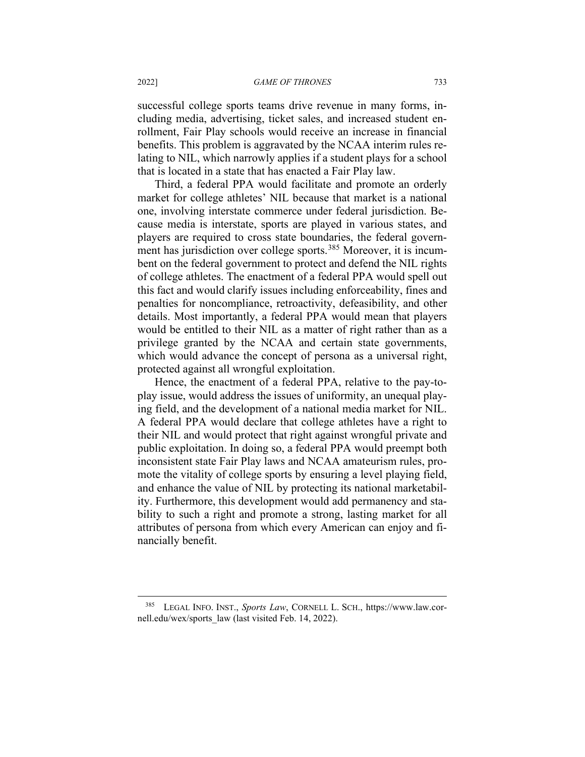successful college sports teams drive revenue in many forms, including media, advertising, ticket sales, and increased student enrollment, Fair Play schools would receive an increase in financial benefits. This problem is aggravated by the NCAA interim rules relating to NIL, which narrowly applies if a student plays for a school that is located in a state that has enacted a Fair Play law.

Third, a federal PPA would facilitate and promote an orderly market for college athletes' NIL because that market is a national one, involving interstate commerce under federal jurisdiction. Because media is interstate, sports are played in various states, and players are required to cross state boundaries, the federal govern-ment has jurisdiction over college sports.<sup>[385](#page-81-0)</sup> Moreover, it is incumbent on the federal government to protect and defend the NIL rights of college athletes. The enactment of a federal PPA would spell out this fact and would clarify issues including enforceability, fines and penalties for noncompliance, retroactivity, defeasibility, and other details. Most importantly, a federal PPA would mean that players would be entitled to their NIL as a matter of right rather than as a privilege granted by the NCAA and certain state governments, which would advance the concept of persona as a universal right, protected against all wrongful exploitation.

Hence, the enactment of a federal PPA, relative to the pay-toplay issue, would address the issues of uniformity, an unequal playing field, and the development of a national media market for NIL. A federal PPA would declare that college athletes have a right to their NIL and would protect that right against wrongful private and public exploitation. In doing so, a federal PPA would preempt both inconsistent state Fair Play laws and NCAA amateurism rules, promote the vitality of college sports by ensuring a level playing field, and enhance the value of NIL by protecting its national marketability. Furthermore, this development would add permanency and stability to such a right and promote a strong, lasting market for all attributes of persona from which every American can enjoy and financially benefit.

<span id="page-81-0"></span>LEGAL INFO. INST., *Sports Law*, CORNELL L. SCH., https://www.law.cornell.edu/wex/sports law (last visited Feb. 14, 2022).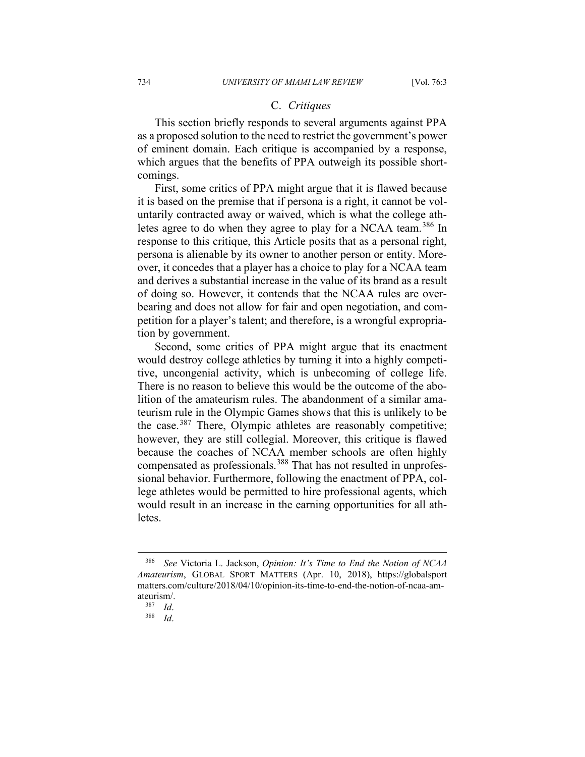## C. *Critiques*

This section briefly responds to several arguments against PPA as a proposed solution to the need to restrict the government's power of eminent domain. Each critique is accompanied by a response, which argues that the benefits of PPA outweigh its possible shortcomings.

First, some critics of PPA might argue that it is flawed because it is based on the premise that if persona is a right, it cannot be voluntarily contracted away or waived, which is what the college ath-letes agree to do when they agree to play for a NCAA team.<sup>[386](#page-82-0)</sup> In response to this critique, this Article posits that as a personal right, persona is alienable by its owner to another person or entity. Moreover, it concedes that a player has a choice to play for a NCAA team and derives a substantial increase in the value of its brand as a result of doing so. However, it contends that the NCAA rules are overbearing and does not allow for fair and open negotiation, and competition for a player's talent; and therefore, is a wrongful expropriation by government.

Second, some critics of PPA might argue that its enactment would destroy college athletics by turning it into a highly competitive, uncongenial activity, which is unbecoming of college life. There is no reason to believe this would be the outcome of the abolition of the amateurism rules. The abandonment of a similar amateurism rule in the Olympic Games shows that this is unlikely to be the case.<sup>[387](#page-82-1)</sup> There, Olympic athletes are reasonably competitive; however, they are still collegial. Moreover, this critique is flawed because the coaches of NCAA member schools are often highly compensated as professionals.<sup>[388](#page-82-2)</sup> That has not resulted in unprofessional behavior. Furthermore, following the enactment of PPA, college athletes would be permitted to hire professional agents, which would result in an increase in the earning opportunities for all athletes.

<span id="page-82-1"></span><span id="page-82-0"></span><sup>386</sup> *See* Victoria L. Jackson, *Opinion: It's Time to End the Notion of NCAA Amateurism*, GLOBAL SPORT MATTERS (Apr. 10, 2018), https://globalsport matters.com/culture/2018/04/10/opinion-its-time-to-end-the-notion-of-ncaa-amateurism/.<br> $\frac{387}{1}$ 

<span id="page-82-2"></span> $rac{387}{388}$  *Id.* <sup>388</sup> *Id*.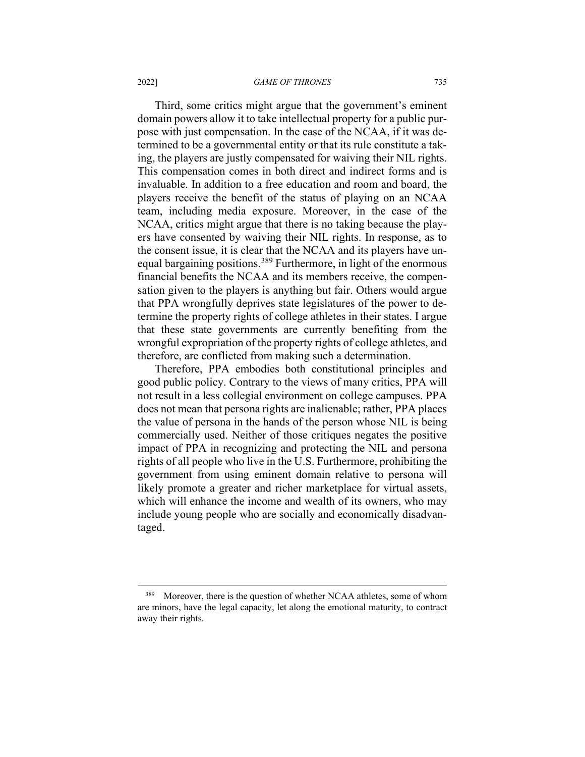Third, some critics might argue that the government's eminent domain powers allow it to take intellectual property for a public purpose with just compensation. In the case of the NCAA, if it was determined to be a governmental entity or that its rule constitute a taking, the players are justly compensated for waiving their NIL rights. This compensation comes in both direct and indirect forms and is invaluable. In addition to a free education and room and board, the players receive the benefit of the status of playing on an NCAA team, including media exposure. Moreover, in the case of the NCAA, critics might argue that there is no taking because the players have consented by waiving their NIL rights. In response, as to the consent issue, it is clear that the NCAA and its players have un-equal bargaining positions.<sup>[389](#page-83-0)</sup> Furthermore, in light of the enormous financial benefits the NCAA and its members receive, the compensation given to the players is anything but fair. Others would argue that PPA wrongfully deprives state legislatures of the power to determine the property rights of college athletes in their states. I argue that these state governments are currently benefiting from the wrongful expropriation of the property rights of college athletes, and therefore, are conflicted from making such a determination.

Therefore, PPA embodies both constitutional principles and good public policy. Contrary to the views of many critics, PPA will not result in a less collegial environment on college campuses. PPA does not mean that persona rights are inalienable; rather, PPA places the value of persona in the hands of the person whose NIL is being commercially used. Neither of those critiques negates the positive impact of PPA in recognizing and protecting the NIL and persona rights of all people who live in the U.S. Furthermore, prohibiting the government from using eminent domain relative to persona will likely promote a greater and richer marketplace for virtual assets, which will enhance the income and wealth of its owners, who may include young people who are socially and economically disadvantaged.

<span id="page-83-0"></span><sup>&</sup>lt;sup>389</sup> Moreover, there is the question of whether NCAA athletes, some of whom are minors, have the legal capacity, let along the emotional maturity, to contract away their rights.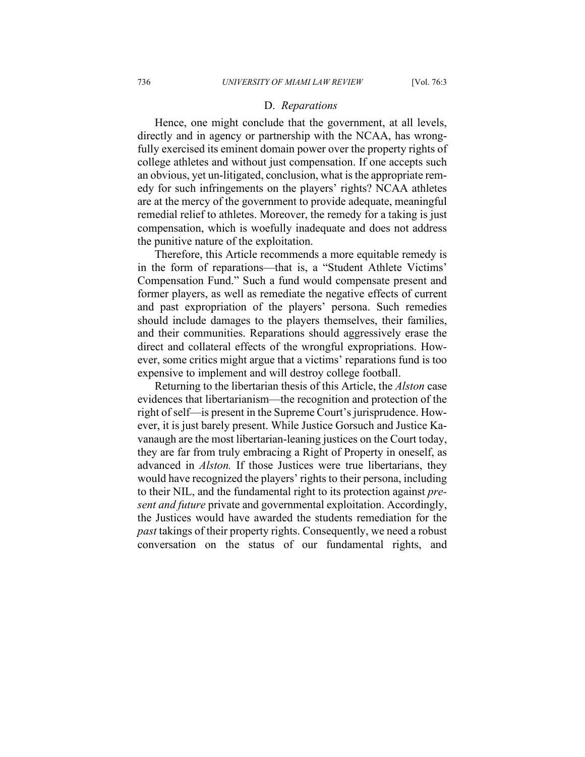### D. *Reparations*

Hence, one might conclude that the government, at all levels, directly and in agency or partnership with the NCAA, has wrongfully exercised its eminent domain power over the property rights of college athletes and without just compensation. If one accepts such an obvious, yet un-litigated, conclusion, what is the appropriate remedy for such infringements on the players' rights? NCAA athletes are at the mercy of the government to provide adequate, meaningful remedial relief to athletes. Moreover, the remedy for a taking is just compensation, which is woefully inadequate and does not address the punitive nature of the exploitation.

Therefore, this Article recommends a more equitable remedy is in the form of reparations—that is, a "Student Athlete Victims' Compensation Fund." Such a fund would compensate present and former players, as well as remediate the negative effects of current and past expropriation of the players' persona. Such remedies should include damages to the players themselves, their families, and their communities. Reparations should aggressively erase the direct and collateral effects of the wrongful expropriations. However, some critics might argue that a victims' reparations fund is too expensive to implement and will destroy college football.

Returning to the libertarian thesis of this Article, the *Alston* case evidences that libertarianism—the recognition and protection of the right of self—is present in the Supreme Court's jurisprudence. However, it is just barely present. While Justice Gorsuch and Justice Kavanaugh are the most libertarian-leaning justices on the Court today, they are far from truly embracing a Right of Property in oneself, as advanced in *Alston.* If those Justices were true libertarians, they would have recognized the players' rights to their persona, including to their NIL, and the fundamental right to its protection against *present and future* private and governmental exploitation. Accordingly, the Justices would have awarded the students remediation for the *past* takings of their property rights. Consequently, we need a robust conversation on the status of our fundamental rights, and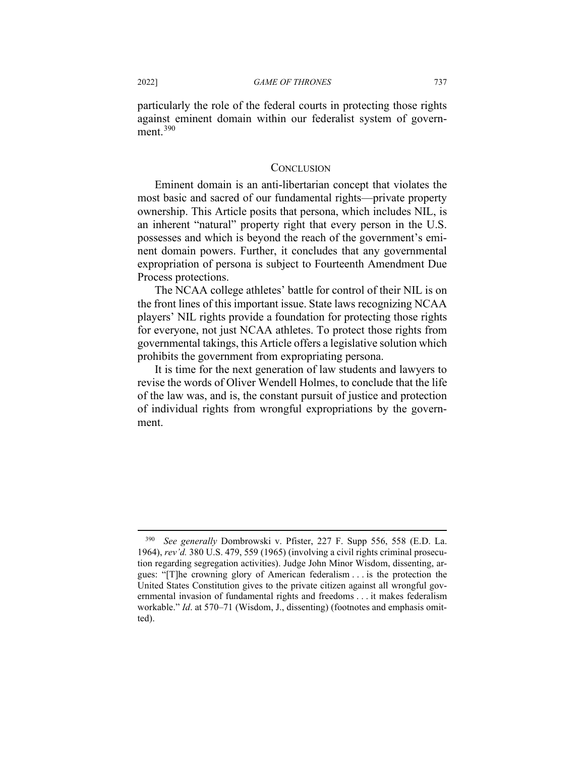particularly the role of the federal courts in protecting those rights against eminent domain within our federalist system of govern-ment.<sup>[390](#page-85-0)</sup>

## **CONCLUSION**

Eminent domain is an anti-libertarian concept that violates the most basic and sacred of our fundamental rights—private property ownership. This Article posits that persona, which includes NIL, is an inherent "natural" property right that every person in the U.S. possesses and which is beyond the reach of the government's eminent domain powers. Further, it concludes that any governmental expropriation of persona is subject to Fourteenth Amendment Due Process protections.

The NCAA college athletes' battle for control of their NIL is on the front lines of this important issue. State laws recognizing NCAA players' NIL rights provide a foundation for protecting those rights for everyone, not just NCAA athletes. To protect those rights from governmental takings, this Article offers a legislative solution which prohibits the government from expropriating persona.

It is time for the next generation of law students and lawyers to revise the words of Oliver Wendell Holmes, to conclude that the life of the law was, and is, the constant pursuit of justice and protection of individual rights from wrongful expropriations by the government.

<span id="page-85-0"></span><sup>390</sup> *See generally* Dombrowski v. Pfister, 227 F. Supp 556, 558 (E.D. La. 1964), *rev'd.* 380 U.S. 479, 559 (1965) (involving a civil rights criminal prosecution regarding segregation activities). Judge John Minor Wisdom, dissenting, argues: "[T]he crowning glory of American federalism . . . is the protection the United States Constitution gives to the private citizen against all wrongful governmental invasion of fundamental rights and freedoms . . . it makes federalism workable." *Id*. at 570–71 (Wisdom, J., dissenting) (footnotes and emphasis omitted).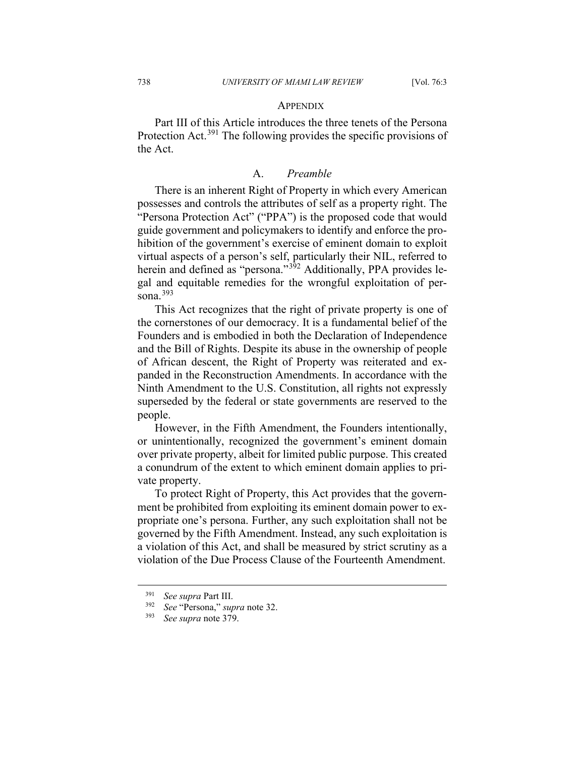### **APPENDIX**

Part III of this Article introduces the three tenets of the Persona Protection Act.<sup>[391](#page-86-0)</sup> The following provides the specific provisions of the Act.

## A. *Preamble*

There is an inherent Right of Property in which every American possesses and controls the attributes of self as a property right. The "Persona Protection Act" ("PPA") is the proposed code that would guide government and policymakers to identify and enforce the prohibition of the government's exercise of eminent domain to exploit virtual aspects of a person's self, particularly their NIL, referred to herein and defined as "persona."<sup>[392](#page-86-1)</sup> Additionally, PPA provides legal and equitable remedies for the wrongful exploitation of per-sona.<sup>[393](#page-86-2)</sup>

This Act recognizes that the right of private property is one of the cornerstones of our democracy. It is a fundamental belief of the Founders and is embodied in both the Declaration of Independence and the Bill of Rights. Despite its abuse in the ownership of people of African descent, the Right of Property was reiterated and expanded in the Reconstruction Amendments. In accordance with the Ninth Amendment to the U.S. Constitution, all rights not expressly superseded by the federal or state governments are reserved to the people.

However, in the Fifth Amendment, the Founders intentionally, or unintentionally, recognized the government's eminent domain over private property, albeit for limited public purpose. This created a conundrum of the extent to which eminent domain applies to private property.

To protect Right of Property, this Act provides that the government be prohibited from exploiting its eminent domain power to expropriate one's persona. Further, any such exploitation shall not be governed by the Fifth Amendment. Instead, any such exploitation is a violation of this Act, and shall be measured by strict scrutiny as a violation of the Due Process Clause of the Fourteenth Amendment.

<span id="page-86-1"></span><span id="page-86-0"></span> $^{391}$  *See supra* Part III.<br> $^{392}$  *See* "Persona" sup

<span id="page-86-2"></span><sup>392</sup> *See* "Persona," *supra* note 32.

<sup>393</sup> *See supra* note 379.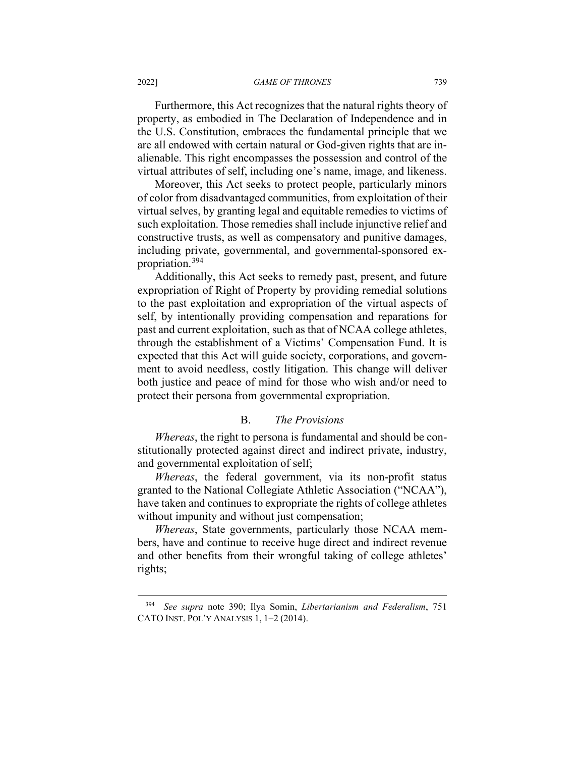Furthermore, this Act recognizes that the natural rights theory of property, as embodied in The Declaration of Independence and in the U.S. Constitution, embraces the fundamental principle that we are all endowed with certain natural or God-given rights that are inalienable. This right encompasses the possession and control of the virtual attributes of self, including one's name, image, and likeness.

Moreover, this Act seeks to protect people, particularly minors of color from disadvantaged communities, from exploitation of their virtual selves, by granting legal and equitable remedies to victims of such exploitation. Those remedies shall include injunctive relief and constructive trusts, as well as compensatory and punitive damages, including private, governmental, and governmental-sponsored expropriation.[394](#page-87-0)

Additionally, this Act seeks to remedy past, present, and future expropriation of Right of Property by providing remedial solutions to the past exploitation and expropriation of the virtual aspects of self, by intentionally providing compensation and reparations for past and current exploitation, such as that of NCAA college athletes, through the establishment of a Victims' Compensation Fund. It is expected that this Act will guide society, corporations, and government to avoid needless, costly litigation. This change will deliver both justice and peace of mind for those who wish and/or need to protect their persona from governmental expropriation.

# B. *The Provisions*

*Whereas*, the right to persona is fundamental and should be constitutionally protected against direct and indirect private, industry, and governmental exploitation of self;

*Whereas*, the federal government, via its non-profit status granted to the National Collegiate Athletic Association ("NCAA"), have taken and continues to expropriate the rights of college athletes without impunity and without just compensation;

*Whereas*, State governments, particularly those NCAA members, have and continue to receive huge direct and indirect revenue and other benefits from their wrongful taking of college athletes' rights;

<span id="page-87-0"></span><sup>394</sup> *See supra* note 390; Ilya Somin, *Libertarianism and Federalism*, 751 CATO INST. POL'Y ANALYSIS 1, 1−2 (2014).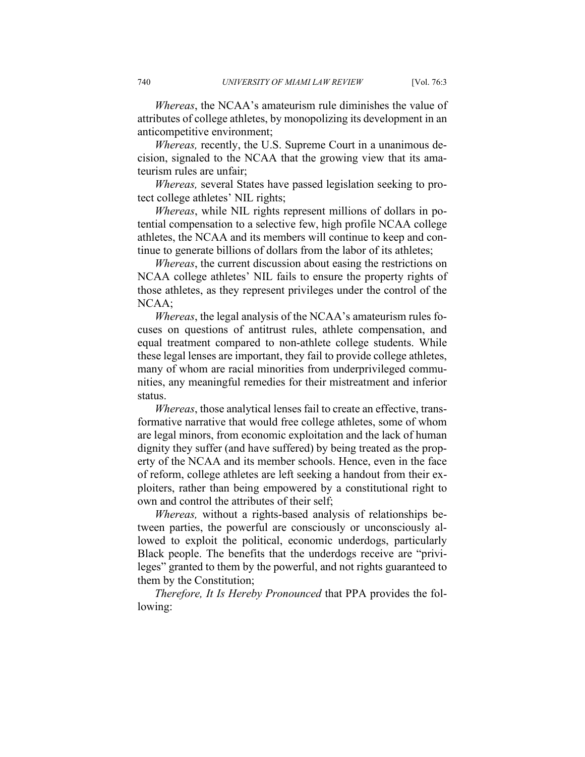*Whereas*, the NCAA's amateurism rule diminishes the value of attributes of college athletes, by monopolizing its development in an anticompetitive environment;

*Whereas,* recently, the U.S. Supreme Court in a unanimous decision, signaled to the NCAA that the growing view that its amateurism rules are unfair;

*Whereas,* several States have passed legislation seeking to protect college athletes' NIL rights;

*Whereas*, while NIL rights represent millions of dollars in potential compensation to a selective few, high profile NCAA college athletes, the NCAA and its members will continue to keep and continue to generate billions of dollars from the labor of its athletes;

*Whereas*, the current discussion about easing the restrictions on NCAA college athletes' NIL fails to ensure the property rights of those athletes, as they represent privileges under the control of the NCAA;

*Whereas*, the legal analysis of the NCAA's amateurism rules focuses on questions of antitrust rules, athlete compensation, and equal treatment compared to non-athlete college students. While these legal lenses are important, they fail to provide college athletes, many of whom are racial minorities from underprivileged communities, any meaningful remedies for their mistreatment and inferior status.

*Whereas*, those analytical lenses fail to create an effective, transformative narrative that would free college athletes, some of whom are legal minors, from economic exploitation and the lack of human dignity they suffer (and have suffered) by being treated as the property of the NCAA and its member schools. Hence, even in the face of reform, college athletes are left seeking a handout from their exploiters, rather than being empowered by a constitutional right to own and control the attributes of their self;

*Whereas,* without a rights-based analysis of relationships between parties, the powerful are consciously or unconsciously allowed to exploit the political, economic underdogs, particularly Black people. The benefits that the underdogs receive are "privileges" granted to them by the powerful, and not rights guaranteed to them by the Constitution;

*Therefore, It Is Hereby Pronounced* that PPA provides the following: